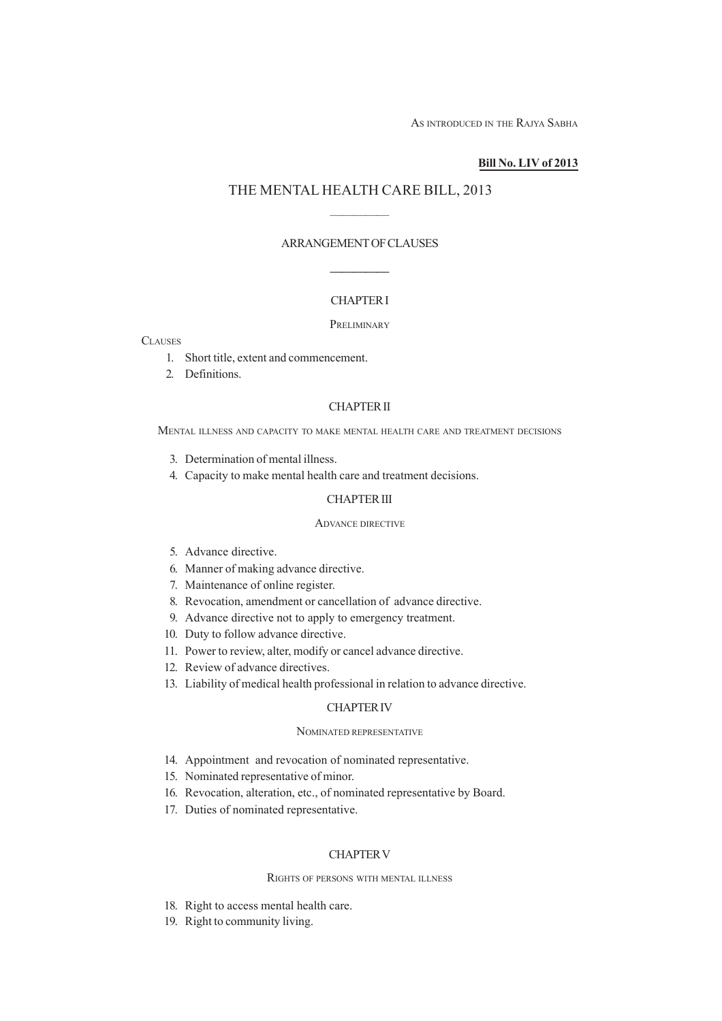AS INTRODUCED IN THE RAJYA SABHA

## **Bill No. LIV of 2013**

# THE MENTAL HEALTH CARE BILL, 2013

—————

# ARRANGEMENT OF CLAUSES

—————

# CHAPTER I

## PRELIMINARY

## **CLAUSES**

- 1. Short title, extent and commencement.
- 2. Definitions.

## CHAPTER II

MENTAL ILLNESS AND CAPACITY TO MAKE MENTAL HEALTH CARE AND TREATMENT DECISIONS

- 3. Determination of mental illness.
- 4. Capacity to make mental health care and treatment decisions.

## CHAPTER III

#### ADVANCE DIRECTIVE

- 5. Advance directive.
- 6. Manner of making advance directive.
- 7. Maintenance of online register.
- 8. Revocation, amendment or cancellation of advance directive.
- 9. Advance directive not to apply to emergency treatment.
- 10. Duty to follow advance directive.
- 11. Power to review, alter, modify or cancel advance directive.
- 12. Review of advance directives.
- 13. Liability of medical health professional in relation to advance directive.

## CHAPTER IV

#### NOMINATED REPRESENTATIVE

- 14. Appointment and revocation of nominated representative.
- 15. Nominated representative of minor.
- 16. Revocation, alteration, etc., of nominated representative by Board.
- 17. Duties of nominated representative.

## CHAPTER V

#### RIGHTS OF PERSONS WITH MENTAL ILLNESS

- 18. Right to access mental health care.
- 19. Right to community living.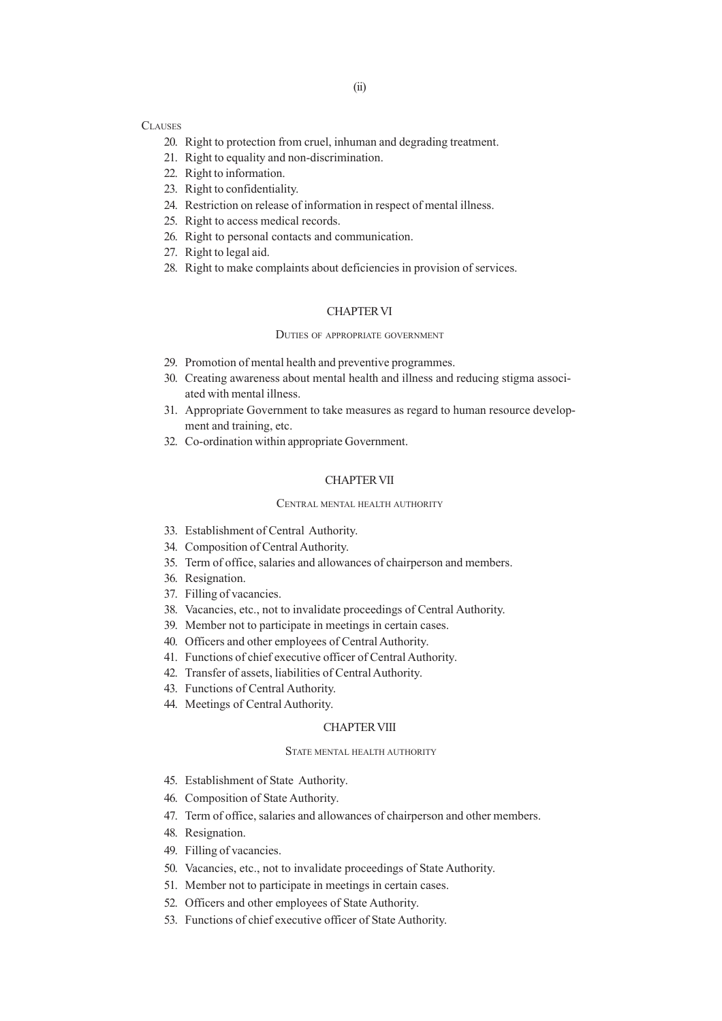# **CLAUSES**

- 20. Right to protection from cruel, inhuman and degrading treatment.
- 21. Right to equality and non-discrimination.
- 22. Right to information.
- 23. Right to confidentiality.
- 24. Restriction on release of information in respect of mental illness.
- 25. Right to access medical records.
- 26. Right to personal contacts and communication.
- 27. Right to legal aid.
- 28. Right to make complaints about deficiencies in provision of services.

# CHAPTER VI

#### DUTIES OF APPROPRIATE GOVERNMENT

- 29. Promotion of mental health and preventive programmes.
- 30. Creating awareness about mental health and illness and reducing stigma associated with mental illness.
- 31. Appropriate Government to take measures as regard to human resource development and training, etc.
- 32. Co-ordination within appropriate Government.

#### CHAPTER VII

#### CENTRAL MENTAL HEALTH AUTHORITY

- 33. Establishment of Central Authority.
- 34. Composition of Central Authority.
- 35. Term of office, salaries and allowances of chairperson and members.
- 36. Resignation.
- 37. Filling of vacancies.
- 38. Vacancies, etc., not to invalidate proceedings of Central Authority.
- 39. Member not to participate in meetings in certain cases.
- 40. Officers and other employees of Central Authority.
- 41. Functions of chief executive officer of Central Authority.
- 42. Transfer of assets, liabilities of Central Authority.
- 43. Functions of Central Authority.
- 44. Meetings of Central Authority.

## CHAPTER VIII

#### STATE MENTAL HEALTH AUTHORITY

- 45. Establishment of State Authority.
- 46. Composition of State Authority.
- 47. Term of office, salaries and allowances of chairperson and other members.
- 48. Resignation.
- 49. Filling of vacancies.
- 50. Vacancies, etc., not to invalidate proceedings of State Authority.
- 51. Member not to participate in meetings in certain cases.
- 52. Officers and other employees of State Authority.
- 53. Functions of chief executive officer of State Authority.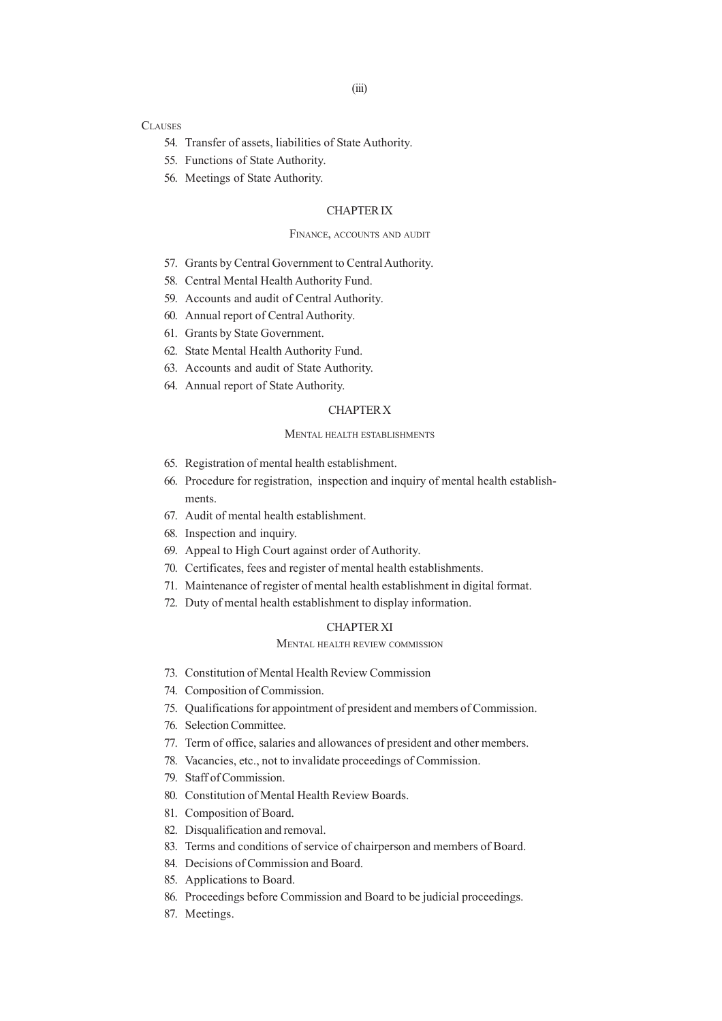# **CLAUSES**

- 54. Transfer of assets, liabilities of State Authority.
- 55. Functions of State Authority.
- 56. Meetings of State Authority.

## CHAPTER IX

#### FINANCE, ACCOUNTS AND AUDIT

- 57. Grants by Central Government to Central Authority.
- 58. Central Mental Health Authority Fund.
- 59. Accounts and audit of Central Authority.
- 60. Annual report of Central Authority.
- 61. Grants by State Government.
- 62. State Mental Health Authority Fund.
- 63. Accounts and audit of State Authority.
- 64. Annual report of State Authority.

## CHAPTER X

## MENTAL HEALTH ESTABLISHMENTS

- 65. Registration of mental health establishment.
- 66. Procedure for registration, inspection and inquiry of mental health establishments.
- 67. Audit of mental health establishment.
- 68. Inspection and inquiry.
- 69. Appeal to High Court against order of Authority.
- 70. Certificates, fees and register of mental health establishments.
- 71. Maintenance of register of mental health establishment in digital format.
- 72. Duty of mental health establishment to display information.

# CHAPTER XI

# MENTAL HEALTH REVIEW COMMISSION

- 73. Constitution of Mental Health Review Commission
- 74. Composition of Commission.
- 75. Qualifications for appointment of president and members of Commission.
- 76. Selection Committee.
- 77. Term of office, salaries and allowances of president and other members.
- 78. Vacancies, etc., not to invalidate proceedings of Commission.
- 79. Staff of Commission.
- 80. Constitution of Mental Health Review Boards.
- 81. Composition of Board.
- 82. Disqualification and removal.
- 83. Terms and conditions of service of chairperson and members of Board.
- 84. Decisions of Commission and Board.
- 85. Applications to Board.
- 86. Proceedings before Commission and Board to be judicial proceedings.
- 87. Meetings.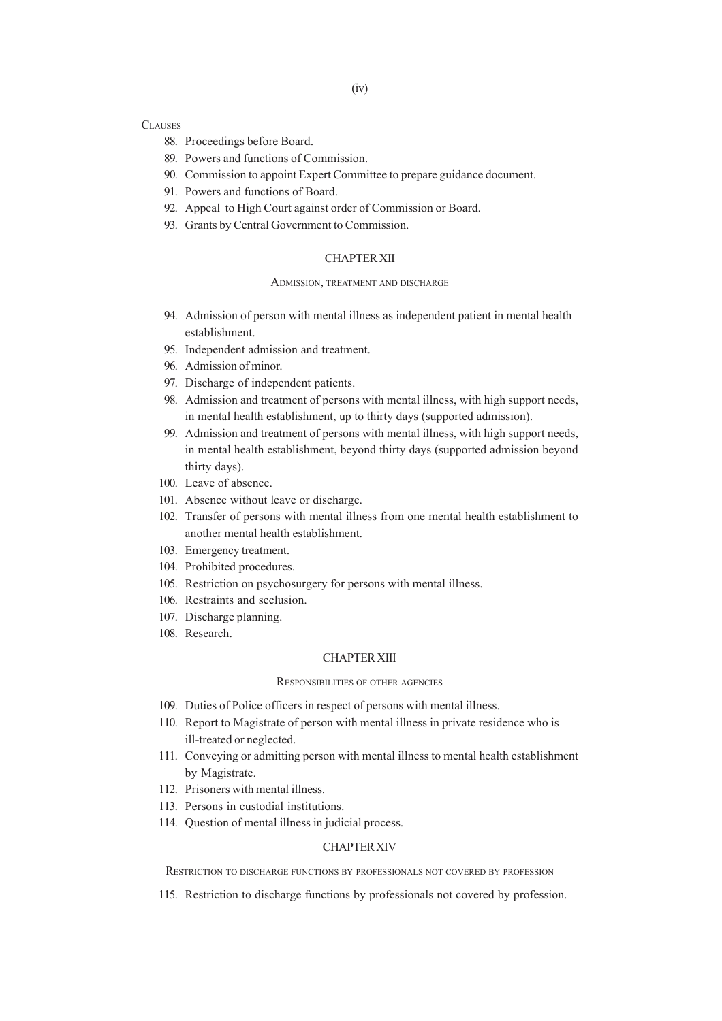# **CLAUSES**

- 88. Proceedings before Board.
- 89. Powers and functions of Commission.
- 90. Commission to appoint Expert Committee to prepare guidance document.
- 91. Powers and functions of Board.
- 92. Appeal to High Court against order of Commission or Board.
- 93. Grants by Central Government to Commission.

## CHAPTER XII

#### ADMISSION, TREATMENT AND DISCHARGE

- 94. Admission of person with mental illness as independent patient in mental health establishment.
- 95. Independent admission and treatment.
- 96. Admission of minor.
- 97. Discharge of independent patients.
- 98. Admission and treatment of persons with mental illness, with high support needs, in mental health establishment, up to thirty days (supported admission).
- 99. Admission and treatment of persons with mental illness, with high support needs, in mental health establishment, beyond thirty days (supported admission beyond thirty days).
- 100. Leave of absence.
- 101. Absence without leave or discharge.
- 102. Transfer of persons with mental illness from one mental health establishment to another mental health establishment.
- 103. Emergency treatment.
- 104. Prohibited procedures.
- 105. Restriction on psychosurgery for persons with mental illness.
- 106. Restraints and seclusion.
- 107. Discharge planning.
- 108. Research.

## CHAPTER XIII

## RESPONSIBILITIES OF OTHER AGENCIES

- 109. Duties of Police officers in respect of persons with mental illness.
- 110. Report to Magistrate of person with mental illness in private residence who is ill-treated or neglected.
- 111. Conveying or admitting person with mental illness to mental health establishment by Magistrate.
- 112. Prisoners with mental illness.
- 113. Persons in custodial institutions.
- 114. Question of mental illness in judicial process.

## CHAPTER XIV

RESTRICTION TO DISCHARGE FUNCTIONS BY PROFESSIONALS NOT COVERED BY PROFESSION

115. Restriction to discharge functions by professionals not covered by profession.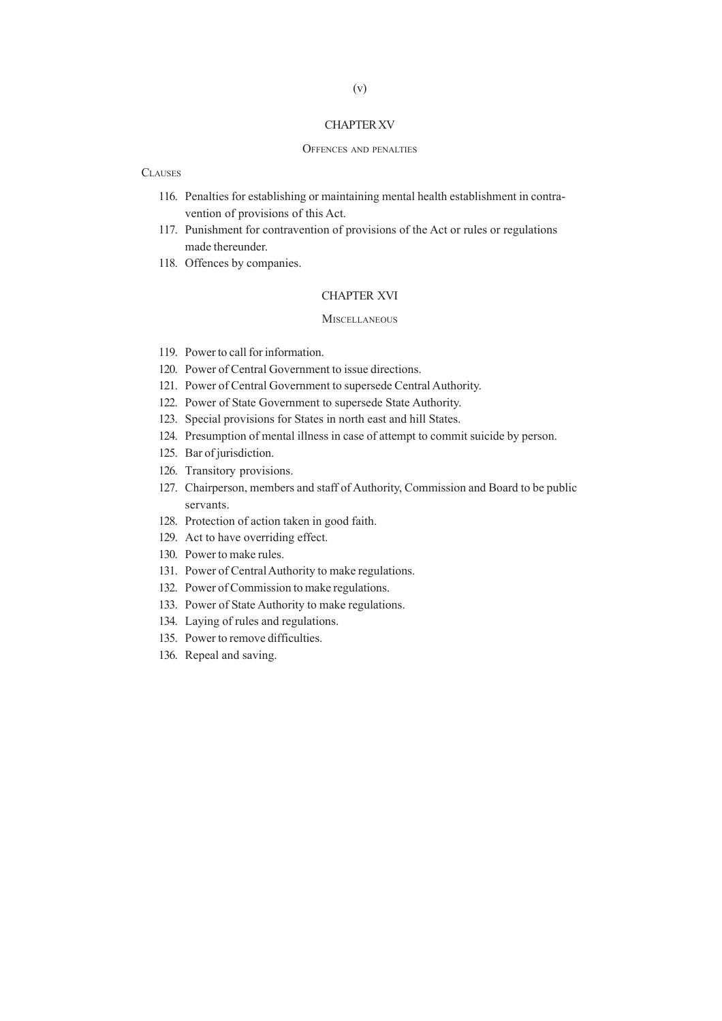#### CHAPTER XV

#### OFFENCES AND PENALTIES

## **CLAUSES**

- 116. Penalties for establishing or maintaining mental health establishment in contravention of provisions of this Act.
- 117. Punishment for contravention of provisions of the Act or rules or regulations made thereunder.
- 118. Offences by companies.

#### CHAPTER XVI

#### **MISCELLANEOUS**

- 119. Power to call for information.
- 120. Power of Central Government to issue directions.
- 121. Power of Central Government to supersede Central Authority.
- 122. Power of State Government to supersede State Authority.
- 123. Special provisions for States in north east and hill States.
- 124. Presumption of mental illness in case of attempt to commit suicide by person.
- 125. Bar of jurisdiction.
- 126. Transitory provisions.
- 127. Chairperson, members and staff of Authority, Commission and Board to be public servants.
- 128. Protection of action taken in good faith.
- 129. Act to have overriding effect.
- 130. Power to make rules.
- 131. Power of Central Authority to make regulations.
- 132. Power of Commission to make regulations.
- 133. Power of State Authority to make regulations.
- 134. Laying of rules and regulations.
- 135. Power to remove difficulties.
- 136. Repeal and saving.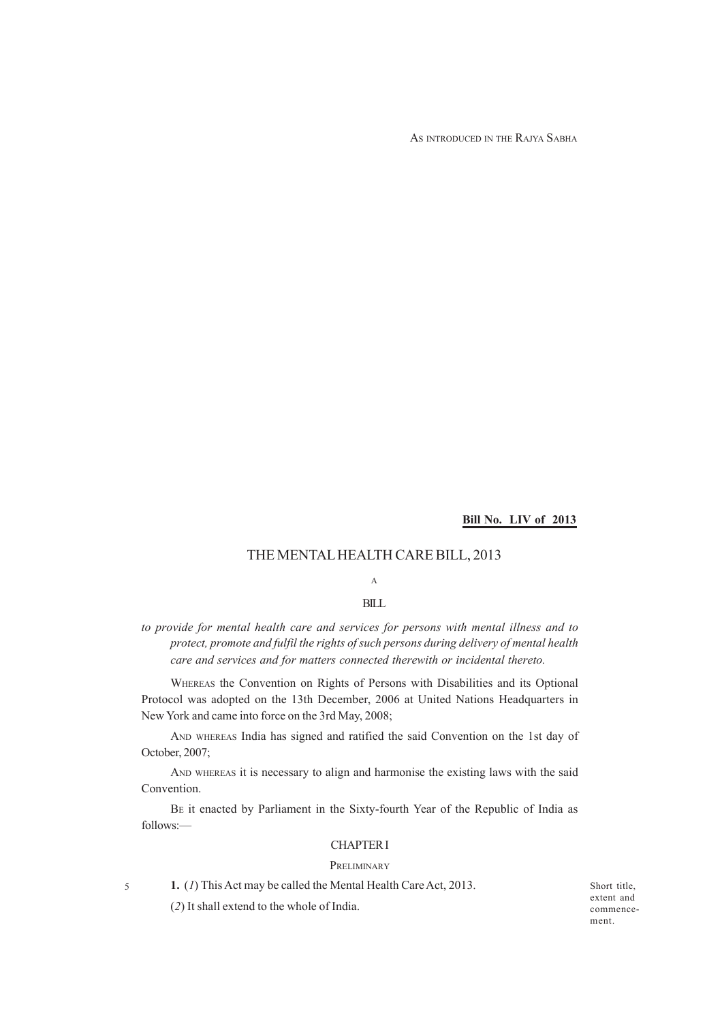AS INTRODUCED IN THE RAJYA SABHA

**Bill No. LIV of 2013**

# THE MENTAL HEALTH CARE BILL, 2013

# A

# BILL

*to provide for mental health care and services for persons with mental illness and to protect, promote and fulfil the rights of such persons during delivery of mental health care and services and for matters connected therewith or incidental thereto.*

WHEREAS the Convention on Rights of Persons with Disabilities and its Optional Protocol was adopted on the 13th December, 2006 at United Nations Headquarters in New York and came into force on the 3rd May, 2008;

AND WHEREAS India has signed and ratified the said Convention on the 1st day of October, 2007;

AND WHEREAS it is necessary to align and harmonise the existing laws with the said Convention.

BE it enacted by Parliament in the Sixty-fourth Year of the Republic of India as follows:—

## CHAPTER I

#### PRELIMINARY

5

**1.** (*1*) This Act may be called the Mental Health Care Act, 2013.

(*2*) It shall extend to the whole of India.

Short title, extent and commencement.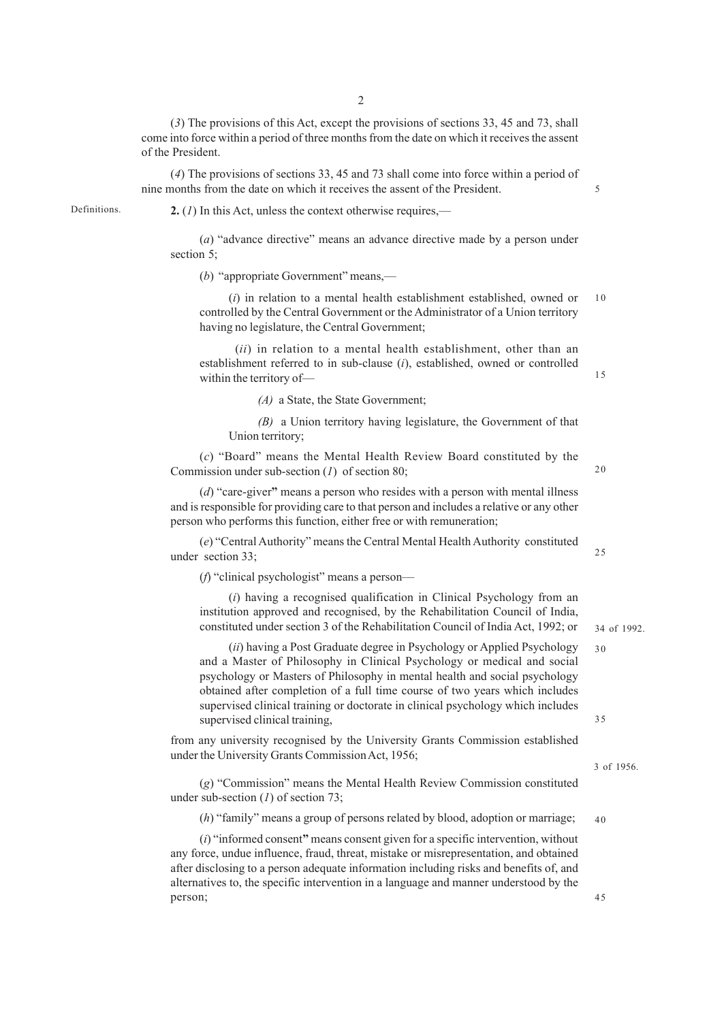(*3*) The provisions of this Act, except the provisions of sections 33, 45 and 73, shall come into force within a period of three months from the date on which it receives the assent of the President.

(*4*) The provisions of sections 33, 45 and 73 shall come into force within a period of nine months from the date on which it receives the assent of the President.

Definitions.

**2.** (*1*) In this Act, unless the context otherwise requires,––

(*a*) "advance directive" means an advance directive made by a person under section 5;

(*b*) "appropriate Government" means,––

(*i*) in relation to a mental health establishment established, owned or controlled by the Central Government or the Administrator of a Union territory having no legislature, the Central Government; 10

(*ii*) in relation to a mental health establishment, other than an establishment referred to in sub-clause (*i*), established, owned or controlled within the territory of—

*(A)* a State, the State Government;

*(B)* a Union territory having legislature, the Government of that Union territory;

(*c*) "Board" means the Mental Health Review Board constituted by the Commission under sub-section (*1*) of section 80;

(*d*) "care-giver**"** means a person who resides with a person with mental illness and is responsible for providing care to that person and includes a relative or any other person who performs this function, either free or with remuneration;

(*e*) "Central Authority" means the Central Mental Health Authority constituted under section 33;

(*f*) "clinical psychologist" means a person––

(*i*) having a recognised qualification in Clinical Psychology from an institution approved and recognised, by the Rehabilitation Council of India, constituted under section 3 of the Rehabilitation Council of India Act, 1992; or

(*ii*) having a Post Graduate degree in Psychology or Applied Psychology and a Master of Philosophy in Clinical Psychology or medical and social psychology or Masters of Philosophy in mental health and social psychology obtained after completion of a full time course of two years which includes supervised clinical training or doctorate in clinical psychology which includes supervised clinical training,

from any university recognised by the University Grants Commission established under the University Grants Commission Act, 1956;

(*g*) "Commission" means the Mental Health Review Commission constituted under sub-section (*1*) of section 73;

(*h*) "family" means a group of persons related by blood, adoption or marriage; 40

(*i*) "informed consent**"** means consent given for a specific intervention, without any force, undue influence, fraud, threat, mistake or misrepresentation, and obtained after disclosing to a person adequate information including risks and benefits of, and alternatives to, the specific intervention in a language and manner understood by the person;

25

20

34 of 1992.

 $30$ 

35

45

3 of 1956.

15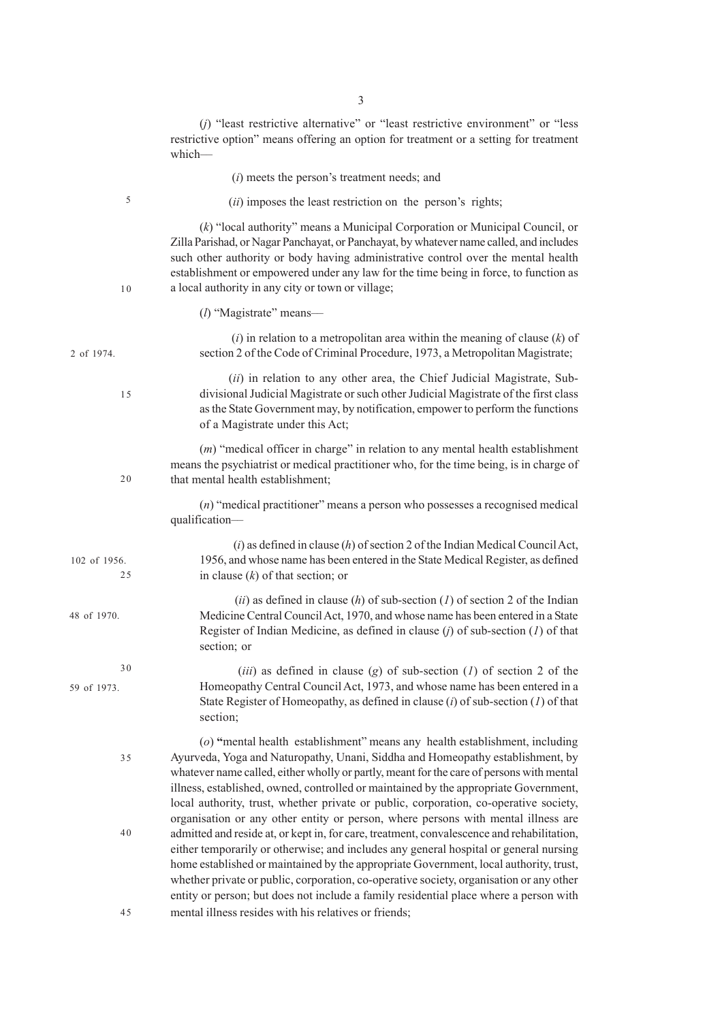|                    | $(j)$ "least restrictive alternative" or "least restrictive environment" or "less"<br>restrictive option" means offering an option for treatment or a setting for treatment<br>which-                                                                                                                                                                                                                                                                                                                                           |
|--------------------|---------------------------------------------------------------------------------------------------------------------------------------------------------------------------------------------------------------------------------------------------------------------------------------------------------------------------------------------------------------------------------------------------------------------------------------------------------------------------------------------------------------------------------|
|                    | $(i)$ meets the person's treatment needs; and                                                                                                                                                                                                                                                                                                                                                                                                                                                                                   |
| $\sqrt{5}$         | ( <i>ii</i> ) imposes the least restriction on the person's rights;                                                                                                                                                                                                                                                                                                                                                                                                                                                             |
| 10                 | $(k)$ "local authority" means a Municipal Corporation or Municipal Council, or<br>Zilla Parishad, or Nagar Panchayat, or Panchayat, by whatever name called, and includes<br>such other authority or body having administrative control over the mental health<br>establishment or empowered under any law for the time being in force, to function as<br>a local authority in any city or town or village;                                                                                                                     |
|                    | $(l)$ "Magistrate" means—                                                                                                                                                                                                                                                                                                                                                                                                                                                                                                       |
| 2 of 1974.         | $(i)$ in relation to a metropolitan area within the meaning of clause $(k)$ of<br>section 2 of the Code of Criminal Procedure, 1973, a Metropolitan Magistrate;                                                                                                                                                                                                                                                                                                                                                                 |
| 15                 | (ii) in relation to any other area, the Chief Judicial Magistrate, Sub-<br>divisional Judicial Magistrate or such other Judicial Magistrate of the first class<br>as the State Government may, by notification, empower to perform the functions<br>of a Magistrate under this Act;                                                                                                                                                                                                                                             |
| 20                 | $(m)$ "medical officer in charge" in relation to any mental health establishment<br>means the psychiatrist or medical practitioner who, for the time being, is in charge of<br>that mental health establishment;                                                                                                                                                                                                                                                                                                                |
|                    | $(n)$ "medical practitioner" means a person who possesses a recognised medical<br>qualification-                                                                                                                                                                                                                                                                                                                                                                                                                                |
| 102 of 1956.<br>25 | $(i)$ as defined in clause $(h)$ of section 2 of the Indian Medical Council Act,<br>1956, and whose name has been entered in the State Medical Register, as defined<br>in clause $(k)$ of that section; or                                                                                                                                                                                                                                                                                                                      |
| 48 of 1970.        | (ii) as defined in clause (h) of sub-section (1) of section 2 of the Indian<br>Medicine Central Council Act, 1970, and whose name has been entered in a State<br>Register of Indian Medicine, as defined in clause $(j)$ of sub-section $(I)$ of that<br>section; or                                                                                                                                                                                                                                                            |
| 30<br>59 of 1973.  | ( <i>iii</i> ) as defined in clause ( <i>g</i> ) of sub-section ( <i>l</i> ) of section 2 of the<br>Homeopathy Central Council Act, 1973, and whose name has been entered in a<br>State Register of Homeopathy, as defined in clause $(i)$ of sub-section $(I)$ of that<br>section;                                                                                                                                                                                                                                             |
| 35                 | (o) "mental health establishment" means any health establishment, including<br>Ayurveda, Yoga and Naturopathy, Unani, Siddha and Homeopathy establishment, by<br>whatever name called, either wholly or partly, meant for the care of persons with mental<br>illness, established, owned, controlled or maintained by the appropriate Government,<br>local authority, trust, whether private or public, corporation, co-operative society,<br>organisation or any other entity or person, where persons with mental illness are |
| 40                 | admitted and reside at, or kept in, for care, treatment, convalescence and rehabilitation,<br>either temporarily or otherwise; and includes any general hospital or general nursing<br>home established or maintained by the appropriate Government, local authority, trust,<br>whether private or public, corporation, co-operative society, organisation or any other<br>entity or person; but does not include a family residential place where a person with                                                                |
| 45                 | mental illness resides with his relatives or friends;                                                                                                                                                                                                                                                                                                                                                                                                                                                                           |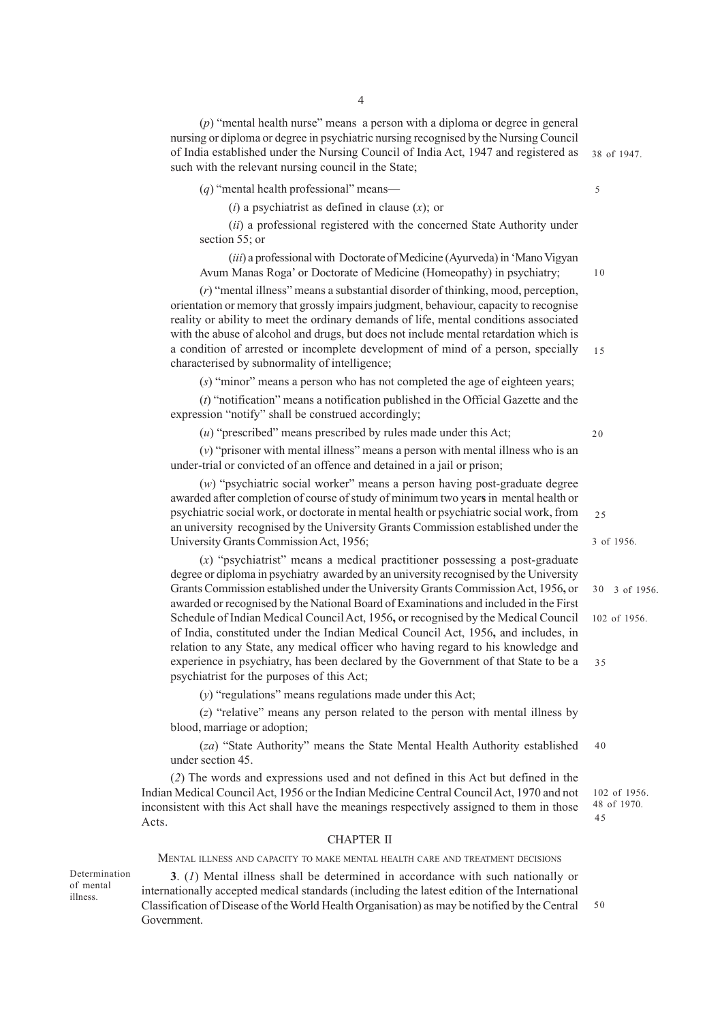(*p*) "mental health nurse" means a person with a diploma or degree in general nursing or diploma or degree in psychiatric nursing recognised by the Nursing Council of India established under the Nursing Council of India Act, 1947 and registered as such with the relevant nursing council in the State;

(*q*) "mental health professional" means—

(*i*) a psychiatrist as defined in clause (*x*); or

(*ii*) a professional registered with the concerned State Authority under section 55; or

(*iii*) a professional with Doctorate of Medicine (Ayurveda) in 'Mano Vigyan Avum Manas Roga' or Doctorate of Medicine (Homeopathy) in psychiatry;

(*r*) "mental illness" means a substantial disorder of thinking, mood, perception, orientation or memory that grossly impairs judgment, behaviour, capacity to recognise reality or ability to meet the ordinary demands of life, mental conditions associated with the abuse of alcohol and drugs, but does not include mental retardation which is a condition of arrested or incomplete development of mind of a person, specially characterised by subnormality of intelligence;

(*s*) "minor" means a person who has not completed the age of eighteen years;

(*t*) "notification" means a notification published in the Official Gazette and the expression "notify" shall be construed accordingly;

(*u*) "prescribed" means prescribed by rules made under this Act;

(*v*) "prisoner with mental illness" means a person with mental illness who is an under-trial or convicted of an offence and detained in a jail or prison;

(*w*) "psychiatric social worker" means a person having post-graduate degree awarded after completion of course of study of minimum two year**s** in mental health or psychiatric social work, or doctorate in mental health or psychiatric social work, from an university recognised by the University Grants Commission established under the University Grants Commission Act, 1956;

(*x*) "psychiatrist" means a medical practitioner possessing a post-graduate degree or diploma in psychiatry awarded by an university recognised by the University Grants Commission established under the University Grants Commission Act, 1956**,** or awarded or recognised by the National Board of Examinations and included in the First Schedule of Indian Medical Council Act, 1956**,** or recognised by the Medical Council of India, constituted under the Indian Medical Council Act, 1956**,** and includes, in relation to any State, any medical officer who having regard to his knowledge and experience in psychiatry, has been declared by the Government of that State to be a psychiatrist for the purposes of this Act;

(*y*) "regulations" means regulations made under this Act;

(*z*) "relative" means any person related to the person with mental illness by blood, marriage or adoption;

(*za*) "State Authority" means the State Mental Health Authority established under section 45. 40

(*2*) The words and expressions used and not defined in this Act but defined in the Indian Medical Council Act, 1956 or the Indian Medicine Central Council Act, 1970 and not inconsistent with this Act shall have the meanings respectively assigned to them in those Acts.

#### CHAPTER II

MENTAL ILLNESS AND CAPACITY TO MAKE MENTAL HEALTH CARE AND TREATMENT DECISIONS

Determination of mental illness.

**3**. (*1*) Mental illness shall be determined in accordance with such nationally or internationally accepted medical standards (including the latest edition of the International Classification of Disease of the World Health Organisation) as may be notified by the Central Government. 50

38 of 1947.

5

10

15

20

3 of 1956.

25

30 3 of 1956.

102 of 1956.

35

102 of 1956. 48 of 1970. 45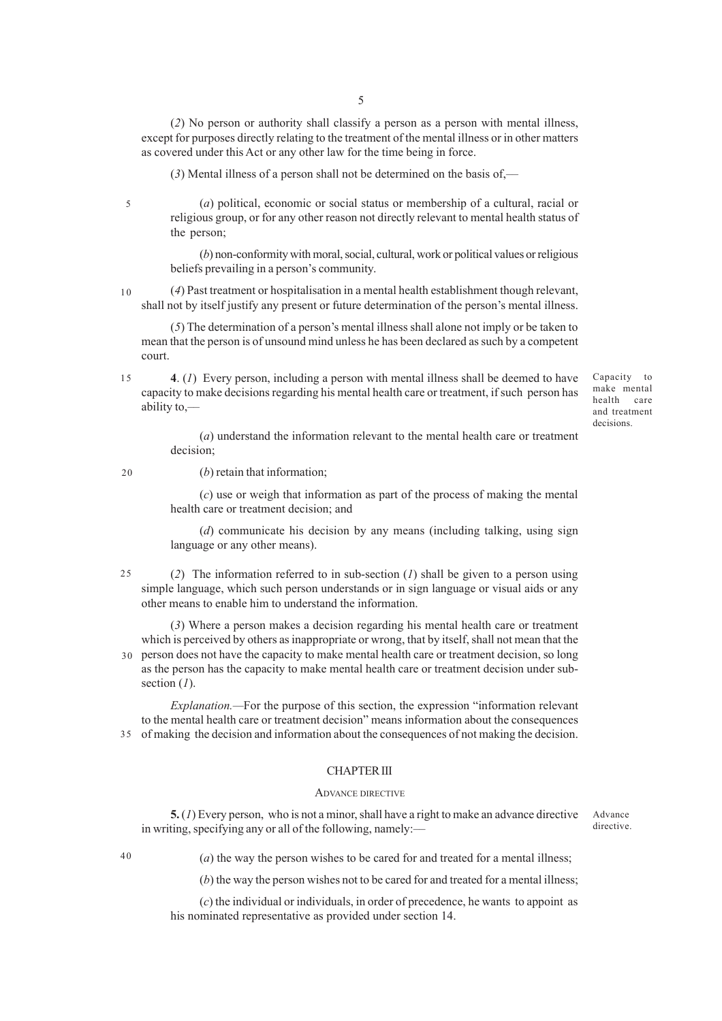(*2*) No person or authority shall classify a person as a person with mental illness, except for purposes directly relating to the treatment of the mental illness or in other matters as covered under this Act or any other law for the time being in force.

(*3*) Mental illness of a person shall not be determined on the basis of,––

5

(*a*) political, economic or social status or membership of a cultural, racial or religious group, or for any other reason not directly relevant to mental health status of the person;

(*b*) non-conformity with moral, social, cultural, work or political values or religious beliefs prevailing in a person's community.

(*4*) Past treatment or hospitalisation in a mental health establishment though relevant, shall not by itself justify any present or future determination of the person's mental illness. 10

(*5*) The determination of a person's mental illness shall alone not imply or be taken to mean that the person is of unsound mind unless he has been declared as such by a competent court.

**4**. (*1*) Every person, including a person with mental illness shall be deemed to have capacity to make decisions regarding his mental health care or treatment, if such person has ability to,–– 15

Capacity to make mental health care and treatment decisions.

(*a*) understand the information relevant to the mental health care or treatment decision;

20

## (*b*) retain that information;

(*c*) use or weigh that information as part of the process of making the mental health care or treatment decision; and

(*d*) communicate his decision by any means (including talking, using sign language or any other means).

(*2*) The information referred to in sub-section (*1*) shall be given to a person using simple language, which such person understands or in sign language or visual aids or any other means to enable him to understand the information. 25

(*3*) Where a person makes a decision regarding his mental health care or treatment which is perceived by others as inappropriate or wrong, that by itself, shall not mean that the person does not have the capacity to make mental health care or treatment decision, so long as the person has the capacity to make mental health care or treatment decision under subsection (*1*). 30

*Explanation.—*For the purpose of this section, the expression "information relevant to the mental health care or treatment decision" means information about the consequences of making the decision and information about the consequences of not making the decision. 35

# CHAPTER III

#### ADVANCE DIRECTIVE

**5.** (*1*) Every person, who is not a minor, shall have a right to make an advance directive in writing, specifying any or all of the following, namely:––

Advance directive.

 $40$ 

(*a*) the way the person wishes to be cared for and treated for a mental illness;

(*b*) the way the person wishes not to be cared for and treated for a mental illness;

(*c*) the individual or individuals, in order of precedence, he wants to appoint as his nominated representative as provided under section 14.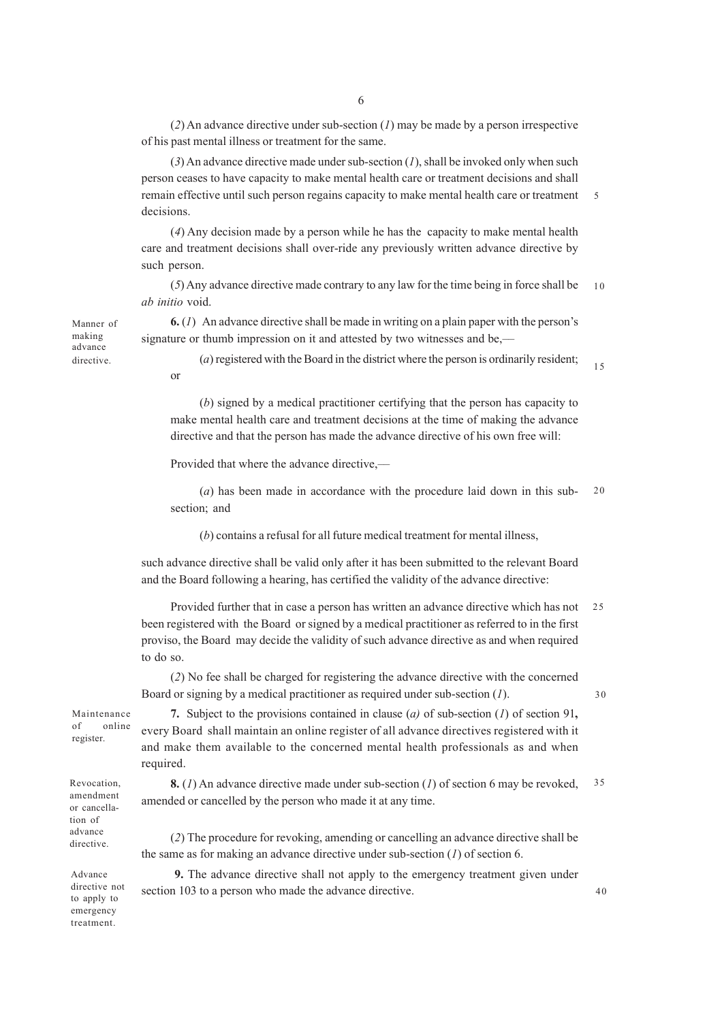(*2*) An advance directive under sub-section (*1*) may be made by a person irrespective of his past mental illness or treatment for the same.

(*3*) An advance directive made under sub-section (*1*), shall be invoked only when such person ceases to have capacity to make mental health care or treatment decisions and shall remain effective until such person regains capacity to make mental health care or treatment decisions. 5

(*4*) Any decision made by a person while he has the capacity to make mental health care and treatment decisions shall over-ride any previously written advance directive by such person.

(*5*) Any advance directive made contrary to any law for the time being in force shall be *ab initio* void. 10

**6.** (*1*) An advance directive shall be made in writing on a plain paper with the person's signature or thumb impression on it and attested by two witnesses and be,––

(*a*) registered with the Board in the district where the person is ordinarily resident; 15

(*b*) signed by a medical practitioner certifying that the person has capacity to make mental health care and treatment decisions at the time of making the advance directive and that the person has made the advance directive of his own free will:

Provided that where the advance directive.—

(*a*) has been made in accordance with the procedure laid down in this subsection; and  $20$ 

(*b*) contains a refusal for all future medical treatment for mental illness,

such advance directive shall be valid only after it has been submitted to the relevant Board and the Board following a hearing, has certified the validity of the advance directive:

Provided further that in case a person has written an advance directive which has not been registered with the Board or signed by a medical practitioner as referred to in the first proviso, the Board may decide the validity of such advance directive as and when required to do so. 25

(*2*) No fee shall be charged for registering the advance directive with the concerned Board or signing by a medical practitioner as required under sub-section (*1*).

30

Maintenance of online register.

Revocation, amendment or cancellation of advance directive.

**7.** Subject to the provisions contained in clause (*a)* of sub-section (*1*) of section 91**,** every Board shall maintain an online register of all advance directives registered with it and make them available to the concerned mental health professionals as and when required.

**8.** (*1*) An advance directive made under sub-section (*1*) of section 6 may be revoked, amended or cancelled by the person who made it at any time. 35

(*2*) The procedure for revoking, amending or cancelling an advance directive shall be the same as for making an advance directive under sub-section (*1*) of section 6.

Advance directive not to apply to emergency treatment.

 **9.** The advance directive shall not apply to the emergency treatment given under section 103 to a person who made the advance directive.

or Manner of making advance directive.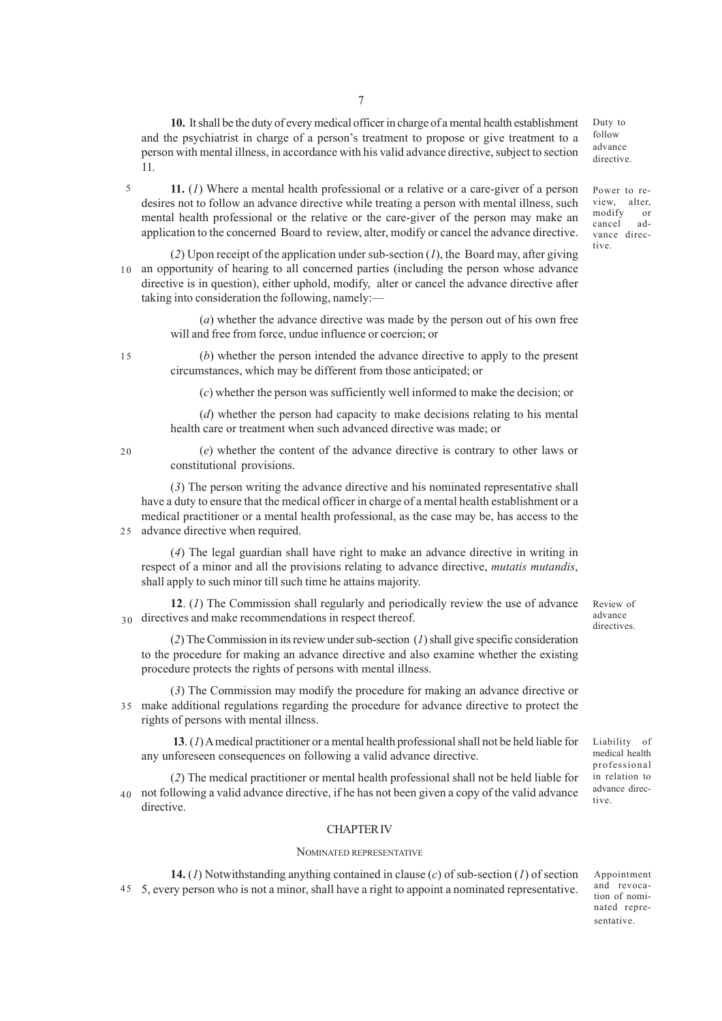**10.** It shall be the duty of every medical officer in charge of a mental health establishment and the psychiatrist in charge of a person's treatment to propose or give treatment to a person with mental illness, in accordance with his valid advance directive, subject to section 11.

**11.** (*1*) Where a mental health professional or a relative or a care-giver of a person desires not to follow an advance directive while treating a person with mental illness, such mental health professional or the relative or the care-giver of the person may make an application to the concerned Board to review, alter, modify or cancel the advance directive. 5

(*2*) Upon receipt of the application under sub-section (*1*), the Board may, after giving 10 an opportunity of hearing to all concerned parties (including the person whose advance directive is in question), either uphold, modify, alter or cancel the advance directive after taking into consideration the following, namely:––

> (*a*) whether the advance directive was made by the person out of his own free will and free from force, undue influence or coercion; or

 $15$ 

(*b*) whether the person intended the advance directive to apply to the present circumstances, which may be different from those anticipated; or

(*c*) whether the person was sufficiently well informed to make the decision; or

(*d*) whether the person had capacity to make decisions relating to his mental health care or treatment when such advanced directive was made; or

20

(*e*) whether the content of the advance directive is contrary to other laws or constitutional provisions.

(*3*) The person writing the advance directive and his nominated representative shall have a duty to ensure that the medical officer in charge of a mental health establishment or a medical practitioner or a mental health professional, as the case may be, has access to the advance directive when required. 25

(*4*) The legal guardian shall have right to make an advance directive in writing in respect of a minor and all the provisions relating to advance directive, *mutatis mutandis*, shall apply to such minor till such time he attains majority.

**12**. (*1*) The Commission shall regularly and periodically review the use of advance 30 directives and make recommendations in respect thereof.

(*2*) The Commission in its review under sub-section (*1*) shall give specific consideration to the procedure for making an advance directive and also examine whether the existing procedure protects the rights of persons with mental illness.

(*3*) The Commission may modify the procedure for making an advance directive or make additional regulations regarding the procedure for advance directive to protect the 35 rights of persons with mental illness.

**13**. (*1*) A medical practitioner or a mental health professional shall not be held liable for any unforeseen consequences on following a valid advance directive.

(*2*) The medical practitioner or mental health professional shall not be held liable for not following a valid advance directive, if he has not been given a copy of the valid advance directive. 40

#### CHAPTER IV

#### NOMINATED REPRESENTATIVE

**14.** (*1*) Notwithstanding anything contained in clause (*c*) of sub-section (*1*) of section 5, every person who is not a minor, shall have a right to appoint a nominated representative. 45

directives.

Liability of medical health professional in relation to advance directive.

Review of advance

Appointment

Power to review, alter modify or cancel advance directive.

Duty to follow advance directive.

and revocation of nominated representative.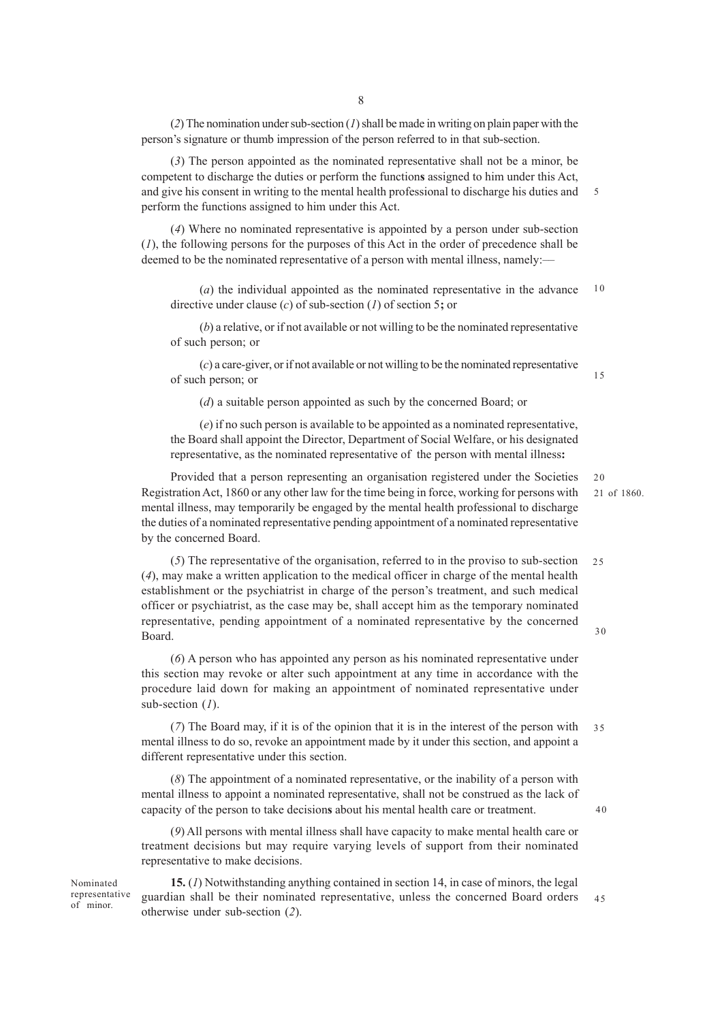(*2*) The nomination under sub-section (*1*) shall be made in writing on plain paper with the person's signature or thumb impression of the person referred to in that sub-section.

(*3*) The person appointed as the nominated representative shall not be a minor, be competent to discharge the duties or perform the function**s** assigned to him under this Act, and give his consent in writing to the mental health professional to discharge his duties and perform the functions assigned to him under this Act. 5

(*4*) Where no nominated representative is appointed by a person under sub-section (*1*), the following persons for the purposes of this Act in the order of precedence shall be deemed to be the nominated representative of a person with mental illness, namely:—

(*a*) the individual appointed as the nominated representative in the advance directive under clause (*c*) of sub-section (*1*) of section 5**;** or 10

(*b*) a relative, or if not available or not willing to be the nominated representative of such person; or

(*c*) a care-giver, or if not available or not willing to be the nominated representative of such person; or

(*d*) a suitable person appointed as such by the concerned Board; or

(*e*) if no such person is available to be appointed as a nominated representative, the Board shall appoint the Director, Department of Social Welfare, or his designated representative, as the nominated representative of the person with mental illness**:**

Provided that a person representing an organisation registered under the Societies Registration Act, 1860 or any other law for the time being in force, working for persons with mental illness, may temporarily be engaged by the mental health professional to discharge the duties of a nominated representative pending appointment of a nominated representative by the concerned Board.

(*5*) The representative of the organisation, referred to in the proviso to sub-section (*4*), may make a written application to the medical officer in charge of the mental health establishment or the psychiatrist in charge of the person's treatment, and such medical officer or psychiatrist, as the case may be, shall accept him as the temporary nominated representative, pending appointment of a nominated representative by the concerned Board. 25 30

(*6*) A person who has appointed any person as his nominated representative under this section may revoke or alter such appointment at any time in accordance with the procedure laid down for making an appointment of nominated representative under sub-section (*1*).

(*7*) The Board may, if it is of the opinion that it is in the interest of the person with mental illness to do so, revoke an appointment made by it under this section, and appoint a different representative under this section. 35

(*8*) The appointment of a nominated representative, or the inability of a person with mental illness to appoint a nominated representative, shall not be construed as the lack of capacity of the person to take decision**s** about his mental health care or treatment.

(*9*) All persons with mental illness shall have capacity to make mental health care or treatment decisions but may require varying levels of support from their nominated representative to make decisions.

**15.** (*1*) Notwithstanding anything contained in section 14, in case of minors, the legal guardian shall be their nominated representative, unless the concerned Board orders otherwise under sub-section (*2*). 45

15

20

40

Nominated representative of minor.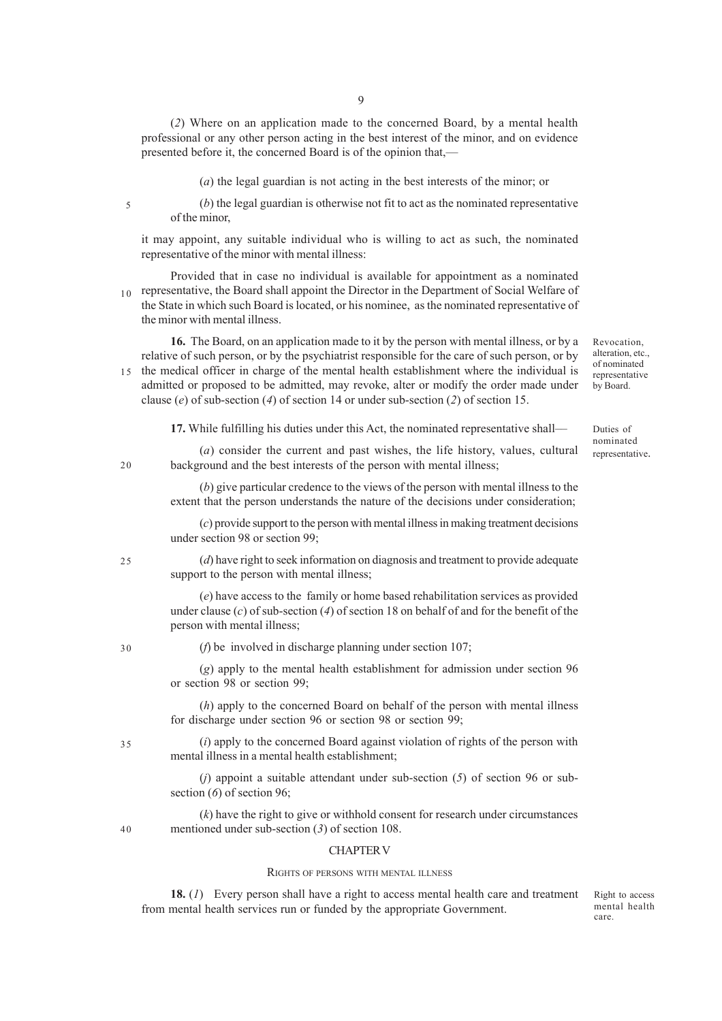(*2*) Where on an application made to the concerned Board, by a mental health professional or any other person acting in the best interest of the minor, and on evidence presented before it, the concerned Board is of the opinion that,––

(*a*) the legal guardian is not acting in the best interests of the minor; or

5

(*b*) the legal guardian is otherwise not fit to act as the nominated representative of the minor,

it may appoint, any suitable individual who is willing to act as such, the nominated representative of the minor with mental illness:

Provided that in case no individual is available for appointment as a nominated  $r_{10}$  representative, the Board shall appoint the Director in the Department of Social Welfare of the State in which such Board is located, or his nominee, as the nominated representative of the minor with mental illness.

**16.** The Board, on an application made to it by the person with mental illness, or by a relative of such person, or by the psychiatrist responsible for the care of such person, or by the medical officer in charge of the mental health establishment where the individual is admitted or proposed to be admitted, may revoke, alter or modify the order made under clause (*e*) of sub-section (*4*) of section 14 or under sub-section (*2*) of section 15. 15

**17.** While fulfilling his duties under this Act, the nominated representative shall––

(*a*) consider the current and past wishes, the life history, values, cultural background and the best interests of the person with mental illness;

(*b*) give particular credence to the views of the person with mental illness to the extent that the person understands the nature of the decisions under consideration;

(*c*) provide support to the person with mental illness in making treatment decisions under section 98 or section 99;

(*d*) have right to seek information on diagnosis and treatment to provide adequate support to the person with mental illness;

(*e*) have access to the family or home based rehabilitation services as provided under clause (*c*) of sub-section (*4*) of section 18 on behalf of and for the benefit of the person with mental illness;

30

35

40

25

 $20$ 

(*f*) be involved in discharge planning under section 107;

(*g*) apply to the mental health establishment for admission under section 96 or section 98 or section 99;

(*h*) apply to the concerned Board on behalf of the person with mental illness for discharge under section 96 or section 98 or section 99;

(*i*) apply to the concerned Board against violation of rights of the person with mental illness in a mental health establishment;

(*j*) appoint a suitable attendant under sub-section (*5*) of section 96 or subsection (*6*) of section 96;

(*k*) have the right to give or withhold consent for research under circumstances mentioned under sub-section (*3*) of section 108.

#### CHAPTER V

# RIGHTS OF PERSONS WITH MENTAL ILLNESS

**18.** (*1*) Every person shall have a right to access mental health care and treatment from mental health services run or funded by the appropriate Government.

Right to access mental health care.

Revocation, alteration, etc., of nominated representative by Board.

Duties of nominated representative.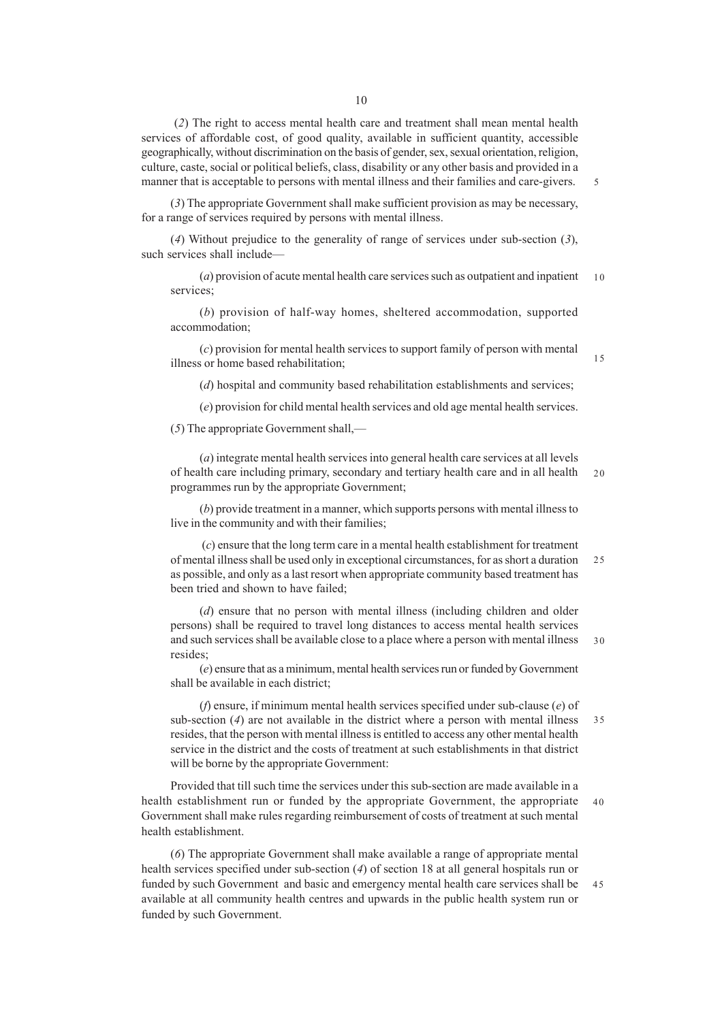(*2*) The right to access mental health care and treatment shall mean mental health services of affordable cost, of good quality, available in sufficient quantity, accessible geographically, without discrimination on the basis of gender, sex, sexual orientation, religion, culture, caste, social or political beliefs, class, disability or any other basis and provided in a manner that is acceptable to persons with mental illness and their families and care-givers.

(*3*) The appropriate Government shall make sufficient provision as may be necessary, for a range of services required by persons with mental illness.

(*4*) Without prejudice to the generality of range of services under sub-section (*3*), such services shall include––

(*a*) provision of acute mental health care services such as outpatient and inpatient services;  $1<sub>0</sub>$ 

(*b*) provision of half-way homes, sheltered accommodation, supported accommodation;

(*c*) provision for mental health services to support family of person with mental illness or home based rehabilitation;

(*d*) hospital and community based rehabilitation establishments and services;

(*e*) provision for child mental health services and old age mental health services.

(*5*) The appropriate Government shall,—

(*a*) integrate mental health services into general health care services at all levels of health care including primary, secondary and tertiary health care and in all health programmes run by the appropriate Government; 20

(*b*) provide treatment in a manner, which supports persons with mental illness to live in the community and with their families;

 (*c*) ensure that the long term care in a mental health establishment for treatment of mental illness shall be used only in exceptional circumstances, for as short a duration as possible, and only as a last resort when appropriate community based treatment has been tried and shown to have failed;  $25$ 

(*d*) ensure that no person with mental illness (including children and older persons) shall be required to travel long distances to access mental health services and such services shall be available close to a place where a person with mental illness resides; 30

(*e*) ensure that as a minimum, mental health services run or funded by Government shall be available in each district;

(*f*) ensure, if minimum mental health services specified under sub-clause (*e*) of sub-section (*4*) are not available in the district where a person with mental illness resides, that the person with mental illness is entitled to access any other mental health service in the district and the costs of treatment at such establishments in that district will be borne by the appropriate Government: 35

Provided that till such time the services under this sub-section are made available in a health establishment run or funded by the appropriate Government, the appropriate Government shall make rules regarding reimbursement of costs of treatment at such mental health establishment. 40

(*6*) The appropriate Government shall make available a range of appropriate mental health services specified under sub-section (*4*) of section 18 at all general hospitals run or funded by such Government and basic and emergency mental health care services shall be available at all community health centres and upwards in the public health system run or funded by such Government. 45

15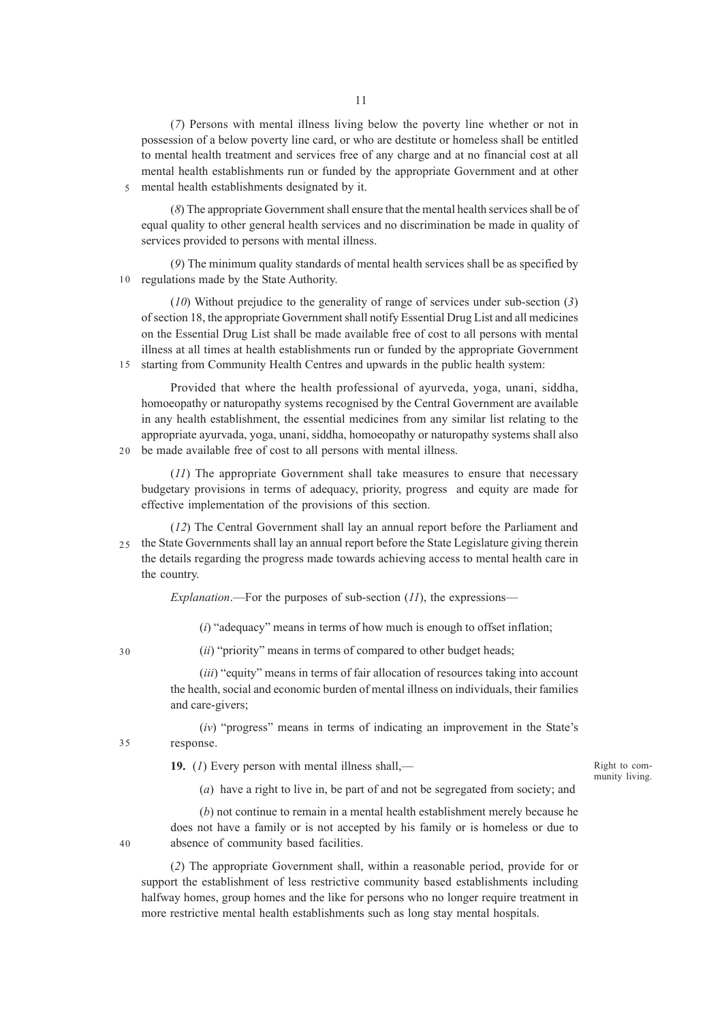(*7*) Persons with mental illness living below the poverty line whether or not in possession of a below poverty line card, or who are destitute or homeless shall be entitled to mental health treatment and services free of any charge and at no financial cost at all mental health establishments run or funded by the appropriate Government and at other mental health establishments designated by it.

(*8*) The appropriate Government shall ensure that the mental health services shall be of equal quality to other general health services and no discrimination be made in quality of services provided to persons with mental illness.

(*9*) The minimum quality standards of mental health services shall be as specified by regulations made by the State Authority. 10

(*10*) Without prejudice to the generality of range of services under sub-section (*3*) of section 18, the appropriate Government shall notify Essential Drug List and all medicines on the Essential Drug List shall be made available free of cost to all persons with mental illness at all times at health establishments run or funded by the appropriate Government 15 starting from Community Health Centres and upwards in the public health system:

Provided that where the health professional of ayurveda, yoga, unani, siddha, homoeopathy or naturopathy systems recognised by the Central Government are available in any health establishment, the essential medicines from any similar list relating to the appropriate ayurvada, yoga, unani, siddha, homoeopathy or naturopathy systems shall also be made available free of cost to all persons with mental illness.  $20<sup>2</sup>$ 

(*11*) The appropriate Government shall take measures to ensure that necessary budgetary provisions in terms of adequacy, priority, progress and equity are made for effective implementation of the provisions of this section.

(*12*) The Central Government shall lay an annual report before the Parliament and the State Governments shall lay an annual report before the State Legislature giving therein the details regarding the progress made towards achieving access to mental health care in the country.  $25$ 

*Explanation*.—For the purposes of sub-section (*11*), the expressions––

(*i*) "adequacy" means in terms of how much is enough to offset inflation;

30

35

40

5

(*ii*) "priority" means in terms of compared to other budget heads;

(*iii*) "equity" means in terms of fair allocation of resources taking into account the health, social and economic burden of mental illness on individuals, their families and care-givers;

(*iv*) "progress" means in terms of indicating an improvement in the State's response.

**19.** (*1*) Every person with mental illness shall,––

Right to community living.

(*a*) have a right to live in, be part of and not be segregated from society; and

(*b*) not continue to remain in a mental health establishment merely because he does not have a family or is not accepted by his family or is homeless or due to absence of community based facilities.

(*2*) The appropriate Government shall, within a reasonable period, provide for or support the establishment of less restrictive community based establishments including halfway homes, group homes and the like for persons who no longer require treatment in more restrictive mental health establishments such as long stay mental hospitals.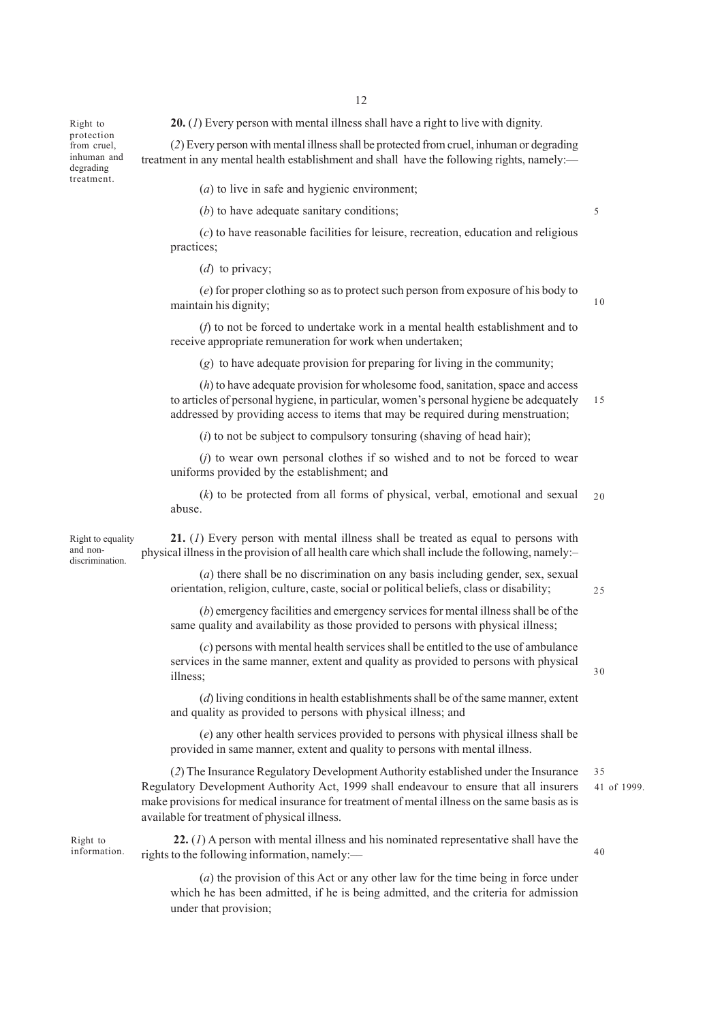Right to protection from cruel, inhuman and degrading treatment.

**20.** (*1*) Every person with mental illness shall have a right to live with dignity.

(*2*) Every person with mental illness shall be protected from cruel, inhuman or degrading treatment in any mental health establishment and shall have the following rights, namely:—

(*a*) to live in safe and hygienic environment;

(*b*) to have adequate sanitary conditions;

(*c*) to have reasonable facilities for leisure, recreation, education and religious practices;

(*d*) to privacy;

(*e*) for proper clothing so as to protect such person from exposure of his body to maintain his dignity;

(*f*) to not be forced to undertake work in a mental health establishment and to receive appropriate remuneration for work when undertaken;

(*g*) to have adequate provision for preparing for living in the community;

(*h*) to have adequate provision for wholesome food, sanitation, space and access to articles of personal hygiene, in particular, women's personal hygiene be adequately addressed by providing access to items that may be required during menstruation; 15

(*i*) to not be subject to compulsory tonsuring (shaving of head hair);

(*j*) to wear own personal clothes if so wished and to not be forced to wear uniforms provided by the establishment; and

(*k*) to be protected from all forms of physical, verbal, emotional and sexual abuse. 20

Right to equality and nondiscrimination.

**21.** (*1*) Every person with mental illness shall be treated as equal to persons with physical illness in the provision of all health care which shall include the following, namely:–

(*a*) there shall be no discrimination on any basis including gender, sex, sexual orientation, religion, culture, caste, social or political beliefs, class or disability;

 $25$ 

30

40

5

10

(*b*) emergency facilities and emergency services for mental illness shall be of the same quality and availability as those provided to persons with physical illness;

(*c*) persons with mental health services shall be entitled to the use of ambulance services in the same manner, extent and quality as provided to persons with physical illness;

(*d*) living conditions in health establishments shall be of the same manner, extent and quality as provided to persons with physical illness; and

(*e*) any other health services provided to persons with physical illness shall be provided in same manner, extent and quality to persons with mental illness.

(*2*) The Insurance Regulatory Development Authority established under the Insurance Regulatory Development Authority Act, 1999 shall endeavour to ensure that all insurers make provisions for medical insurance for treatment of mental illness on the same basis as is available for treatment of physical illness. 41 of 1999. 35

Right to information.

 **22.** (*1*) A person with mental illness and his nominated representative shall have the rights to the following information, namely:––

(*a*) the provision of this Act or any other law for the time being in force under which he has been admitted, if he is being admitted, and the criteria for admission under that provision;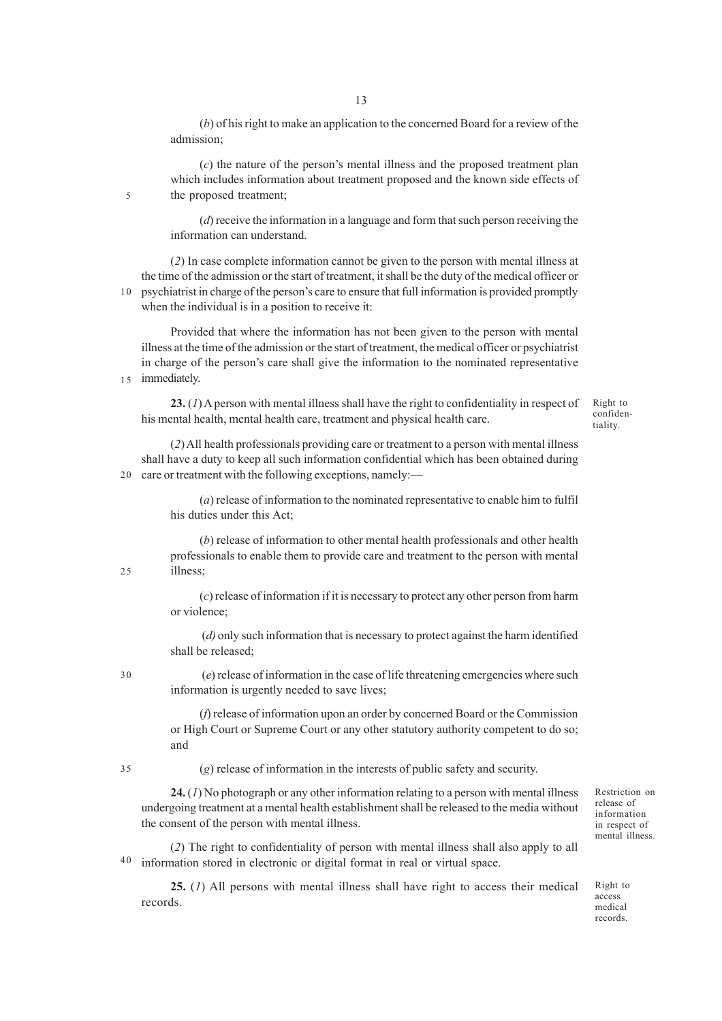(*b*) of his right to make an application to the concerned Board for a review of the admission;

(*c*) the nature of the person's mental illness and the proposed treatment plan which includes information about treatment proposed and the known side effects of the proposed treatment;

(*d*) receive the information in a language and form that such person receiving the information can understand.

(*2*) In case complete information cannot be given to the person with mental illness at the time of the admission or the start of treatment, it shall be the duty of the medical officer or psychiatrist in charge of the person's care to ensure that full information is provided promptly when the individual is in a position to receive it: 10

Provided that where the information has not been given to the person with mental illness at the time of the admission or the start of treatment, the medical officer or psychiatrist in charge of the person's care shall give the information to the nominated representative 15 immediately.

**23.** (*1*) A person with mental illness shall have the right to confidentiality in respect of his mental health, mental health care, treatment and physical health care.

Right to confidentiality.

(*2*) All health professionals providing care or treatment to a person with mental illness shall have a duty to keep all such information confidential which has been obtained during 20 care or treatment with the following exceptions, namely:—

> (*a*) release of information to the nominated representative to enable him to fulfil his duties under this Act;

(*b*) release of information to other mental health professionals and other health professionals to enable them to provide care and treatment to the person with mental illness;

(*c*) release of information if it is necessary to protect any other person from harm or violence;

 (*d)* only such information that is necessary to protect against the harm identified shall be released;

30

25

5

 (*e*) release of information in the case of life threatening emergencies where such information is urgently needed to save lives;

(*f*) release of information upon an order by concerned Board or the Commission or High Court or Supreme Court or any other statutory authority competent to do so; and

35

(*g*) release of information in the interests of public safety and security.

**24.** (*1*) No photograph or any other information relating to a person with mental illness undergoing treatment at a mental health establishment shall be released to the media without the consent of the person with mental illness.

(*2*) The right to confidentiality of person with mental illness shall also apply to all information stored in electronic or digital format in real or virtual space. 40

**25.** (*1*) All persons with mental illness shall have right to access their medical records.

Restriction on release of information in respect of mental illness.

Right to access medical records.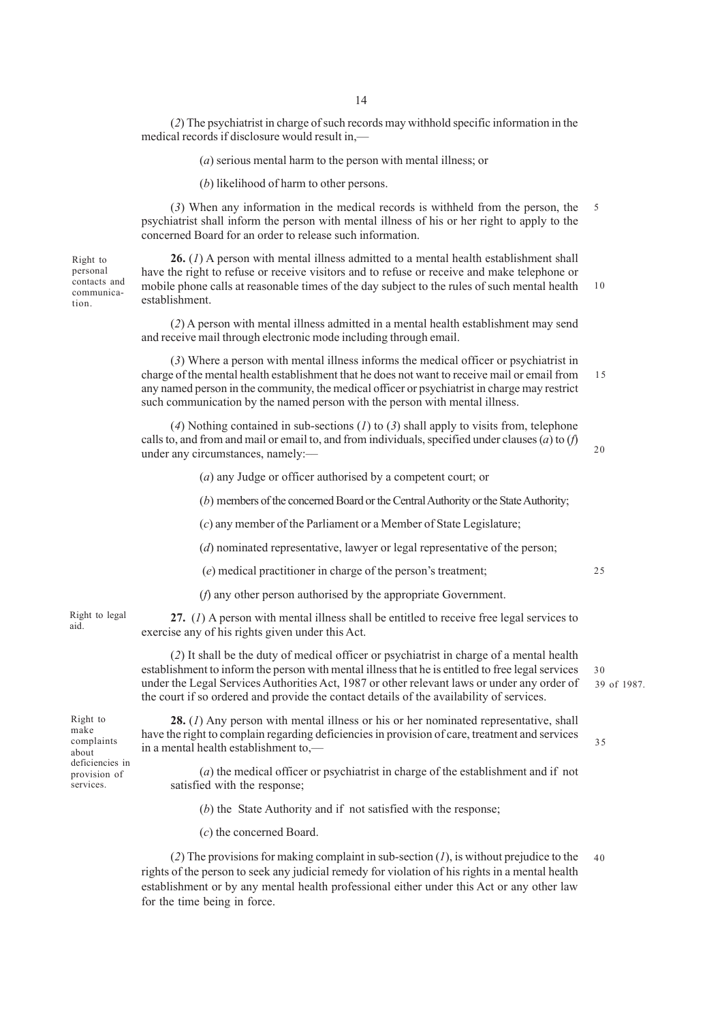(*2*) The psychiatrist in charge of such records may withhold specific information in the medical records if disclosure would result in,––

(*a*) serious mental harm to the person with mental illness; or

(*b*) likelihood of harm to other persons.

(*3*) When any information in the medical records is withheld from the person, the psychiatrist shall inform the person with mental illness of his or her right to apply to the concerned Board for an order to release such information. 5

Right to personal contacts and communication.

**26.** (*1*) A person with mental illness admitted to a mental health establishment shall have the right to refuse or receive visitors and to refuse or receive and make telephone or mobile phone calls at reasonable times of the day subject to the rules of such mental health establishment. 10

(*2*) A person with mental illness admitted in a mental health establishment may send and receive mail through electronic mode including through email.

(*3*) Where a person with mental illness informs the medical officer or psychiatrist in charge of the mental health establishment that he does not want to receive mail or email from any named person in the community, the medical officer or psychiatrist in charge may restrict such communication by the named person with the person with mental illness. 15

(*4*) Nothing contained in sub-sections (*1*) to (*3*) shall apply to visits from, telephone calls to, and from and mail or email to, and from individuals, specified under clauses (*a*) to (*f*) under any circumstances, namely:––

20

(*a*) any Judge or officer authorised by a competent court; or

(*b*) members of the concerned Board or the Central Authority or the State Authority;

(*c*) any member of the Parliament or a Member of State Legislature;

(*d*) nominated representative, lawyer or legal representative of the person;

(*e*) medical practitioner in charge of the person's treatment;

(*f*) any other person authorised by the appropriate Government.

**27.** (*1*) A person with mental illness shall be entitled to receive free legal services to exercise any of his rights given under this Act.

(*2*) It shall be the duty of medical officer or psychiatrist in charge of a mental health establishment to inform the person with mental illness that he is entitled to free legal services under the Legal Services Authorities Act, 1987 or other relevant laws or under any order of the court if so ordered and provide the contact details of the availability of services.

**28.** (*1*) Any person with mental illness or his or her nominated representative, shall have the right to complain regarding deficiencies in provision of care, treatment and services in a mental health establishment to,— 35

(*a*) the medical officer or psychiatrist in charge of the establishment and if not satisfied with the response;

(*b*) the State Authority and if not satisfied with the response;

(*c*) the concerned Board.

(*2*) The provisions for making complaint in sub-section (*1*), is without prejudice to the rights of the person to seek any judicial remedy for violation of his rights in a mental health establishment or by any mental health professional either under this Act or any other law for the time being in force. 40

 $25$ 

aid.

Right to make complaints about deficiencies in provision of services.

Right to legal

39 of 1987. 30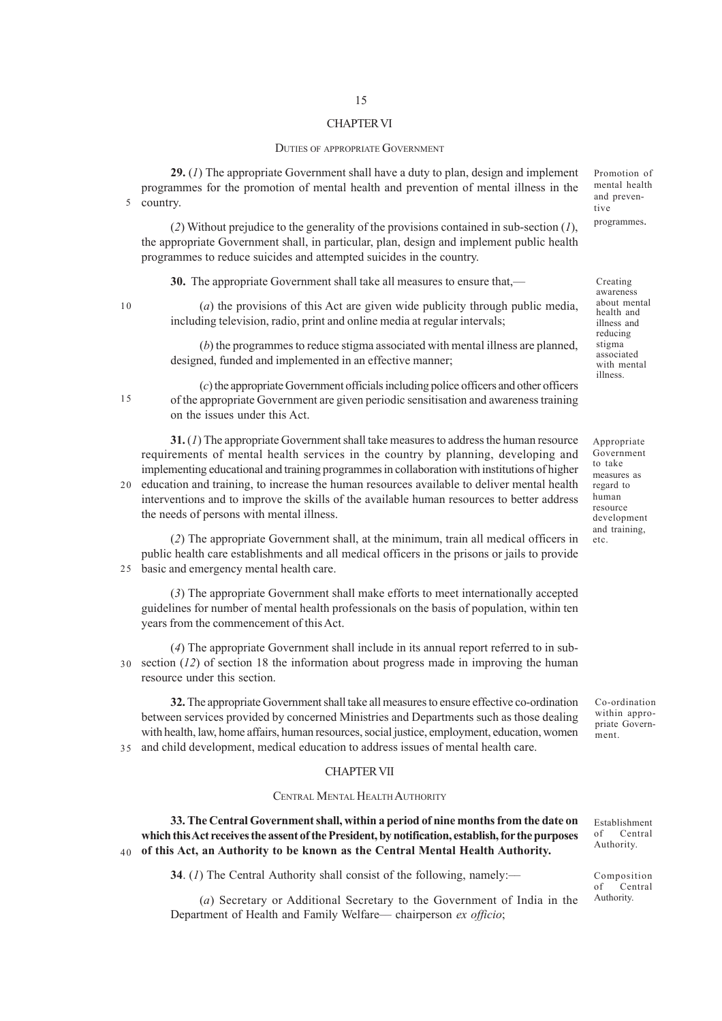#### CHAPTER VI

#### DUTIES OF APPROPRIATE GOVERNMENT

**29.** (*1*) The appropriate Government shall have a duty to plan, design and implement programmes for the promotion of mental health and prevention of mental illness in the 5 country.

(*2*) Without prejudice to the generality of the provisions contained in sub-section (*1*), the appropriate Government shall, in particular, plan, design and implement public health programmes to reduce suicides and attempted suicides in the country.

**30.** The appropriate Government shall take all measures to ensure that,—

10

15

(*a*) the provisions of this Act are given wide publicity through public media, including television, radio, print and online media at regular intervals;

(*b*) the programmes to reduce stigma associated with mental illness are planned, designed, funded and implemented in an effective manner;

(*c*) the appropriate Government officials including police officers and other officers of the appropriate Government are given periodic sensitisation and awareness training on the issues under this Act.

**31.** (*1*) The appropriate Government shall take measures to address the human resource requirements of mental health services in the country by planning, developing and implementing educational and training programmes in collaboration with institutions of higher

20 education and training, to increase the human resources available to deliver mental health interventions and to improve the skills of the available human resources to better address the needs of persons with mental illness.

(*2*) The appropriate Government shall, at the minimum, train all medical officers in public health care establishments and all medical officers in the prisons or jails to provide 25 basic and emergency mental health care.

(*3*) The appropriate Government shall make efforts to meet internationally accepted guidelines for number of mental health professionals on the basis of population, within ten years from the commencement of this Act.

(*4*) The appropriate Government shall include in its annual report referred to in sub-30 section  $(12)$  of section 18 the information about progress made in improving the human resource under this section.

**32.** The appropriate Government shall take all measures to ensure effective co-ordination between services provided by concerned Ministries and Departments such as those dealing with health, law, home affairs, human resources, social justice, employment, education, women and child development, medical education to address issues of mental health care. 35

## CHAPTER VII

#### CENTRAL MENTAL HEALTH AUTHORITY

**33. The Central Government shall, within a period of nine months from the date on which this Act receives the assent of the President, by notification, establish, for the purposes of this Act, an Authority to be known as the Central Mental Health Authority.** 40

**34**. (*I*) The Central Authority shall consist of the following, namely:—

(*a*) Secretary or Additional Secretary to the Government of India in the Department of Health and Family Welfare— chairperson *ex officio*;

Promotion of mental health and preventive programmes.

Creating awareness about mental health and illness and reducing stigma associated with mental illness.

Appropriate Government to take measures as regard to human resource development and training, etc.

Co-ordination within appropriate Government.

Establishment of Central Authority.

Composition<br>of Central  $Central$ Authority.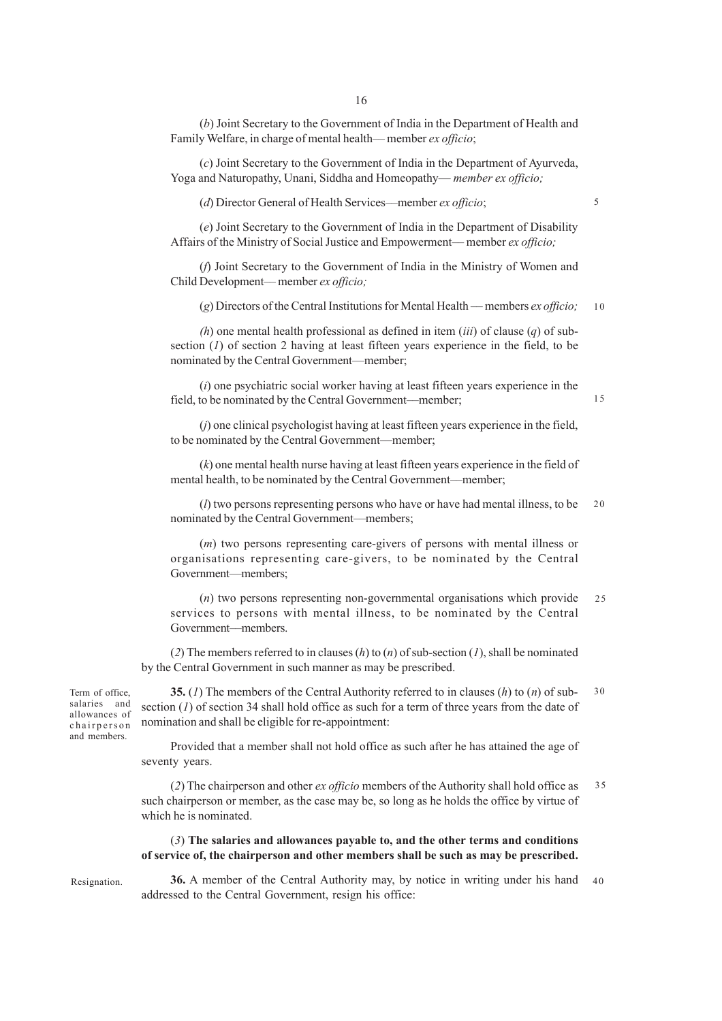(*b*) Joint Secretary to the Government of India in the Department of Health and Family Welfare, in charge of mental health–– member *ex officio*;

(*c*) Joint Secretary to the Government of India in the Department of Ayurveda, Yoga and Naturopathy, Unani, Siddha and Homeopathy— *member ex officio;*

(*d*) Director General of Health Services––member *ex officio*;

(*e*) Joint Secretary to the Government of India in the Department of Disability Affairs of the Ministry of Social Justice and Empowerment–– member *ex officio;*

(*f*) Joint Secretary to the Government of India in the Ministry of Women and Child Development–– member *ex officio;*

(*g*) Directors of the Central Institutions for Mental Health –– members *ex officio;* 10

*(h*) one mental health professional as defined in item (*iii*) of clause (*q*) of subsection (*1*) of section 2 having at least fifteen years experience in the field, to be nominated by the Central Government—member;

(*i*) one psychiatric social worker having at least fifteen years experience in the field, to be nominated by the Central Government—member;

(*j*) one clinical psychologist having at least fifteen years experience in the field, to be nominated by the Central Government––member;

(*k*) one mental health nurse having at least fifteen years experience in the field of mental health, to be nominated by the Central Government––member;

(*l*) two persons representing persons who have or have had mental illness, to be nominated by the Central Government––members; 20

(*m*) two persons representing care-givers of persons with mental illness or organisations representing care-givers, to be nominated by the Central Government—members;

(*n*) two persons representing non-governmental organisations which provide services to persons with mental illness, to be nominated by the Central Government––members.  $25$ 

(*2*) The members referred to in clauses (*h*) to (*n*) of sub-section (*1*), shall be nominated by the Central Government in such manner as may be prescribed.

Term of office, salaries and allowances of chairperson and members.

**35.** (*1*) The members of the Central Authority referred to in clauses (*h*) to (*n*) of subsection (*1*) of section 34 shall hold office as such for a term of three years from the date of nomination and shall be eligible for re-appointment: 30

Provided that a member shall not hold office as such after he has attained the age of seventy years.

(*2*) The chairperson and other *ex officio* members of the Authority shall hold office as such chairperson or member, as the case may be, so long as he holds the office by virtue of which he is nominated. 35

## (*3*) **The salaries and allowances payable to, and the other terms and conditions of service of, the chairperson and other members shall be such as may be prescribed.**

Resignation.

**36.** A member of the Central Authority may, by notice in writing under his hand addressed to the Central Government, resign his office: 40

5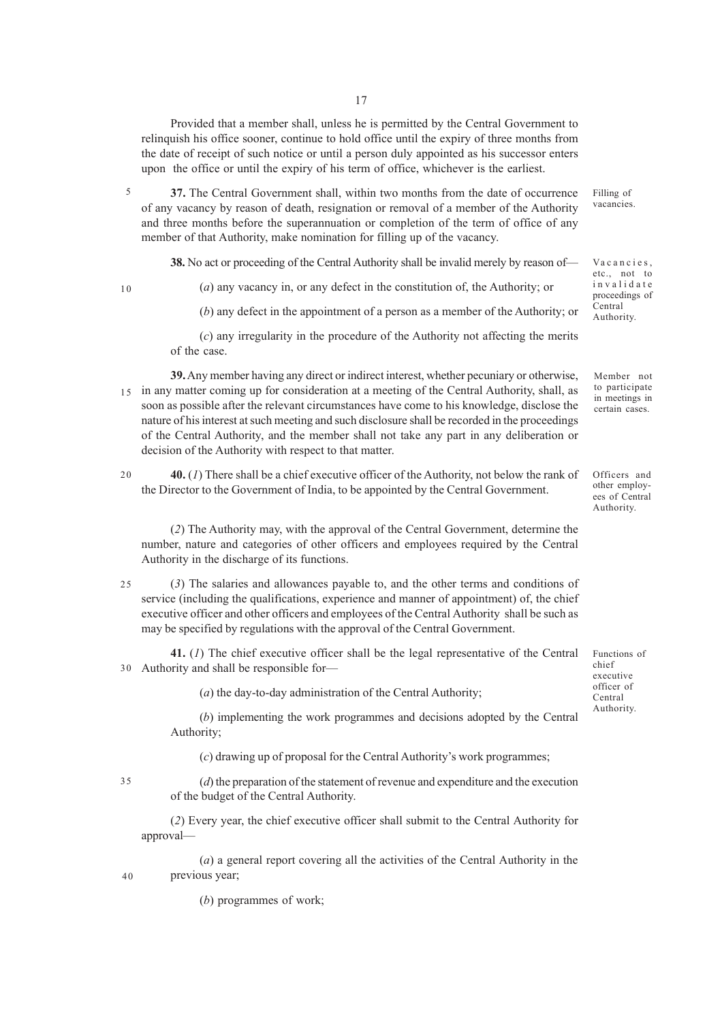Provided that a member shall, unless he is permitted by the Central Government to relinquish his office sooner, continue to hold office until the expiry of three months from the date of receipt of such notice or until a person duly appointed as his successor enters upon the office or until the expiry of his term of office, whichever is the earliest.

**37.** The Central Government shall, within two months from the date of occurrence of any vacancy by reason of death, resignation or removal of a member of the Authority and three months before the superannuation or completion of the term of office of any member of that Authority, make nomination for filling up of the vacancy. 5

**38.** No act or proceeding of the Central Authority shall be invalid merely by reason of—

10

(*a*) any vacancy in, or any defect in the constitution of, the Authority; or

(*b*) any defect in the appointment of a person as a member of the Authority; or

(*c*) any irregularity in the procedure of the Authority not affecting the merits of the case.

**39.** Any member having any direct or indirect interest, whether pecuniary or otherwise, 15 in any matter coming up for consideration at a meeting of the Central Authority, shall, as soon as possible after the relevant circumstances have come to his knowledge, disclose the nature of his interest at such meeting and such disclosure shall be recorded in the proceedings of the Central Authority, and the member shall not take any part in any deliberation or decision of the Authority with respect to that matter.

**40.** (*1*) There shall be a chief executive officer of the Authority, not below the rank of the Director to the Government of India, to be appointed by the Central Government.  $20$ 

(*2*) The Authority may, with the approval of the Central Government, determine the number, nature and categories of other officers and employees required by the Central Authority in the discharge of its functions.

- (*3*) The salaries and allowances payable to, and the other terms and conditions of service (including the qualifications, experience and manner of appointment) of, the chief executive officer and other officers and employees of the Central Authority shall be such as may be specified by regulations with the approval of the Central Government. 25
- **41.** (*1*) The chief executive officer shall be the legal representative of the Central Authority and shall be responsible for— 30

(*a*) the day-to-day administration of the Central Authority;

(*b*) implementing the work programmes and decisions adopted by the Central Authority;

(*c*) drawing up of proposal for the Central Authority's work programmes;

(*d*) the preparation of the statement of revenue and expenditure and the execution of the budget of the Central Authority. 35

(*2*) Every year, the chief executive officer shall submit to the Central Authority for approval—

(*a*) a general report covering all the activities of the Central Authority in the previous year;  $40$ 

(*b*) programmes of work;

Filling of vacancies.

Vacancies, etc., not to invalidate proceedings of Central Authority.

Member not to participate in meetings in certain cases.

Officers and other employees of Central Authority.

Functions of chief executive officer of Central Authority.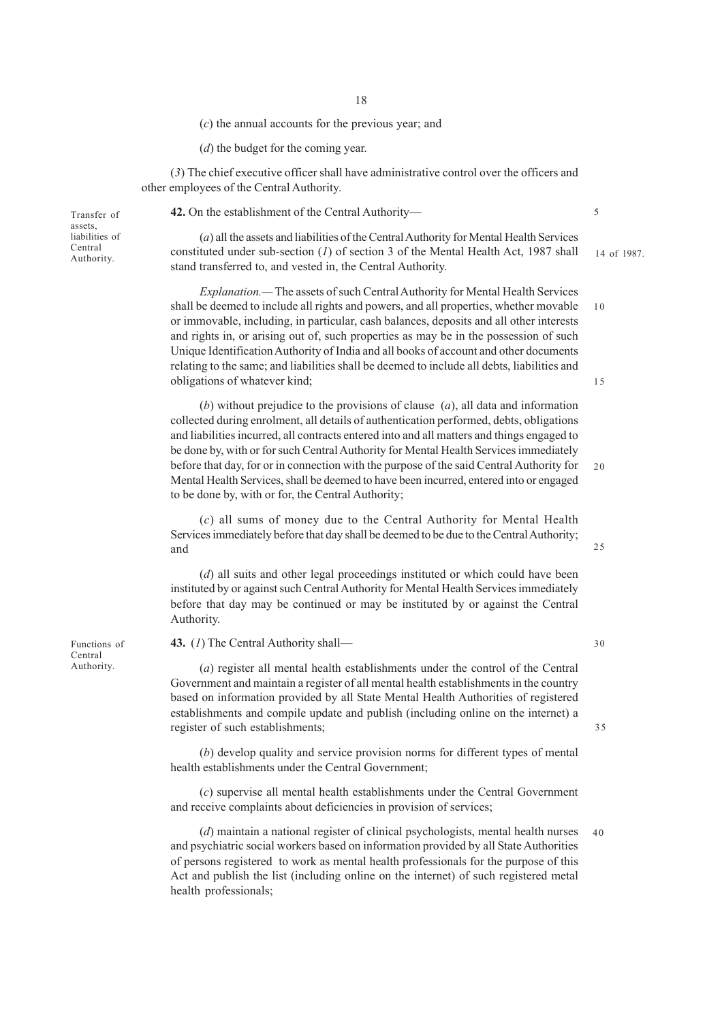(*c*) the annual accounts for the previous year; and

(*d*) the budget for the coming year.

(*3*) The chief executive officer shall have administrative control over the officers and other employees of the Central Authority.

Transfer of assets, liabilities of Central<br>Authority.

**42.** On the establishment of the Central Authority—

(*a*) all the assets and liabilities of the Central Authority for Mental Health Services Central constituted under sub-section  $(I)$  of section 3 of the Mental Health Act, 1987 shall 14 of 1987. stand transferred to, and vested in, the Central Authority.

> *Explanation.—* The assets of such Central Authority for Mental Health Services shall be deemed to include all rights and powers, and all properties, whether movable or immovable, including, in particular, cash balances, deposits and all other interests and rights in, or arising out of, such properties as may be in the possession of such Unique Identification Authority of India and all books of account and other documents relating to the same; and liabilities shall be deemed to include all debts, liabilities and obligations of whatever kind;

(*b*) without prejudice to the provisions of clause (*a*), all data and information collected during enrolment, all details of authentication performed, debts, obligations and liabilities incurred, all contracts entered into and all matters and things engaged to be done by, with or for such Central Authority for Mental Health Services immediately before that day, for or in connection with the purpose of the said Central Authority for Mental Health Services, shall be deemed to have been incurred, entered into or engaged to be done by, with or for, the Central Authority; 20

(*c*) all sums of money due to the Central Authority for Mental Health Services immediately before that day shall be deemed to be due to the Central Authority; and

(*d*) all suits and other legal proceedings instituted or which could have been instituted by or against such Central Authority for Mental Health Services immediately before that day may be continued or may be instituted by or against the Central Authority.

**43.** (*1*) The Central Authority shall––

(*a*) register all mental health establishments under the control of the Central Government and maintain a register of all mental health establishments in the country based on information provided by all State Mental Health Authorities of registered establishments and compile update and publish (including online on the internet) a register of such establishments;

(*b*) develop quality and service provision norms for different types of mental health establishments under the Central Government;

(*c*) supervise all mental health establishments under the Central Government and receive complaints about deficiencies in provision of services;

(*d*) maintain a national register of clinical psychologists, mental health nurses and psychiatric social workers based on information provided by all State Authorities of persons registered to work as mental health professionals for the purpose of this Act and publish the list (including online on the internet) of such registered metal health professionals; 40

Functions of Central Authority.

5

10

15

30

35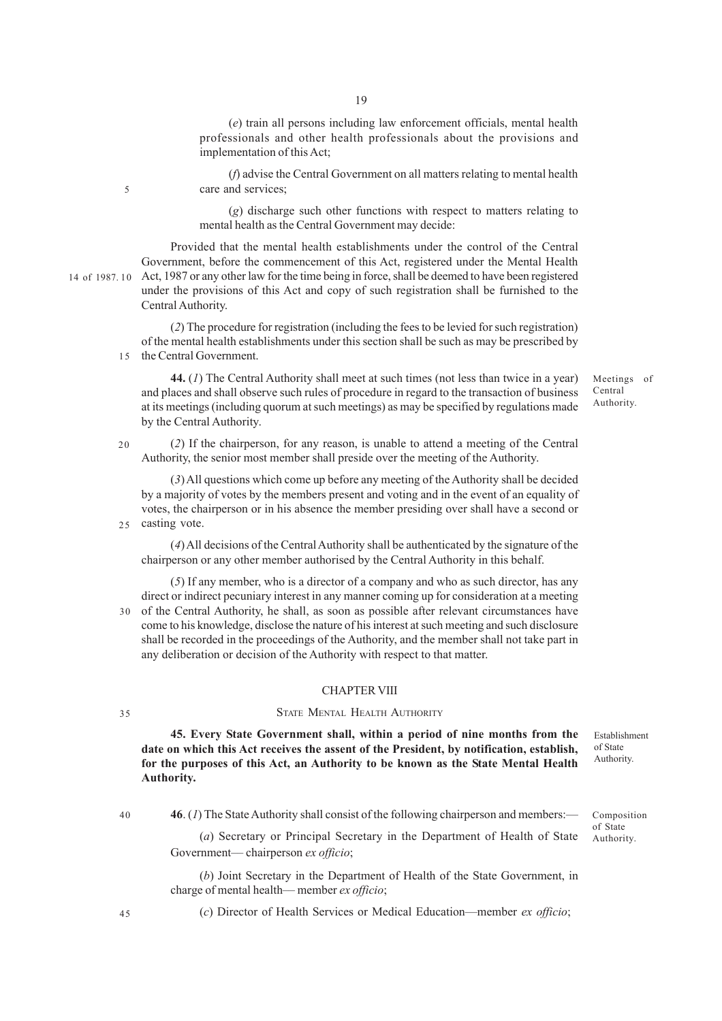19

(*e*) train all persons including law enforcement officials, mental health professionals and other health professionals about the provisions and implementation of this Act;

(*f*) advise the Central Government on all matters relating to mental health care and services;

(*g*) discharge such other functions with respect to matters relating to mental health as the Central Government may decide:

Provided that the mental health establishments under the control of the Central Government, before the commencement of this Act, registered under the Mental Health 14 of 1987. 10 Act, 1987 or any other law for the time being in force, shall be deemed to have been registered under the provisions of this Act and copy of such registration shall be furnished to the Central Authority.

(*2*) The procedure for registration (including the fees to be levied for such registration) of the mental health establishments under this section shall be such as may be prescribed by the Central Government.  $15$ 

**44.** (*1*) The Central Authority shall meet at such times (not less than twice in a year) and places and shall observe such rules of procedure in regard to the transaction of business at its meetings (including quorum at such meetings) as may be specified by regulations made by the Central Authority.

(*2*) If the chairperson, for any reason, is unable to attend a meeting of the Central Authority, the senior most member shall preside over the meeting of the Authority. 20

(*3*) All questions which come up before any meeting of the Authority shall be decided by a majority of votes by the members present and voting and in the event of an equality of votes, the chairperson or in his absence the member presiding over shall have a second or 25 casting vote.

(*4*) All decisions of the Central Authority shall be authenticated by the signature of the chairperson or any other member authorised by the Central Authority in this behalf.

(*5*) If any member, who is a director of a company and who as such director, has any direct or indirect pecuniary interest in any manner coming up for consideration at a meeting of the Central Authority, he shall, as soon as possible after relevant circumstances have come to his knowledge, disclose the nature of his interest at such meeting and such disclosure shall be recorded in the proceedings of the Authority, and the member shall not take part in any deliberation or decision of the Authority with respect to that matter. 30

#### CHAPTER VIII

## STATE MENTAL HEALTH AUTHORITY

**45. Every State Government shall, within a period of nine months from the date on which this Act receives the assent of the President, by notification, establish, for the purposes of this Act, an Authority to be known as the State Mental Health Authority.**

35

5

**46**. (*1*) The State Authority shall consist of the following chairperson and members:—

Government–– chairperson *ex officio*;

(*a*) Secretary or Principal Secretary in the Department of Health of State of State Authority.

(*b*) Joint Secretary in the Department of Health of the State Government, in charge of mental health–– member *ex officio*;

45

(*c*) Director of Health Services or Medical Education––member *ex officio*;

Meetings of Central Authority.

Establishment of State Authority.

Composition

<sup>40</sup>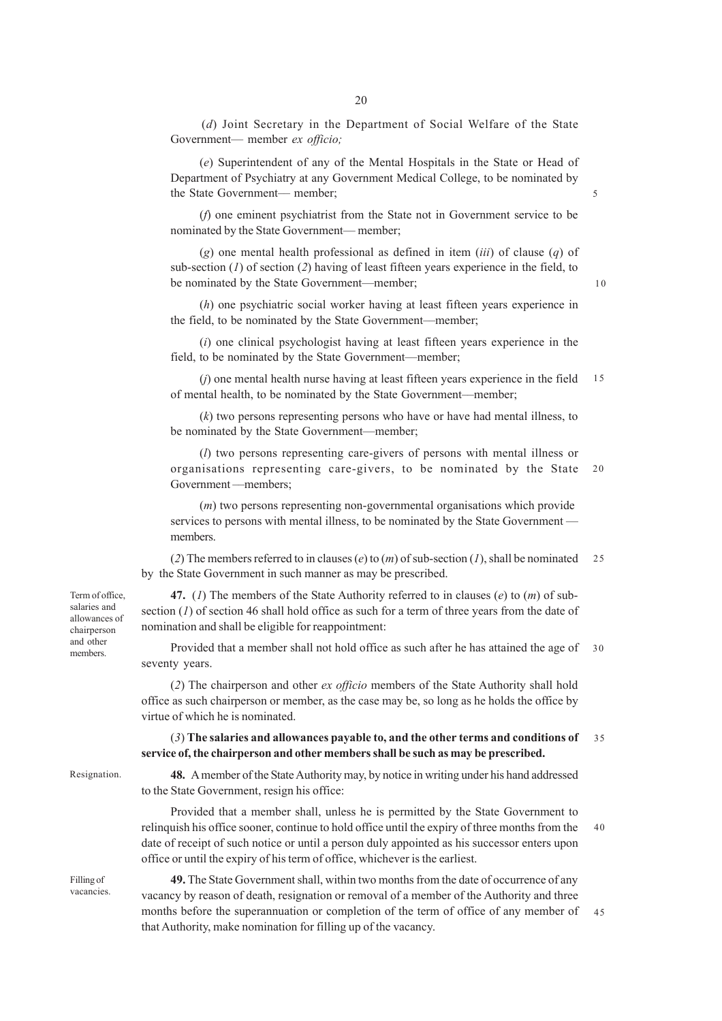(*d*) Joint Secretary in the Department of Social Welfare of the State Government— member *ex officio;*

(*e*) Superintendent of any of the Mental Hospitals in the State or Head of Department of Psychiatry at any Government Medical College, to be nominated by the State Government— member;

(*f*) one eminent psychiatrist from the State not in Government service to be nominated by the State Government--- member;

(*g*) one mental health professional as defined in item (*iii*) of clause (*q*) of sub-section (*1*) of section (*2*) having of least fifteen years experience in the field, to be nominated by the State Government—member;

(*h*) one psychiatric social worker having at least fifteen years experience in the field, to be nominated by the State Government––member;

(*i*) one clinical psychologist having at least fifteen years experience in the field, to be nominated by the State Government––member;

(*j*) one mental health nurse having at least fifteen years experience in the field of mental health, to be nominated by the State Government––member; 15

(*k*) two persons representing persons who have or have had mental illness, to be nominated by the State Government––member;

(*l*) two persons representing care-givers of persons with mental illness or organisations representing care-givers, to be nominated by the State Government ––members; 20

(*m*) two persons representing non-governmental organisations which provide services to persons with mental illness, to be nominated by the State Government members.

(*2*) The members referred to in clauses (*e*) to (*m*) of sub-section (*1*), shall be nominated by the State Government in such manner as may be prescribed.  $25$ 

**47.** (*1*) The members of the State Authority referred to in clauses (*e*) to (*m*) of subsection (*1*) of section 46 shall hold office as such for a term of three years from the date of nomination and shall be eligible for reappointment:

Provided that a member shall not hold office as such after he has attained the age of 30 seventy years.

(*2*) The chairperson and other *ex officio* members of the State Authority shall hold office as such chairperson or member, as the case may be, so long as he holds the office by virtue of which he is nominated.

#### (*3*) **The salaries and allowances payable to, and the other terms and conditions of service of, the chairperson and other members shall be such as may be prescribed.** 35

Resignation.

**48.** A member of the State Authority may, by notice in writing under his hand addressed to the State Government, resign his office:

Provided that a member shall, unless he is permitted by the State Government to relinquish his office sooner, continue to hold office until the expiry of three months from the date of receipt of such notice or until a person duly appointed as his successor enters upon office or until the expiry of his term of office, whichever is the earliest. 40

Filling of vacancies.

**49.** The State Government shall, within two months from the date of occurrence of any vacancy by reason of death, resignation or removal of a member of the Authority and three months before the superannuation or completion of the term of office of any member of that Authority, make nomination for filling up of the vacancy. 45

Term of office, salaries and allowances of chairperson and other members.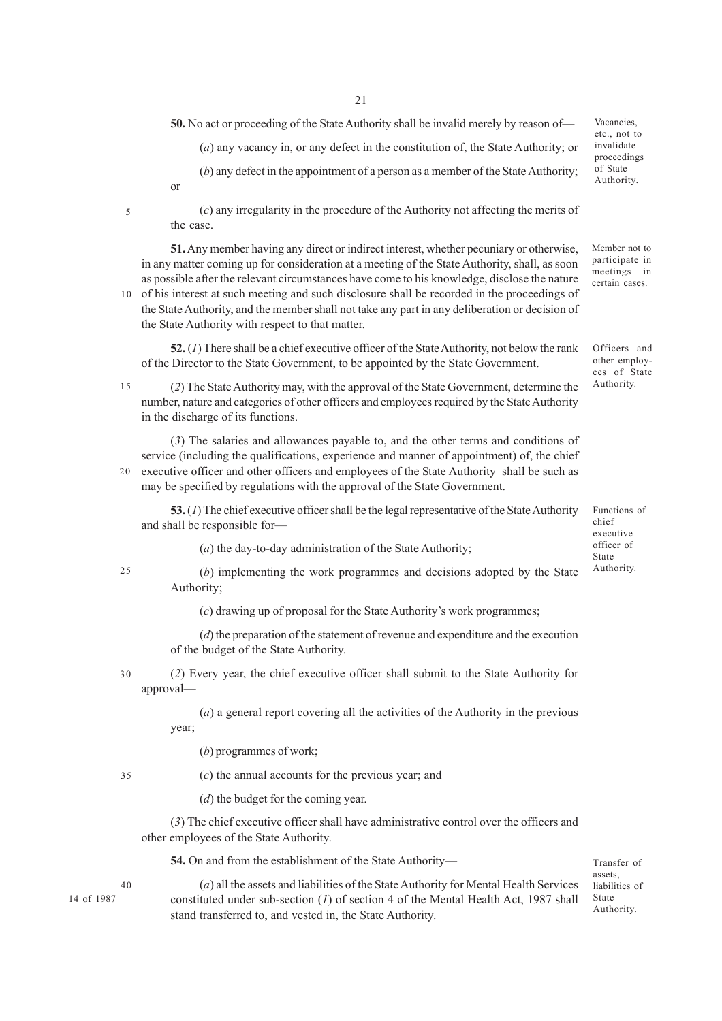**50.** No act or proceeding of the State Authority shall be invalid merely by reason of—

(*a*) any vacancy in, or any defect in the constitution of, the State Authority; or

(*b*) any defect in the appointment of a person as a member of the State Authority; or

5

(*c*) any irregularity in the procedure of the Authority not affecting the merits of the case.

**51.** Any member having any direct or indirect interest, whether pecuniary or otherwise, in any matter coming up for consideration at a meeting of the State Authority, shall, as soon as possible after the relevant circumstances have come to his knowledge, disclose the nature

10 of his interest at such meeting and such disclosure shall be recorded in the proceedings of the State Authority, and the member shall not take any part in any deliberation or decision of the State Authority with respect to that matter.

**52.** (*1*) There shall be a chief executive officer of the State Authority, not below the rank of the Director to the State Government, to be appointed by the State Government.

- 15
	- (*2*) The State Authority may, with the approval of the State Government, determine the number, nature and categories of other officers and employees required by the State Authority in the discharge of its functions.

(*3*) The salaries and allowances payable to, and the other terms and conditions of service (including the qualifications, experience and manner of appointment) of, the chief executive officer and other officers and employees of the State Authority shall be such as  $20<sup>2</sup>$ 

may be specified by regulations with the approval of the State Government.

**53.** (*1*) The chief executive officer shall be the legal representative of the State Authority and shall be responsible for—

(*a*) the day-to-day administration of the State Authority;

25

(*b*) implementing the work programmes and decisions adopted by the State Authority;

(*c*) drawing up of proposal for the State Authority's work programmes;

(*d*) the preparation of the statement of revenue and expenditure and the execution of the budget of the State Authority.

(*2*) Every year, the chief executive officer shall submit to the State Authority for approval— 30

> (*a*) a general report covering all the activities of the Authority in the previous year;

(*b*) programmes of work;

35

(*c*) the annual accounts for the previous year; and

(*d*) the budget for the coming year.

(*3*) The chief executive officer shall have administrative control over the officers and other employees of the State Authority.

**54.** On and from the establishment of the State Authority—

Transfer of assets, liabilities of State Authority.

40

14 of 1987

(*a*) all the assets and liabilities of the State Authority for Mental Health Services constituted under sub-section (*1*) of section 4 of the Mental Health Act, 1987 shall stand transferred to, and vested in, the State Authority.

meetings in certain cases.

Member not to participate in

Vacancies, etc., not to invalidate proceedings of State Authority.

Officers and other employees of State Authority.

Functions of chief executive officer of State Authority.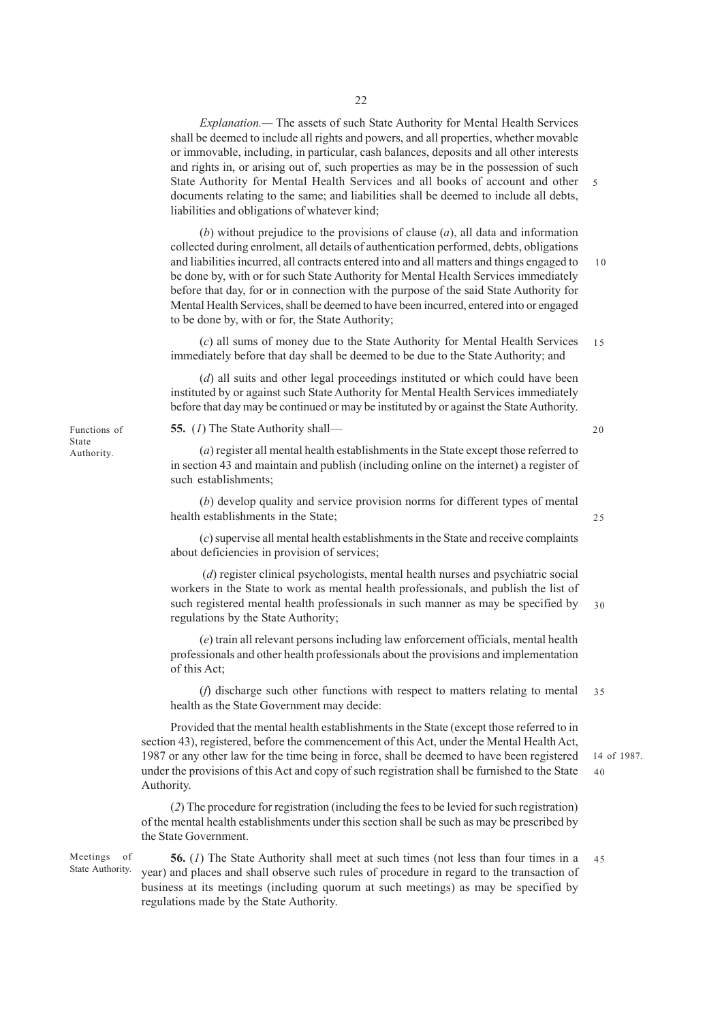*Explanation.—* The assets of such State Authority for Mental Health Services shall be deemed to include all rights and powers, and all properties, whether movable or immovable, including, in particular, cash balances, deposits and all other interests and rights in, or arising out of, such properties as may be in the possession of such State Authority for Mental Health Services and all books of account and other 5 documents relating to the same; and liabilities shall be deemed to include all debts, liabilities and obligations of whatever kind;

(*b*) without prejudice to the provisions of clause (*a*), all data and information collected during enrolment, all details of authentication performed, debts, obligations and liabilities incurred, all contracts entered into and all matters and things engaged to be done by, with or for such State Authority for Mental Health Services immediately before that day, for or in connection with the purpose of the said State Authority for Mental Health Services, shall be deemed to have been incurred, entered into or engaged to be done by, with or for, the State Authority; 10

(*c*) all sums of money due to the State Authority for Mental Health Services immediately before that day shall be deemed to be due to the State Authority; and 15

(*d*) all suits and other legal proceedings instituted or which could have been instituted by or against such State Authority for Mental Health Services immediately before that day may be continued or may be instituted by or against the State Authority.

**55.** (*1*) The State Authority shall––

(*a*) register all mental health establishments in the State except those referred to in section 43 and maintain and publish (including online on the internet) a register of such establishments;

(*b*) develop quality and service provision norms for different types of mental health establishments in the State;

(*c*) supervise all mental health establishments in the State and receive complaints about deficiencies in provision of services;

 (*d*) register clinical psychologists, mental health nurses and psychiatric social workers in the State to work as mental health professionals, and publish the list of such registered mental health professionals in such manner as may be specified by regulations by the State Authority; 30

(*e*) train all relevant persons including law enforcement officials, mental health professionals and other health professionals about the provisions and implementation of this Act;

(*f*) discharge such other functions with respect to matters relating to mental health as the State Government may decide: 35

Provided that the mental health establishments in the State (except those referred to in section 43), registered, before the commencement of this Act, under the Mental Health Act, 1987 or any other law for the time being in force, shall be deemed to have been registered under the provisions of this Act and copy of such registration shall be furnished to the State Authority.

(*2*) The procedure for registration (including the fees to be levied for such registration) of the mental health establishments under this section shall be such as may be prescribed by the State Government.

Meetings of State Authority.

**56.** (*1*) The State Authority shall meet at such times (not less than four times in a year) and places and shall observe such rules of procedure in regard to the transaction of business at its meetings (including quorum at such meetings) as may be specified by regulations made by the State Authority. 45

Functions of State Authority.

20

25

14 of 1987.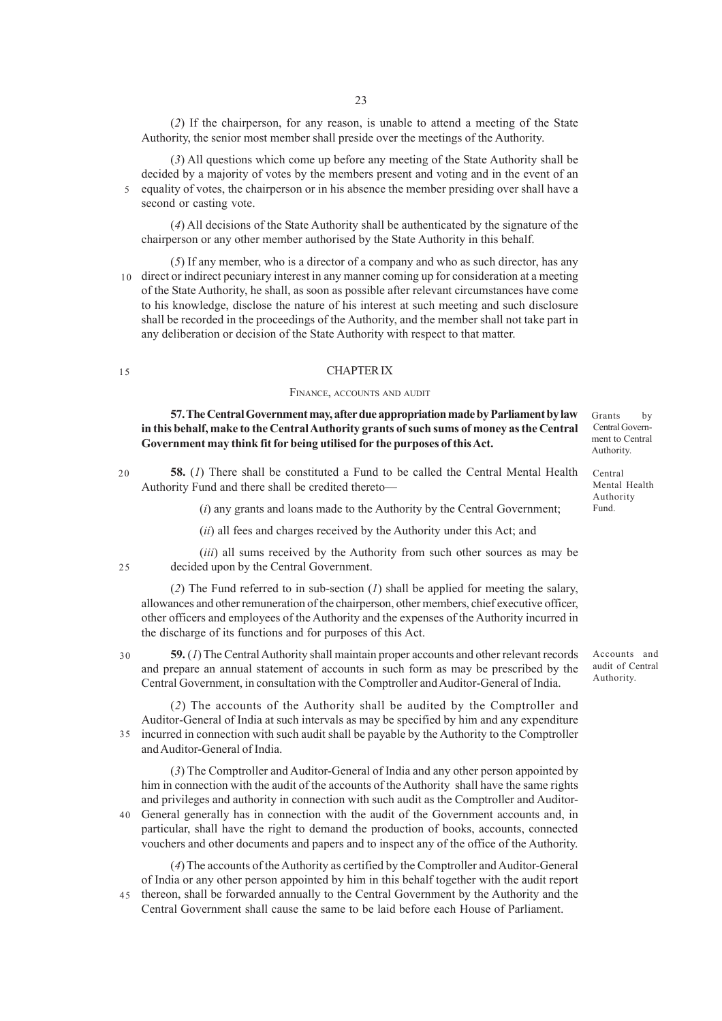(*2*) If the chairperson, for any reason, is unable to attend a meeting of the State Authority, the senior most member shall preside over the meetings of the Authority.

(*3*) All questions which come up before any meeting of the State Authority shall be decided by a majority of votes by the members present and voting and in the event of an equality of votes, the chairperson or in his absence the member presiding over shall have a second or casting vote. 5

(*4*) All decisions of the State Authority shall be authenticated by the signature of the chairperson or any other member authorised by the State Authority in this behalf.

(*5*) If any member, who is a director of a company and who as such director, has any 10 direct or indirect pecuniary interest in any manner coming up for consideration at a meeting of the State Authority, he shall, as soon as possible after relevant circumstances have come to his knowledge, disclose the nature of his interest at such meeting and such disclosure shall be recorded in the proceedings of the Authority, and the member shall not take part in any deliberation or decision of the State Authority with respect to that matter.

## CHAPTER IX

#### FINANCE, ACCOUNTS AND AUDIT

**57. The Central Government may, after due appropriation made by Parliament by law in this behalf, make to the Central Authority grants of such sums of money as the Central Government may think fit for being utilised for the purposes of this Act.**

**58.** (*1*) There shall be constituted a Fund to be called the Central Mental Health Authority Fund and there shall be credited thereto— 20

(*i*) any grants and loans made to the Authority by the Central Government;

(*ii*) all fees and charges received by the Authority under this Act; and

(*iii*) all sums received by the Authority from such other sources as may be decided upon by the Central Government.  $25$ 

(*2*) The Fund referred to in sub-section (*1*) shall be applied for meeting the salary, allowances and other remuneration of the chairperson, other members, chief executive officer, other officers and employees of the Authority and the expenses of the Authority incurred in the discharge of its functions and for purposes of this Act.

30

**59.** (*1*) The Central Authority shall maintain proper accounts and other relevant records and prepare an annual statement of accounts in such form as may be prescribed by the Central Government, in consultation with the Comptroller and Auditor-General of India.

(*2*) The accounts of the Authority shall be audited by the Comptroller and Auditor-General of India at such intervals as may be specified by him and any expenditure incurred in connection with such audit shall be payable by the Authority to the Comptroller and Auditor-General of India. 35

(*3*) The Comptroller and Auditor-General of India and any other person appointed by him in connection with the audit of the accounts of the Authority shall have the same rights and privileges and authority in connection with such audit as the Comptroller and Auditor-General generally has in connection with the audit of the Government accounts and, in 40 particular, shall have the right to demand the production of books, accounts, connected vouchers and other documents and papers and to inspect any of the office of the Authority.

(*4*) The accounts of the Authority as certified by the Comptroller and Auditor-General of India or any other person appointed by him in this behalf together with the audit report thereon, shall be forwarded annually to the Central Government by the Authority and the 45Central Government shall cause the same to be laid before each House of Parliament.

Grants by Central Government to Central Authority.

Central Mental Health Authority Fund.

Accounts and audit of Central Authority.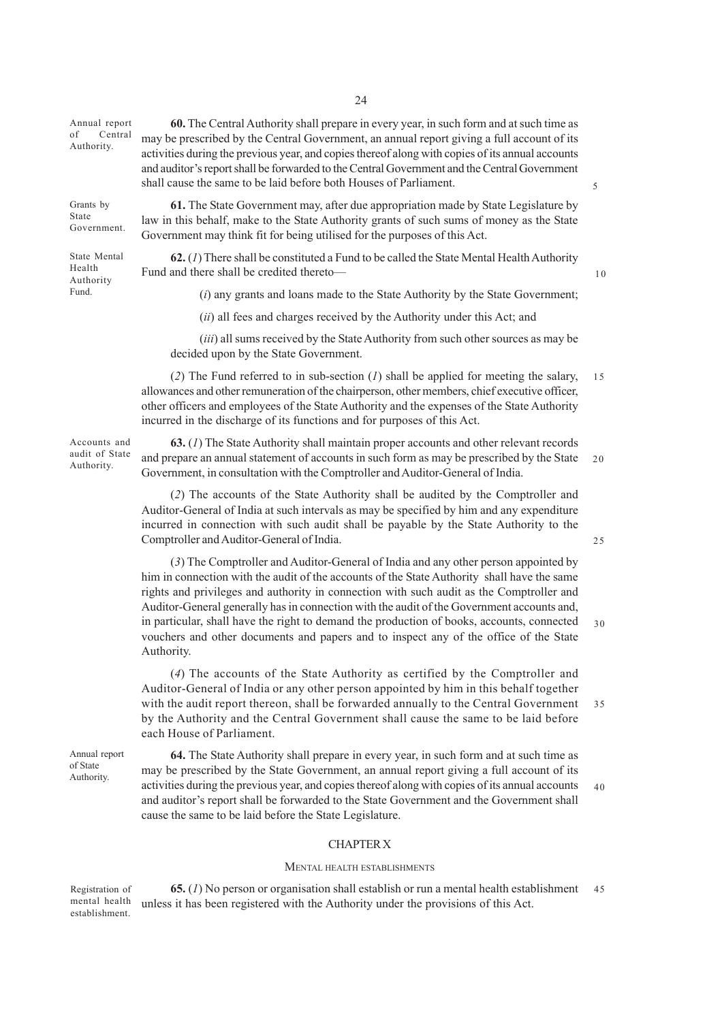Annual report of Central Authority.

Grants by State Government.

State Mental Health Authority Fund.

law in this behalf, make to the State Authority grants of such sums of money as the State Government may think fit for being utilised for the purposes of this Act. **62.** (*1*) There shall be constituted a Fund to be called the State Mental Health Authority

shall cause the same to be laid before both Houses of Parliament.

Fund and there shall be credited thereto—

10

 $25$ 

5

(*i*) any grants and loans made to the State Authority by the State Government;

(*ii*) all fees and charges received by the Authority under this Act; and

(*iii*) all sums received by the State Authority from such other sources as may be decided upon by the State Government.

(*2*) The Fund referred to in sub-section (*1*) shall be applied for meeting the salary, allowances and other remuneration of the chairperson, other members, chief executive officer, other officers and employees of the State Authority and the expenses of the State Authority incurred in the discharge of its functions and for purposes of this Act. 15

Accounts and audit of State Authority.

**63.** (*1*) The State Authority shall maintain proper accounts and other relevant records and prepare an annual statement of accounts in such form as may be prescribed by the State Government, in consultation with the Comptroller and Auditor-General of India. 20

(*2*) The accounts of the State Authority shall be audited by the Comptroller and Auditor-General of India at such intervals as may be specified by him and any expenditure incurred in connection with such audit shall be payable by the State Authority to the Comptroller and Auditor-General of India.

(*3*) The Comptroller and Auditor-General of India and any other person appointed by him in connection with the audit of the accounts of the State Authority shall have the same rights and privileges and authority in connection with such audit as the Comptroller and Auditor-General generally has in connection with the audit of the Government accounts and, in particular, shall have the right to demand the production of books, accounts, connected vouchers and other documents and papers and to inspect any of the office of the State Authority. 30

(*4*) The accounts of the State Authority as certified by the Comptroller and Auditor-General of India or any other person appointed by him in this behalf together with the audit report thereon, shall be forwarded annually to the Central Government by the Authority and the Central Government shall cause the same to be laid before each House of Parliament. 35

Annual report of State Authority.

**64.** The State Authority shall prepare in every year, in such form and at such time as may be prescribed by the State Government, an annual report giving a full account of its activities during the previous year, and copies thereof along with copies of its annual accounts and auditor's report shall be forwarded to the State Government and the Government shall cause the same to be laid before the State Legislature. 40

## CHAPTER X

#### MENTAL HEALTH ESTABLISHMENTS

Registration of mental health establishment.

**65.** (*1*) No person or organisation shall establish or run a mental health establishment unless it has been registered with the Authority under the provisions of this Act. 45

**60.** The Central Authority shall prepare in every year, in such form and at such time as may be prescribed by the Central Government, an annual report giving a full account of its activities during the previous year, and copies thereof along with copies of its annual accounts and auditor's report shall be forwarded to the Central Government and the CentralGovernment

**61.** The State Government may, after due appropriation made by State Legislature by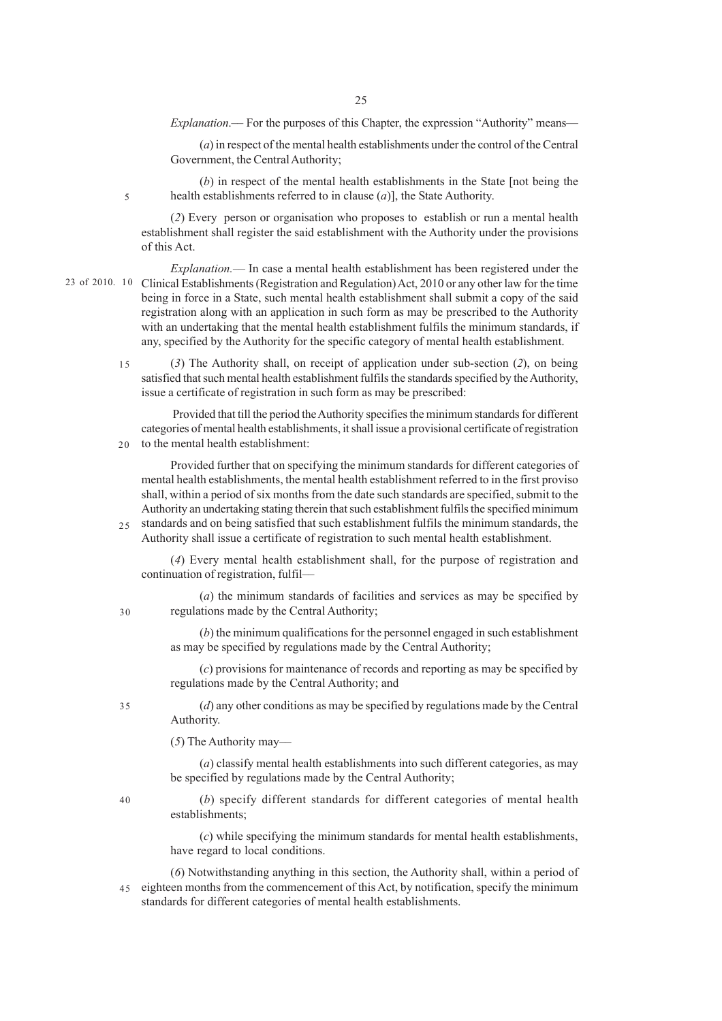*Explanation*.— For the purposes of this Chapter, the expression "Authority" means—

(*a*) in respect of the mental health establishments under the control of the Central Government, the Central Authority;

(*b*) in respect of the mental health establishments in the State [not being the health establishments referred to in clause (*a*)], the State Authority.

(*2*) Every person or organisation who proposes to establish or run a mental health establishment shall register the said establishment with the Authority under the provisions of this Act.

5

*Explanation.––* In case a mental health establishment has been registered under the 23 of 2010. 10 Clinical Establishments (Registration and Regulation) Act, 2010 or any other law for the time being in force in a State, such mental health establishment shall submit a copy of the said registration along with an application in such form as may be prescribed to the Authority with an undertaking that the mental health establishment fulfils the minimum standards, if any, specified by the Authority for the specific category of mental health establishment.

> (*3*) The Authority shall, on receipt of application under sub-section (*2*), on being satisfied that such mental health establishment fulfils the standards specified by the Authority, issue a certificate of registration in such form as may be prescribed: 15

> Provided that till the period the Authority specifies the minimum standards for different categories of mental health establishments, it shall issue a provisional certificate of registration to the mental health establishment: 20

> Provided further that on specifying the minimum standards for different categories of mental health establishments, the mental health establishment referred to in the first proviso shall, within a period of six months from the date such standards are specified, submit to the Authority an undertaking stating therein that such establishment fulfils the specified minimum standards and on being satisfied that such establishment fulfils the minimum standards, the Authority shall issue a certificate of registration to such mental health establishment.  $25$

(*4*) Every mental health establishment shall, for the purpose of registration and

continuation of registration, fulfil––

(*a*) the minimum standards of facilities and services as may be specified by regulations made by the Central Authority;

(*b*) the minimum qualifications for the personnel engaged in such establishment as may be specified by regulations made by the Central Authority;

(*c*) provisions for maintenance of records and reporting as may be specified by regulations made by the Central Authority; and

(*d*) any other conditions as may be specified by regulations made by the Central Authority.

(*5*) The Authority may––

(*a*) classify mental health establishments into such different categories, as may be specified by regulations made by the Central Authority;

(*b*) specify different standards for different categories of mental health establishments;

(*c*) while specifying the minimum standards for mental health establishments, have regard to local conditions.

(*6*) Notwithstanding anything in this section, the Authority shall, within a period of eighteen months from the commencement of this Act, by notification, specify the minimum standards for different categories of mental health establishments. 45

30

35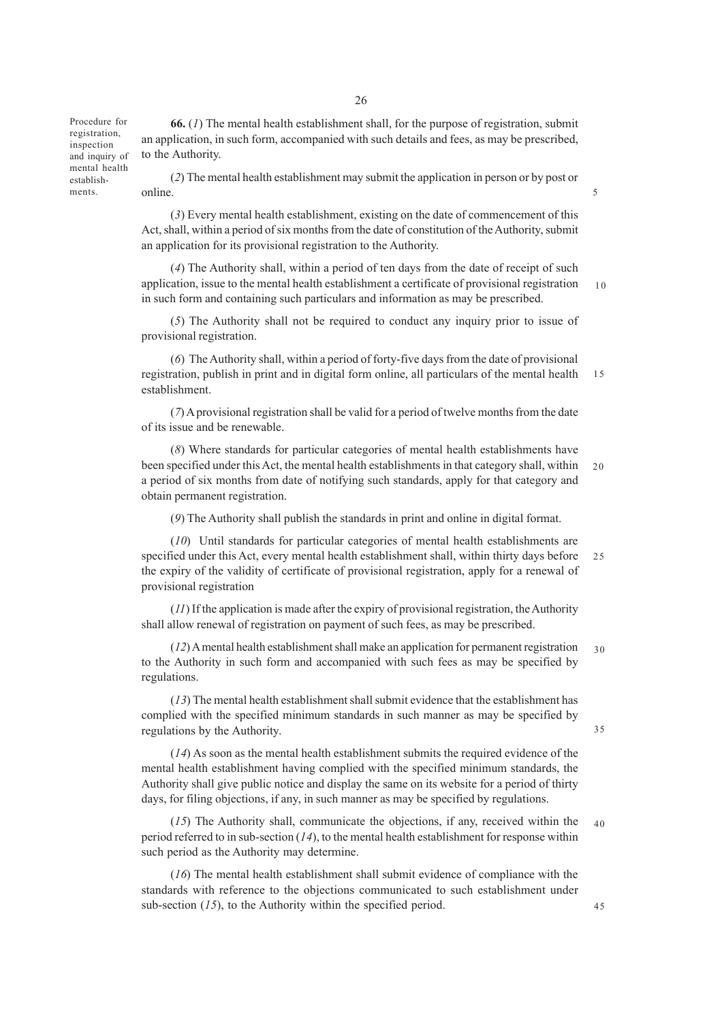Procedure for registration, inspection and inquiry of mental health establish-

**66.** (*1*) The mental health establishment shall, for the purpose of registration, submit an application, in such form, accompanied with such details and fees, as may be prescribed, to the Authority.

(*2*) The mental health establishment may submit the application in person or by post or online. ments. Sometimes online.

> (*3*) Every mental health establishment, existing on the date of commencement of this Act, shall, within a period of six months from the date of constitution of the Authority, submit an application for its provisional registration to the Authority.

(*4*) The Authority shall, within a period of ten days from the date of receipt of such application, issue to the mental health establishment a certificate of provisional registration in such form and containing such particulars and information as may be prescribed. 10

(*5*) The Authority shall not be required to conduct any inquiry prior to issue of provisional registration.

(*6*) The Authority shall, within a period of forty-five days from the date of provisional registration, publish in print and in digital form online, all particulars of the mental health establishment. 15

(*7*) A provisional registration shall be valid for a period of twelve months from the date of its issue and be renewable.

(*8*) Where standards for particular categories of mental health establishments have been specified under this Act, the mental health establishments in that category shall, within a period of six months from date of notifying such standards, apply for that category and obtain permanent registration. 20

(*9*) The Authority shall publish the standards in print and online in digital format.

(*10*) Until standards for particular categories of mental health establishments are specified under this Act, every mental health establishment shall, within thirty days before the expiry of the validity of certificate of provisional registration, apply for a renewal of provisional registration 25

(*11*) If the application is made after the expiry of provisional registration, the Authority shall allow renewal of registration on payment of such fees, as may be prescribed.

(*12*) A mental health establishment shall make an application for permanent registration to the Authority in such form and accompanied with such fees as may be specified by regulations.  $3<sub>0</sub>$ 

(*13*) The mental health establishment shall submit evidence that the establishment has complied with the specified minimum standards in such manner as may be specified by regulations by the Authority.

(*14*) As soon as the mental health establishment submits the required evidence of the mental health establishment having complied with the specified minimum standards, the Authority shall give public notice and display the same on its website for a period of thirty days, for filing objections, if any, in such manner as may be specified by regulations.

(*15*) The Authority shall, communicate the objections, if any, received within the period referred to in sub-section (*14*), to the mental health establishment for response within such period as the Authority may determine. 40

(*16*) The mental health establishment shall submit evidence of compliance with the standards with reference to the objections communicated to such establishment under sub-section (15), to the Authority within the specified period.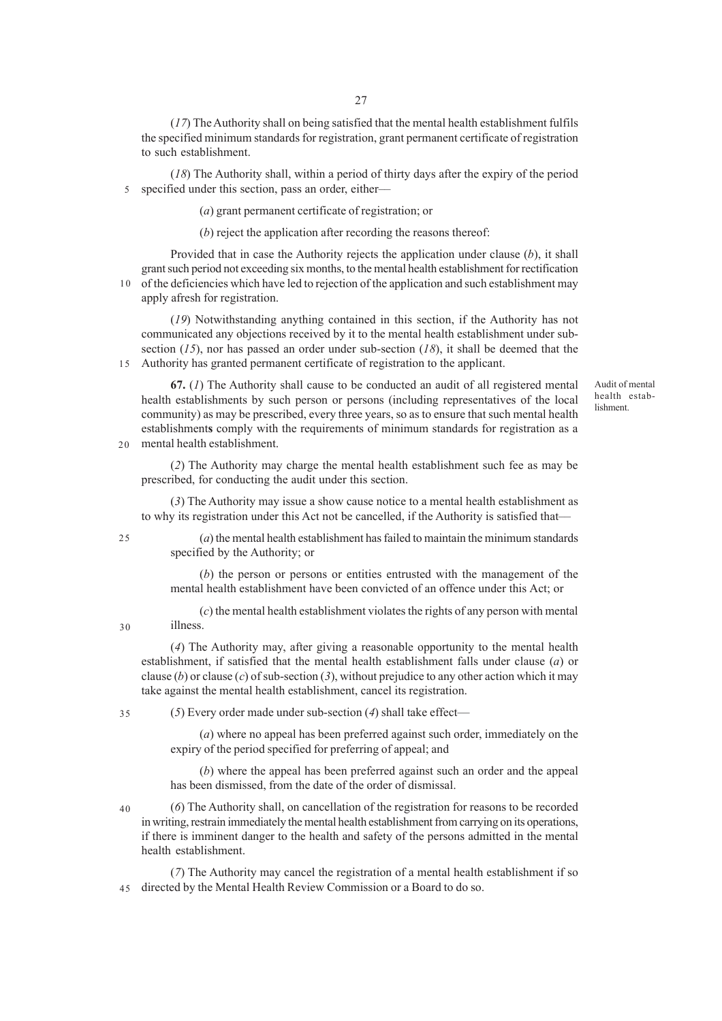(*17*) The Authority shall on being satisfied that the mental health establishment fulfils the specified minimum standards for registration, grant permanent certificate of registration to such establishment.

(*18*) The Authority shall, within a period of thirty days after the expiry of the period specified under this section, pass an order, either–– 5

(*a*) grant permanent certificate of registration; or

(*b*) reject the application after recording the reasons thereof:

Provided that in case the Authority rejects the application under clause (*b*), it shall grant such period not exceeding six months, to the mental health establishment for rectification 10 of the deficiencies which have led to rejection of the application and such establishment may

apply afresh for registration.

(*19*) Notwithstanding anything contained in this section, if the Authority has not communicated any objections received by it to the mental health establishment under subsection (*15*), nor has passed an order under sub-section (*18*), it shall be deemed that the Authority has granted permanent certificate of registration to the applicant. 15

**67.** (*1*) The Authority shall cause to be conducted an audit of all registered mental health establishments by such person or persons (including representatives of the local community) as may be prescribed, every three years, so as to ensure that such mental health establishment**s** comply with the requirements of minimum standards for registration as a mental health establishment.

(*2*) The Authority may charge the mental health establishment such fee as may be prescribed, for conducting the audit under this section.

(*3*) The Authority may issue a show cause notice to a mental health establishment as to why its registration under this Act not be cancelled, if the Authority is satisfied that––

25

30

20

(*a*) the mental health establishment has failed to maintain the minimum standards specified by the Authority; or

(*b*) the person or persons or entities entrusted with the management of the mental health establishment have been convicted of an offence under this Act; or

(*c*) the mental health establishment violates the rights of any person with mental illness.

(*4*) The Authority may, after giving a reasonable opportunity to the mental health establishment, if satisfied that the mental health establishment falls under clause (*a*) or clause (*b*) or clause (*c*) of sub-section (*3*), without prejudice to any other action which it may take against the mental health establishment, cancel its registration.

(*5*) Every order made under sub-section (*4*) shall take effect–– 35

> (*a*) where no appeal has been preferred against such order, immediately on the expiry of the period specified for preferring of appeal; and

> (*b*) where the appeal has been preferred against such an order and the appeal has been dismissed, from the date of the order of dismissal.

(*6*) The Authority shall, on cancellation of the registration for reasons to be recorded in writing, restrain immediately the mental health establishment from carrying on its operations, if there is imminent danger to the health and safety of the persons admitted in the mental health establishment. 40

(*7*) The Authority may cancel the registration of a mental health establishment if so directed by the Mental Health Review Commission or a Board to do so. 45

Audit of mental health establishment.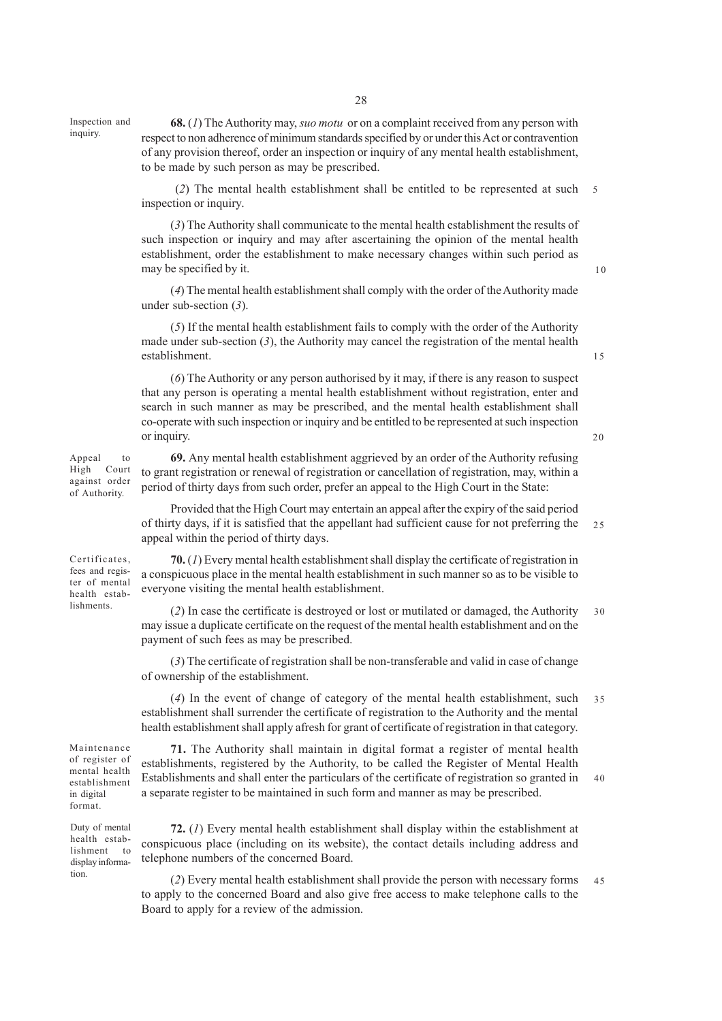Inspection and inquiry.

**68.** (*1*) The Authority may, *suo motu* or on a complaint received from any person with respect to non adherence of minimum standards specified by or under this Act or contravention of any provision thereof, order an inspection or inquiry of any mental health establishment, to be made by such person as may be prescribed.

 (*2*) The mental health establishment shall be entitled to be represented at such inspection or inquiry. 5

(*3*) The Authority shall communicate to the mental health establishment the results of such inspection or inquiry and may after ascertaining the opinion of the mental health establishment, order the establishment to make necessary changes within such period as may be specified by it.

(*4*) The mental health establishment shall comply with the order of the Authority made under sub-section (*3*).

(*5*) If the mental health establishment fails to comply with the order of the Authority made under sub-section (*3*), the Authority may cancel the registration of the mental health establishment.

(*6*) The Authority or any person authorised by it may, if there is any reason to suspect that any person is operating a mental health establishment without registration, enter and search in such manner as may be prescribed, and the mental health establishment shall co-operate with such inspection or inquiry and be entitled to be represented at such inspection or inquiry.

20

 $15$ 

10

**69.** Any mental health establishment aggrieved by an order of the Authority refusing to grant registration or renewal of registration or cancellation of registration, may, within a period of thirty days from such order, prefer an appeal to the High Court in the State: Appeal to High Court against order

> Provided that the High Court may entertain an appeal after the expiry of the said period of thirty days, if it is satisfied that the appellant had sufficient cause for not preferring the appeal within the period of thirty days. 25

**70.** (*1*) Every mental health establishment shall display the certificate of registration in a conspicuous place in the mental health establishment in such manner so as to be visible to everyone visiting the mental health establishment.

(*2*) In case the certificate is destroyed or lost or mutilated or damaged, the Authority may issue a duplicate certificate on the request of the mental health establishment and on the payment of such fees as may be prescribed. 30

(*3*) The certificate of registration shall be non-transferable and valid in case of change of ownership of the establishment.

(*4*) In the event of change of category of the mental health establishment, such establishment shall surrender the certificate of registration to the Authority and the mental health establishment shall apply afresh for grant of certificate of registration in that category. 35

**71.** The Authority shall maintain in digital format a register of mental health establishments, registered by the Authority, to be called the Register of Mental Health Establishments and shall enter the particulars of the certificate of registration so granted in a separate register to be maintained in such form and manner as may be prescribed. 40

**72.** (*1*) Every mental health establishment shall display within the establishment at conspicuous place (including on its website), the contact details including address and telephone numbers of the concerned Board.

(*2*) Every mental health establishment shall provide the person with necessary forms to apply to the concerned Board and also give free access to make telephone calls to the Board to apply for a review of the admission. 45

lishments.

Certificates, fees and register of mental health estab-

of Authority.

Maintenance of register of mental health establishment in digital format.

Duty of mental health establishment to display information.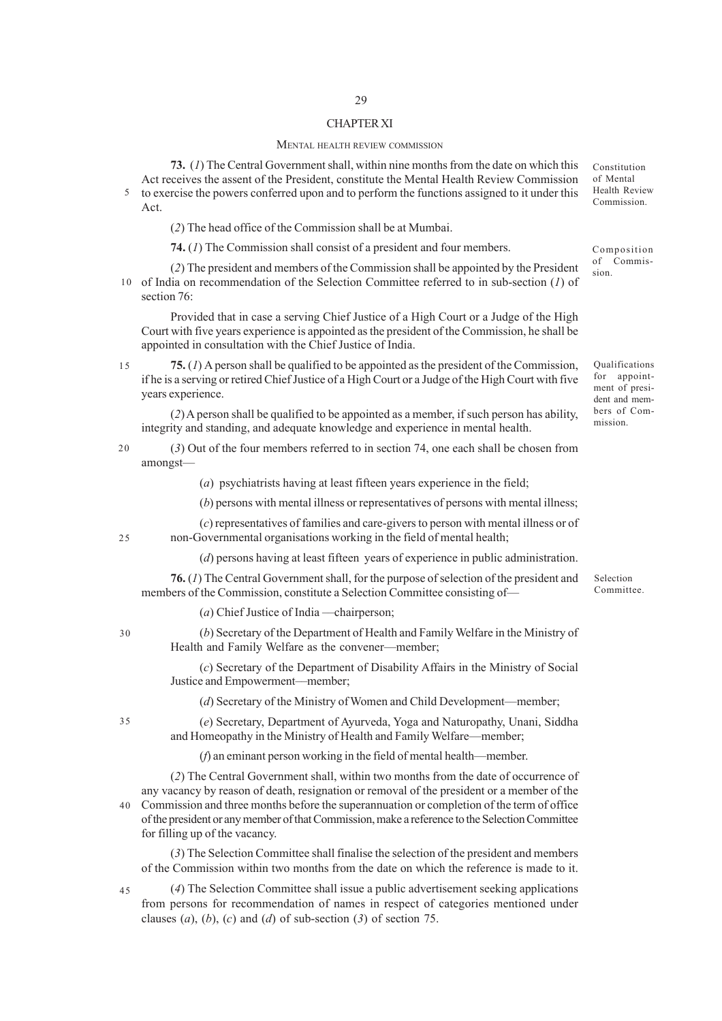## CHAPTER XI

#### MENTAL HEALTH REVIEW COMMISSION

**73.** (*1*) The Central Government shall, within nine months from the date on which this Act receives the assent of the President, constitute the Mental Health Review Commission 5 to exercise the powers conferred upon and to perform the functions assigned to it under this Act.

(*2*) The head office of the Commission shall be at Mumbai.

**74.** (*1*) The Commission shall consist of a president and four members.

(*2*) The president and members of the Commission shall be appointed by the President 10 of India on recommendation of the Selection Committee referred to in sub-section  $(I)$  of section 76:

Provided that in case a serving Chief Justice of a High Court or a Judge of the High Court with five years experience is appointed as the president of the Commission, he shall be appointed in consultation with the Chief Justice of India.

**75.** (*1*) A person shall be qualified to be appointed as the president of the Commission, if he is a serving or retired Chief Justice of a High Court or a Judge of the High Court with five years experience. 15

(*2*) A person shall be qualified to be appointed as a member, if such person has ability, integrity and standing, and adequate knowledge and experience in mental health.

(*3*) Out of the four members referred to in section 74, one each shall be chosen from amongst—  $20$ 

(*a*) psychiatrists having at least fifteen years experience in the field;

(*b*) persons with mental illness or representatives of persons with mental illness;

(*c*) representatives of families and care-givers to person with mental illness or of non-Governmental organisations working in the field of mental health;

(*d*) persons having at least fifteen years of experience in public administration.

**76.** (*1*) The Central Government shall, for the purpose of selection of the president and members of the Commission, constitute a Selection Committee consisting of—

(*a*) Chief Justice of India —chairperson;

(*b*) Secretary of the Department of Health and Family Welfare in the Ministry of Health and Family Welfare as the convener––member;

(*c*) Secretary of the Department of Disability Affairs in the Ministry of Social Justice and Empowerment––member;

(*d*) Secretary of the Ministry of Women and Child Development––member;

(*e*) Secretary, Department of Ayurveda, Yoga and Naturopathy, Unani, Siddha and Homeopathy in the Ministry of Health and Family Welfare—member;

(*f*) an eminant person working in the field of mental health—member.

(*2*) The Central Government shall, within two months from the date of occurrence of any vacancy by reason of death, resignation or removal of the president or a member of the Commission and three months before the superannuation or completion of the term of office of the president or any member of that Commission, make a reference to the Selection Committee for filling up of the vacancy. 40

(*3*) The Selection Committee shall finalise the selection of the president and members of the Commission within two months from the date on which the reference is made to it.

(*4*) The Selection Committee shall issue a public advertisement seeking applications from persons for recommendation of names in respect of categories mentioned under clauses (*a*), (*b*), (*c*) and (*d*) of sub-section (*3*) of section 75. 45

Selection Committee.

Composition of Commission.

Constitution of Mental Health Review Commission.

Qualifications for appointment of president and members of Commission.

30

25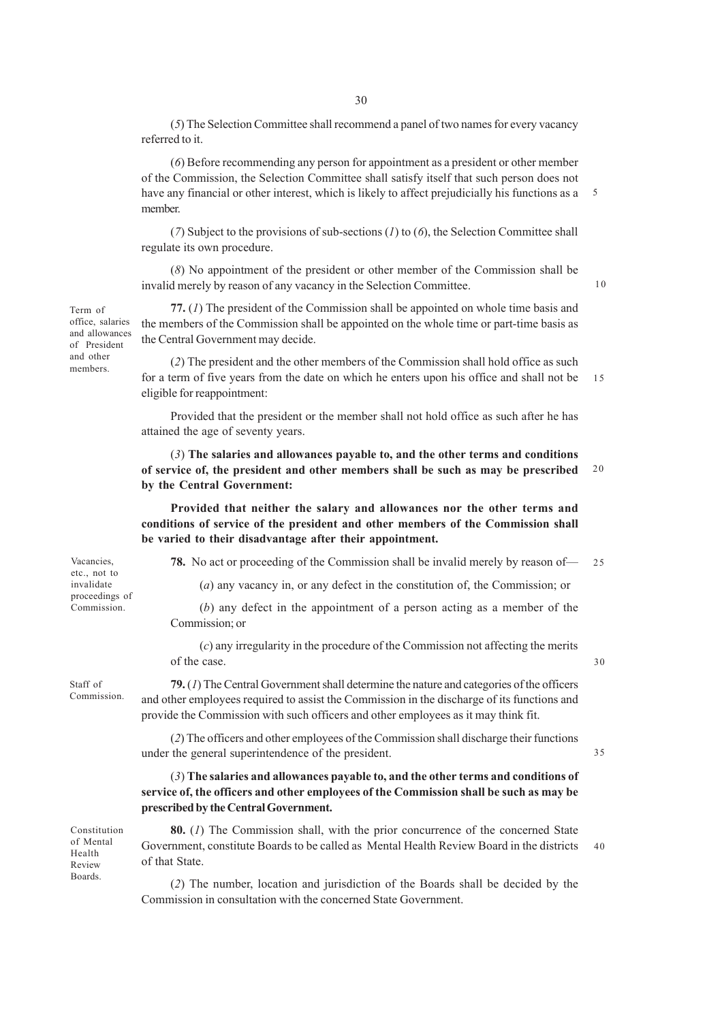(*5*) The Selection Committee shall recommend a panel of two names for every vacancy referred to it.

(*6*) Before recommending any person for appointment as a president or other member of the Commission, the Selection Committee shall satisfy itself that such person does not have any financial or other interest, which is likely to affect prejudicially his functions as a member. 5

(*7*) Subject to the provisions of sub-sections (*1*) to (*6*), the Selection Committee shall regulate its own procedure.

(*8*) No appointment of the president or other member of the Commission shall be invalid merely by reason of any vacancy in the Selection Committee.

**77.** (*1*) The president of the Commission shall be appointed on whole time basis and the members of the Commission shall be appointed on the whole time or part-time basis as the Central Government may decide.

(*2*) The president and the other members of the Commission shall hold office as such for a term of five years from the date on which he enters upon his office and shall not be eligible for reappointment: 15

Provided that the president or the member shall not hold office as such after he has attained the age of seventy years.

(*3*) **The salaries and allowances payable to, and the other terms and conditions of service of, the president and other members shall be such as may be prescribed by the Central Government:** 20

**Provided that neither the salary and allowances nor the other terms and conditions of service of the president and other members of the Commission shall be varied to their disadvantage after their appointment.**

**78.** No act or proceeding of the Commission shall be invalid merely by reason of—  $25$ 

(*a*) any vacancy in, or any defect in the constitution of, the Commission; or

(*b*) any defect in the appointment of a person acting as a member of the Commission; or

(*c*) any irregularity in the procedure of the Commission not affecting the merits of the case.

35

10

**79.** (*1*) The Central Government shall determine the nature and categories of the officers and other employees required to assist the Commission in the discharge of its functions and provide the Commission with such officers and other employees as it may think fit.

(*2*) The officers and other employees of the Commission shall discharge their functions under the general superintendence of the president.

(*3*) **The salaries and allowances payable to, and the other terms and conditions of service of, the officers and other employees of the Commission shall be such as may be prescribed by the Central Government.**

Constitution of Mental Health Review Boards.

**80.** (*1*) The Commission shall, with the prior concurrence of the concerned State Government, constitute Boards to be called as Mental Health Review Board in the districts of that State. 40

(*2*) The number, location and jurisdiction of the Boards shall be decided by the Commission in consultation with the concerned State Government.

Term of office, salaries and allowances of President and other members.

Vacancies, etc., not to invalidate proceedings of Commission.

Staff of Commission.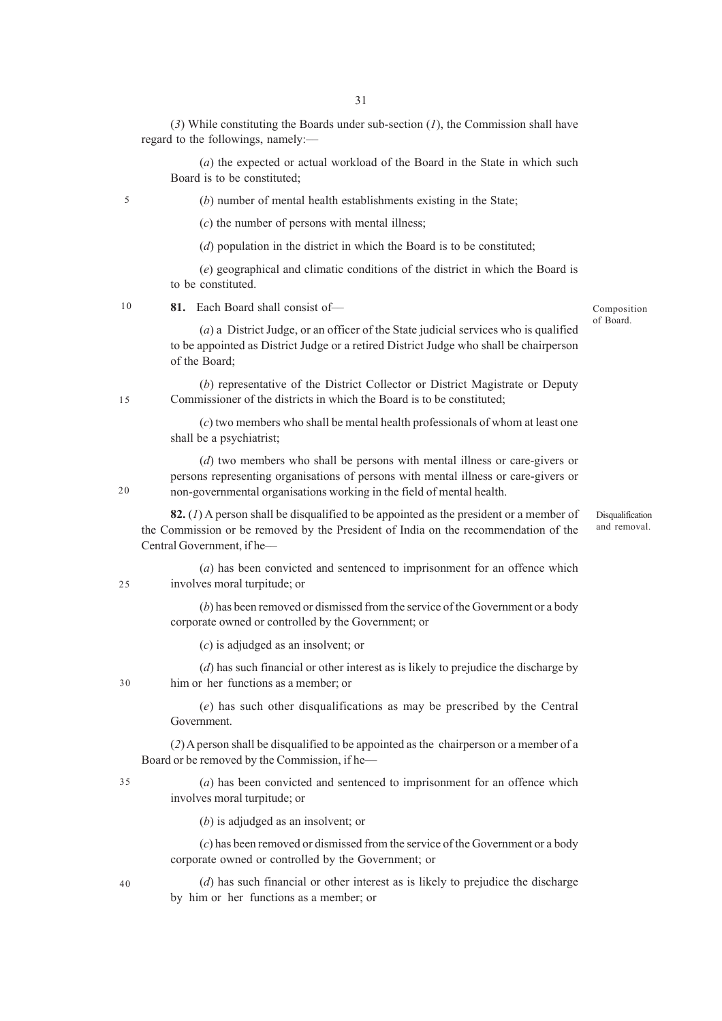(*3*) While constituting the Boards under sub-section (*1*), the Commission shall have regard to the followings, namely:––

(*a*) the expected or actual workload of the Board in the State in which such Board is to be constituted;

(*b*) number of mental health establishments existing in the State;

(*c*) the number of persons with mental illness;

(*d*) population in the district in which the Board is to be constituted;

(*e*) geographical and climatic conditions of the district in which the Board is to be constituted.

81. Each Board shall consist of-10

Composition of Board.

> Disqualification and removal.

(*a*) a District Judge, or an officer of the State judicial services who is qualified to be appointed as District Judge or a retired District Judge who shall be chairperson of the Board;

(*b*) representative of the District Collector or District Magistrate or Deputy Commissioner of the districts in which the Board is to be constituted;

(*c*) two members who shall be mental health professionals of whom at least one shall be a psychiatrist;

(*d*) two members who shall be persons with mental illness or care-givers or persons representing organisations of persons with mental illness or care-givers or non-governmental organisations working in the field of mental health.

**82.** (*1*) A person shall be disqualified to be appointed as the president or a member of the Commission or be removed by the President of India on the recommendation of the Central Government, if he–

(*a*) has been convicted and sentenced to imprisonment for an offence which involves moral turpitude; or 25

> (*b*) has been removed or dismissed from the service of the Government or a body corporate owned or controlled by the Government; or

(*c*) is adjudged as an insolvent; or

(*d*) has such financial or other interest as is likely to prejudice the discharge by him or her functions as a member; or

(*e*) has such other disqualifications as may be prescribed by the Central Government.

(*2*) A person shall be disqualified to be appointed as the chairperson or a member of a Board or be removed by the Commission, if he––

(*a*) has been convicted and sentenced to imprisonment for an offence which involves moral turpitude; or 35

(*b*) is adjudged as an insolvent; or

(*c*) has been removed or dismissed from the service of the Government or a body corporate owned or controlled by the Government; or

(*d*) has such financial or other interest as is likely to prejudice the discharge by him or her functions as a member; or

40

 $20$ 

15

5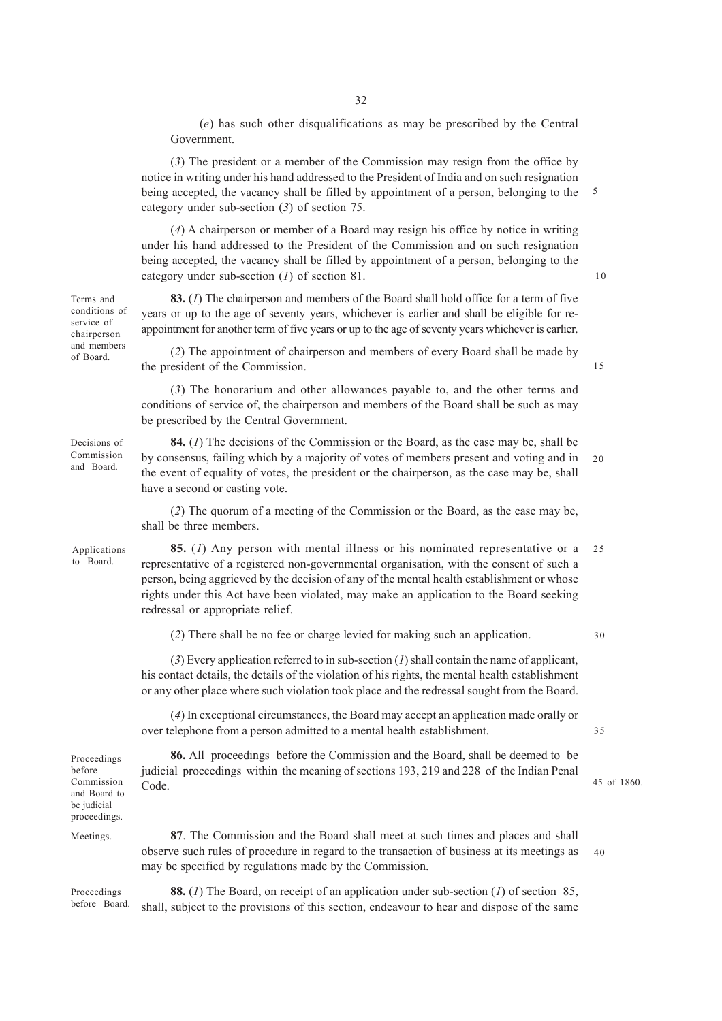(*e*) has such other disqualifications as may be prescribed by the Central Government.

(*3*) The president or a member of the Commission may resign from the office by notice in writing under his hand addressed to the President of India and on such resignation being accepted, the vacancy shall be filled by appointment of a person, belonging to the category under sub-section (*3*) of section 75. 5

(*4*) A chairperson or member of a Board may resign his office by notice in writing under his hand addressed to the President of the Commission and on such resignation being accepted, the vacancy shall be filled by appointment of a person, belonging to the category under sub-section (*1*) of section 81.

**83.** (*1*) The chairperson and members of the Board shall hold office for a term of five years or up to the age of seventy years, whichever is earlier and shall be eligible for reappointment for another term of five years or up to the age of seventy years whichever is earlier.

(*2*) The appointment of chairperson and members of every Board shall be made by the president of the Commission.

(*3*) The honorarium and other allowances payable to, and the other terms and conditions of service of, the chairperson and members of the Board shall be such as may be prescribed by the Central Government.

**84.** (*1*) The decisions of the Commission or the Board, as the case may be, shall be by consensus, failing which by a majority of votes of members present and voting and in the event of equality of votes, the president or the chairperson, as the case may be, shall have a second or casting vote. 20

(*2*) The quorum of a meeting of the Commission or the Board, as the case may be, shall be three members.

**85.** (*1*) Any person with mental illness or his nominated representative or a representative of a registered non-governmental organisation, with the consent of such a person, being aggrieved by the decision of any of the mental health establishment or whose rights under this Act have been violated, may make an application to the Board seeking redressal or appropriate relief. 25

(*2*) There shall be no fee or charge levied for making such an application.

30

35

10

15

45 of 1860.

(*3*) Every application referred to in sub-section (*1*) shall contain the name of applicant, his contact details, the details of the violation of his rights, the mental health establishment or any other place where such violation took place and the redressal sought from the Board.

(*4*) In exceptional circumstances, the Board may accept an application made orally or over telephone from a person admitted to a mental health establishment.

**86.** All proceedings before the Commission and the Board, shall be deemed to be judicial proceedings within the meaning of sections 193, 219 and 228 of the Indian Penal Code.

proceedings. Meetings.

Proceedings before Commission and Board to be judicial

> **87**. The Commission and the Board shall meet at such times and places and shall observe such rules of procedure in regard to the transaction of business at its meetings as may be specified by regulations made by the Commission. 40

Proceedings before Board.

**88.** (*1*) The Board, on receipt of an application under sub-section (*1*) of section 85, shall, subject to the provisions of this section, endeavour to hear and dispose of the same

conditions of service of chairperson and members of Board.

Terms and

Applications to Board.

Decisions of Commission and Board.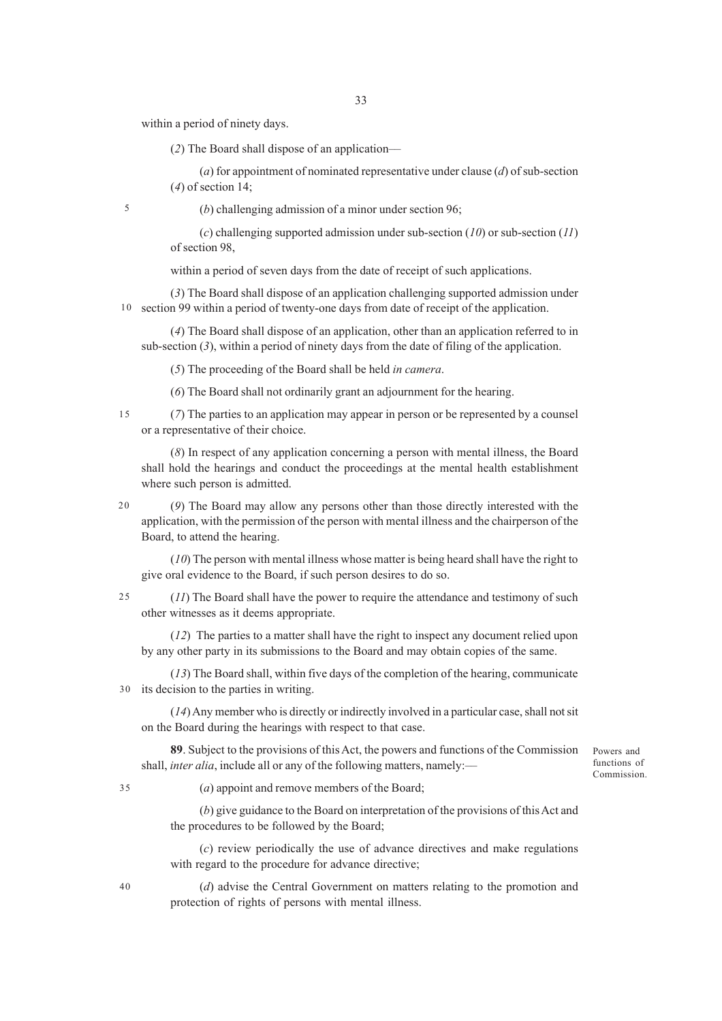within a period of ninety days.

(*2*) The Board shall dispose of an application––

(*a*) for appointment of nominated representative under clause (*d*) of sub-section (*4*) of section 14;

5

(*b*) challenging admission of a minor under section 96;

(*c*) challenging supported admission under sub-section (*10*) or sub-section (*11*) of section 98,

within a period of seven days from the date of receipt of such applications.

(*3*) The Board shall dispose of an application challenging supported admission under section 99 within a period of twenty-one days from date of receipt of the application. 10

(*4*) The Board shall dispose of an application, other than an application referred to in sub-section (*3*), within a period of ninety days from the date of filing of the application.

(*5*) The proceeding of the Board shall be held *in camera*.

(*6*) The Board shall not ordinarily grant an adjournment for the hearing.

15

(*7*) The parties to an application may appear in person or be represented by a counsel or a representative of their choice.

(*8*) In respect of any application concerning a person with mental illness, the Board shall hold the hearings and conduct the proceedings at the mental health establishment where such person is admitted.

20

(*9*) The Board may allow any persons other than those directly interested with the application, with the permission of the person with mental illness and the chairperson of the Board, to attend the hearing.

(*10*) The person with mental illness whose matter is being heard shall have the right to give oral evidence to the Board, if such person desires to do so.

(*11*) The Board shall have the power to require the attendance and testimony of such other witnesses as it deems appropriate. 25

(*12*) The parties to a matter shall have the right to inspect any document relied upon by any other party in its submissions to the Board and may obtain copies of the same.

(*13*) The Board shall, within five days of the completion of the hearing, communicate its decision to the parties in writing. 30

(*14*) Any member who is directly or indirectly involved in a particular case, shall not sit on the Board during the hearings with respect to that case.

**89**. Subject to the provisions of this Act, the powers and functions of the Commission shall, *inter alia*, include all or any of the following matters, namely:—

Powers and functions of Commission.

35

(*a*) appoint and remove members of the Board;

(*b*) give guidance to the Board on interpretation of the provisions of this Act and the procedures to be followed by the Board;

(*c*) review periodically the use of advance directives and make regulations with regard to the procedure for advance directive;

40

(*d*) advise the Central Government on matters relating to the promotion and protection of rights of persons with mental illness.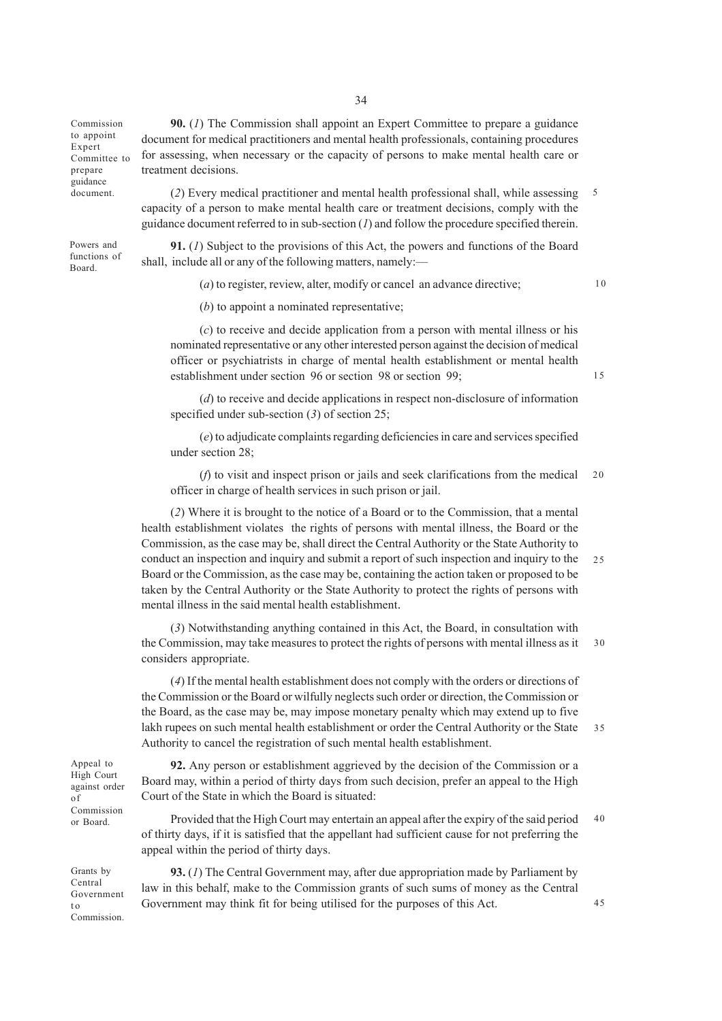Commission to appoint Expert Committee to prepare guidance document.

Powers and functions of Board.

**90.** (*1*) The Commission shall appoint an Expert Committee to prepare a guidance document for medical practitioners and mental health professionals, containing procedures for assessing, when necessary or the capacity of persons to make mental health care or treatment decisions.

(*2*) Every medical practitioner and mental health professional shall, while assessing capacity of a person to make mental health care or treatment decisions, comply with the guidance document referred to in sub-section (*1*) and follow the procedure specified therein. 5

**91.** (*1*) Subject to the provisions of this Act, the powers and functions of the Board shall, include all or any of the following matters, namely:—

(*a*) to register, review, alter, modify or cancel an advance directive;

10

(*b*) to appoint a nominated representative;

(*c*) to receive and decide application from a person with mental illness or his nominated representative or any other interested person against the decision of medical officer or psychiatrists in charge of mental health establishment or mental health establishment under section 96 or section 98 or section 99;

15

45

(*d*) to receive and decide applications in respect non-disclosure of information specified under sub-section (*3*) of section 25;

(*e*) to adjudicate complaints regarding deficiencies in care and services specified under section 28;

(*f*) to visit and inspect prison or jails and seek clarifications from the medical officer in charge of health services in such prison or jail.  $20$ 

(*2*) Where it is brought to the notice of a Board or to the Commission, that a mental health establishment violates the rights of persons with mental illness, the Board or the Commission, as the case may be, shall direct the Central Authority or the State Authority to conduct an inspection and inquiry and submit a report of such inspection and inquiry to the Board or the Commission, as the case may be, containing the action taken or proposed to be taken by the Central Authority or the State Authority to protect the rights of persons with mental illness in the said mental health establishment.  $25$ 

(*3*) Notwithstanding anything contained in this Act, the Board, in consultation with the Commission, may take measures to protect the rights of persons with mental illness as it considers appropriate. 30

(*4*) If the mental health establishment does not comply with the orders or directions of the Commission or the Board or wilfully neglects such order or direction, the Commission or the Board, as the case may be, may impose monetary penalty which may extend up to five lakh rupees on such mental health establishment or order the Central Authority or the State Authority to cancel the registration of such mental health establishment. 35

**92.** Any person or establishment aggrieved by the decision of the Commission or a Board may, within a period of thirty days from such decision, prefer an appeal to the High Court of the State in which the Board is situated:

Provided that the High Court may entertain an appeal after the expiry of the said period of thirty days, if it is satisfied that the appellant had sufficient cause for not preferring the appeal within the period of thirty days. 40

Grants by Central Government t o Commission.

Appeal to High Court against order

of Commission or Board.

> **93.** (*1*) The Central Government may, after due appropriation made by Parliament by law in this behalf, make to the Commission grants of such sums of money as the Central Government may think fit for being utilised for the purposes of this Act.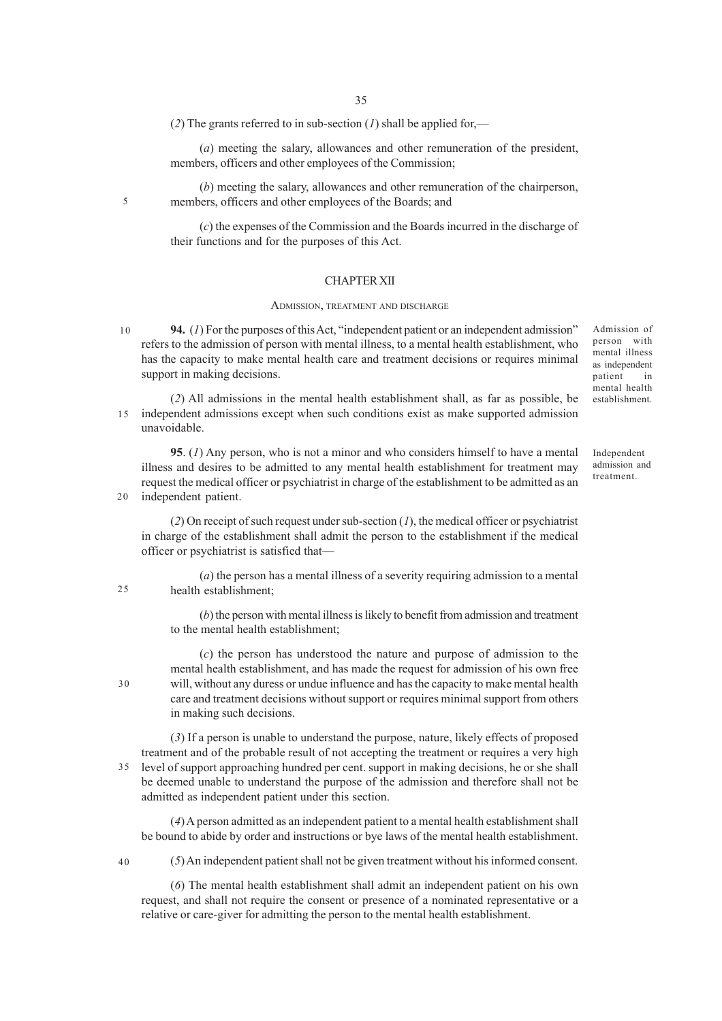(*2*) The grants referred to in sub-section (*1*) shall be applied for,—

(*a*) meeting the salary, allowances and other remuneration of the president, members, officers and other employees of the Commission;

(*b*) meeting the salary, allowances and other remuneration of the chairperson, members, officers and other employees of the Boards; and

(*c*) the expenses of the Commission and the Boards incurred in the discharge of their functions and for the purposes of this Act.

## CHAPTER XII

#### ADMISSION, TREATMENT AND DISCHARGE

**94.** (*1*) For the purposes of this Act, "independent patient or an independent admission" refers to the admission of person with mental illness, to a mental health establishment, who has the capacity to make mental health care and treatment decisions or requires minimal support in making decisions. 10

(*2*) All admissions in the mental health establishment shall, as far as possible, be independent admissions except when such conditions exist as make supported admission unavoidable. 15

**95**. (*1*) Any person, who is not a minor and who considers himself to have a mental illness and desires to be admitted to any mental health establishment for treatment may request the medical officer or psychiatrist in charge of the establishment to be admitted as an independent patient.

(*2*) On receipt of such request under sub-section (*1*), the medical officer or psychiatrist in charge of the establishment shall admit the person to the establishment if the medical officer or psychiatrist is satisfied that––

(*a*) the person has a mental illness of a severity requiring admission to a mental health establishment;

(*b*) the person with mental illness is likely to benefit from admission and treatment to the mental health establishment;

(*c*) the person has understood the nature and purpose of admission to the mental health establishment, and has made the request for admission of his own free will, without any duress or undue influence and has the capacity to make mental health care and treatment decisions without support or requires minimal support from others in making such decisions.

(*3*) If a person is unable to understand the purpose, nature, likely effects of proposed treatment and of the probable result of not accepting the treatment or requires a very high level of support approaching hundred per cent. support in making decisions, he or she shall 35 be deemed unable to understand the purpose of the admission and therefore shall not be admitted as independent patient under this section.

(*4*) A person admitted as an independent patient to a mental health establishment shall be bound to abide by order and instructions or bye laws of the mental health establishment.

(*5*) An independent patient shall not be given treatment without his informed consent.

(*6*) The mental health establishment shall admit an independent patient on his own request, and shall not require the consent or presence of a nominated representative or a relative or care-giver for admitting the person to the mental health establishment.

Admission of person with mental illness as independent patient in mental health establishment.

Independent admission and treatment.

40

5

20

25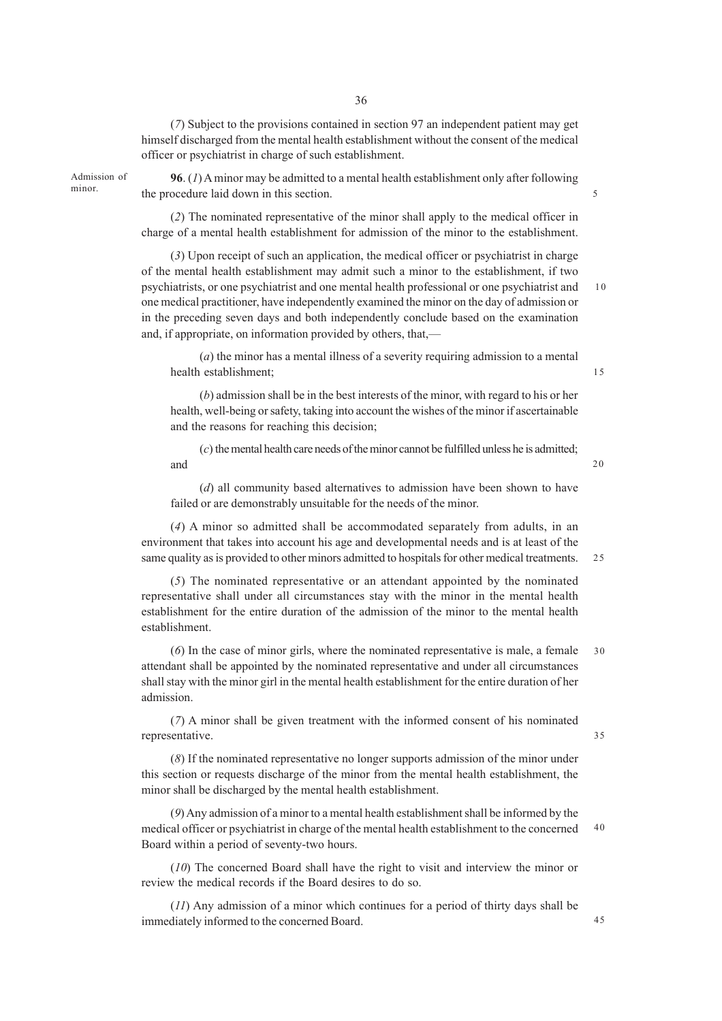(*7*) Subject to the provisions contained in section 97 an independent patient may get himself discharged from the mental health establishment without the consent of the medical officer or psychiatrist in charge of such establishment.

Admission of

**96**. (*1*) A minor may be admitted to a mental health establishment only after following minor. the procedure laid down in this section.

> (*2*) The nominated representative of the minor shall apply to the medical officer in charge of a mental health establishment for admission of the minor to the establishment.

(*3*) Upon receipt of such an application, the medical officer or psychiatrist in charge of the mental health establishment may admit such a minor to the establishment, if two psychiatrists, or one psychiatrist and one mental health professional or one psychiatrist and one medical practitioner, have independently examined the minor on the day of admission or in the preceding seven days and both independently conclude based on the examination and, if appropriate, on information provided by others, that,— 10

(*a*) the minor has a mental illness of a severity requiring admission to a mental health establishment;

(*b*) admission shall be in the best interests of the minor, with regard to his or her health, well-being or safety, taking into account the wishes of the minor if ascertainable and the reasons for reaching this decision;

(*c*) the mental health care needs of the minor cannot be fulfilled unless he is admitted; and

(*d*) all community based alternatives to admission have been shown to have failed or are demonstrably unsuitable for the needs of the minor.

(*4*) A minor so admitted shall be accommodated separately from adults, in an environment that takes into account his age and developmental needs and is at least of the same quality as is provided to other minors admitted to hospitals for other medical treatments. 25

(*5*) The nominated representative or an attendant appointed by the nominated representative shall under all circumstances stay with the minor in the mental health establishment for the entire duration of the admission of the minor to the mental health establishment.

(*6*) In the case of minor girls, where the nominated representative is male, a female attendant shall be appointed by the nominated representative and under all circumstances shall stay with the minor girl in the mental health establishment for the entire duration of her admission. 30

(*7*) A minor shall be given treatment with the informed consent of his nominated representative.

(*8*) If the nominated representative no longer supports admission of the minor under this section or requests discharge of the minor from the mental health establishment, the minor shall be discharged by the mental health establishment.

(*9*) Any admission of a minor to a mental health establishment shall be informed by the medical officer or psychiatrist in charge of the mental health establishment to the concerned Board within a period of seventy-two hours. 40

(*10*) The concerned Board shall have the right to visit and interview the minor or review the medical records if the Board desires to do so.

(*11*) Any admission of a minor which continues for a period of thirty days shall be immediately informed to the concerned Board.

15

20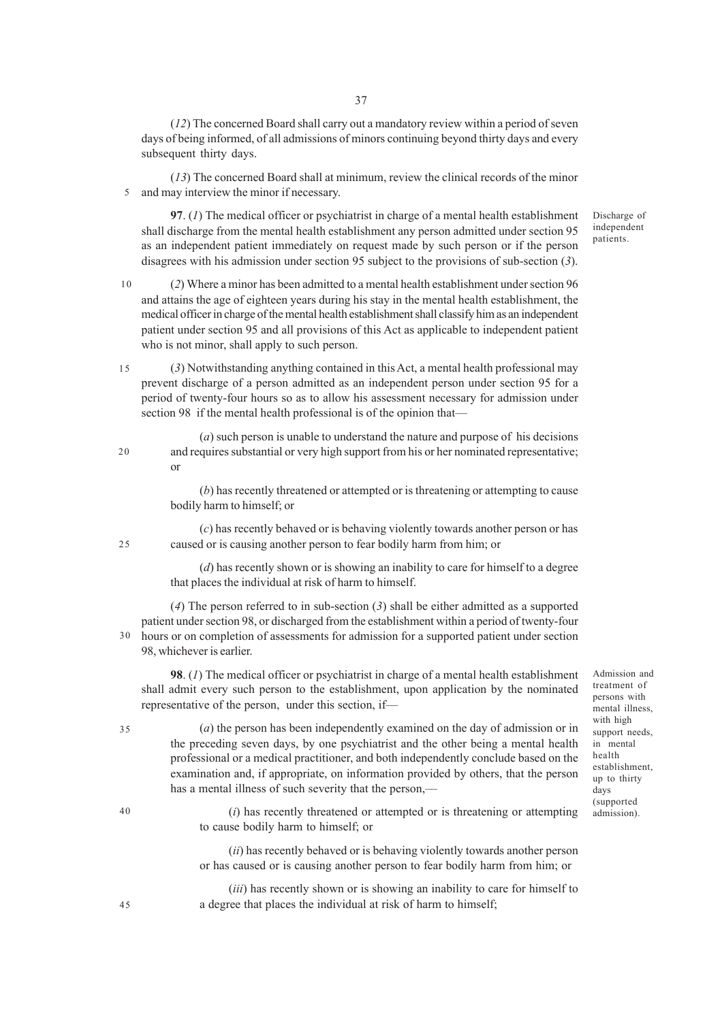(*12*) The concerned Board shall carry out a mandatory review within a period of seven days of being informed, of all admissions of minors continuing beyond thirty days and every subsequent thirty days.

(*13*) The concerned Board shall at minimum, review the clinical records of the minor and may interview the minor if necessary. 5

**97**. (*1*) The medical officer or psychiatrist in charge of a mental health establishment shall discharge from the mental health establishment any person admitted under section 95 as an independent patient immediately on request made by such person or if the person disagrees with his admission under section 95 subject to the provisions of sub-section (*3*).

(*2*) Where a minor has been admitted to a mental health establishment under section 96 and attains the age of eighteen years during his stay in the mental health establishment, the medical officer in charge of the mental health establishment shall classify him as an independent patient under section 95 and all provisions of this Act as applicable to independent patient who is not minor, shall apply to such person. 10

(*3*) Notwithstanding anything contained in this Act, a mental health professional may prevent discharge of a person admitted as an independent person under section 95 for a period of twenty-four hours so as to allow his assessment necessary for admission under section 98 if the mental health professional is of the opinion that— 15

(*a*) such person is unable to understand the nature and purpose of his decisions and requires substantial or very high support from his or her nominated representative; or

(*b*) has recently threatened or attempted or is threatening or attempting to cause bodily harm to himself; or

(*c*) has recently behaved or is behaving violently towards another person or has caused or is causing another person to fear bodily harm from him; or

(*d*) has recently shown or is showing an inability to care for himself to a degree that places the individual at risk of harm to himself.

(*4*) The person referred to in sub-section (*3*) shall be either admitted as a supported patient under section 98, or discharged from the establishment within a period of twenty-four 30 hours or on completion of assessments for admission for a supported patient under section 98, whichever is earlier.

**98**. (*1*) The medical officer or psychiatrist in charge of a mental health establishment shall admit every such person to the establishment, upon application by the nominated representative of the person, under this section, if––

(*a*) the person has been independently examined on the day of admission or in the preceding seven days, by one psychiatrist and the other being a mental health professional or a medical practitioner, and both independently conclude based on the examination and, if appropriate, on information provided by others, that the person has a mental illness of such severity that the person,-

persons with mental illness, with high support needs, in mental health establishment, up to thirty days (supported admission).

Admission and treatment of

Discharge of independent patients.

(*i*) has recently threatened or attempted or is threatening or attempting to cause bodily harm to himself; or

(*ii*) has recently behaved or is behaving violently towards another person or has caused or is causing another person to fear bodily harm from him; or

(*iii*) has recently shown or is showing an inability to care for himself to a degree that places the individual at risk of harm to himself;

40

45

35

25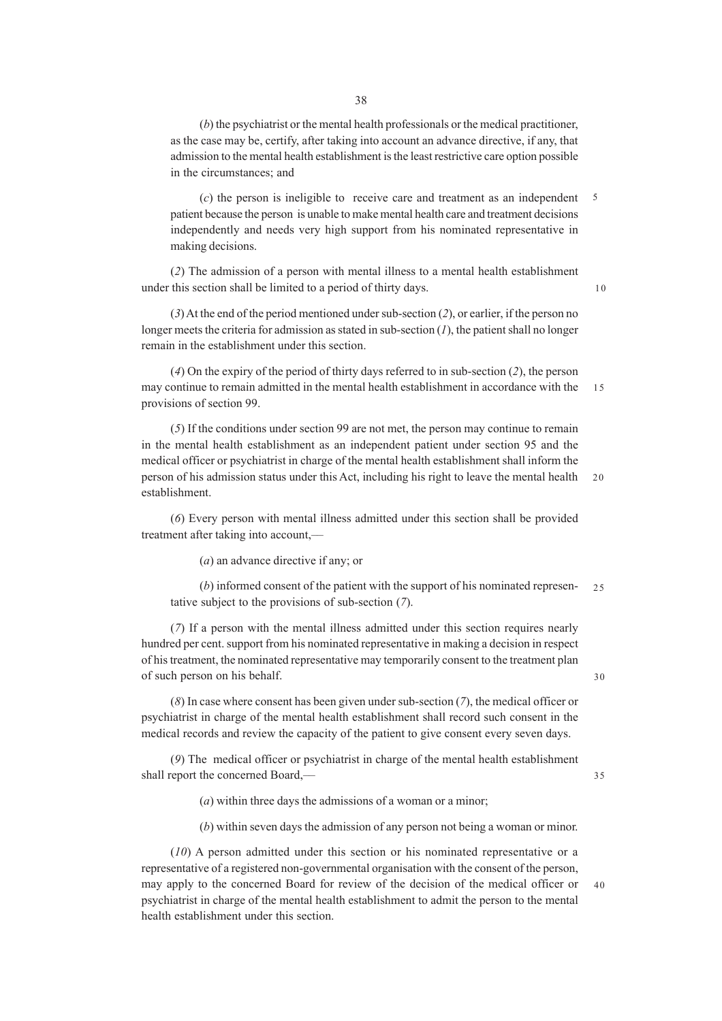(*b*) the psychiatrist or the mental health professionals or the medical practitioner, as the case may be, certify, after taking into account an advance directive, if any, that admission to the mental health establishment is the least restrictive care option possible in the circumstances; and

(*c*) the person is ineligible to receive care and treatment as an independent patient because the person is unable to make mental health care and treatment decisions independently and needs very high support from his nominated representative in making decisions. 5

(*2*) The admission of a person with mental illness to a mental health establishment under this section shall be limited to a period of thirty days.

10

(*3*) At the end of the period mentioned under sub-section (*2*), or earlier, if the person no longer meets the criteria for admission as stated in sub-section  $(I)$ , the patient shall no longer remain in the establishment under this section.

(*4*) On the expiry of the period of thirty days referred to in sub-section (*2*), the person may continue to remain admitted in the mental health establishment in accordance with the provisions of section 99. 15

(*5*) If the conditions under section 99 are not met, the person may continue to remain in the mental health establishment as an independent patient under section 95 and the medical officer or psychiatrist in charge of the mental health establishment shall inform the person of his admission status under this Act, including his right to leave the mental health establishment.  $20$ 

(*6*) Every person with mental illness admitted under this section shall be provided treatment after taking into account,––

(*a*) an advance directive if any; or

(*b*) informed consent of the patient with the support of his nominated representative subject to the provisions of sub-section (*7*).  $25$ 

(*7*) If a person with the mental illness admitted under this section requires nearly hundred per cent. support from his nominated representative in making a decision in respect of his treatment, the nominated representative may temporarily consent to the treatment plan of such person on his behalf.

(*8*) In case where consent has been given under sub-section (*7*), the medical officer or psychiatrist in charge of the mental health establishment shall record such consent in the medical records and review the capacity of the patient to give consent every seven days.

(*9*) The medical officer or psychiatrist in charge of the mental health establishment shall report the concerned Board,––

35

30

(*a*) within three days the admissions of a woman or a minor;

(*b*) within seven days the admission of any person not being a woman or minor.

(*10*) A person admitted under this section or his nominated representative or a representative of a registered non-governmental organisation with the consent of the person, may apply to the concerned Board for review of the decision of the medical officer or psychiatrist in charge of the mental health establishment to admit the person to the mental health establishment under this section. 40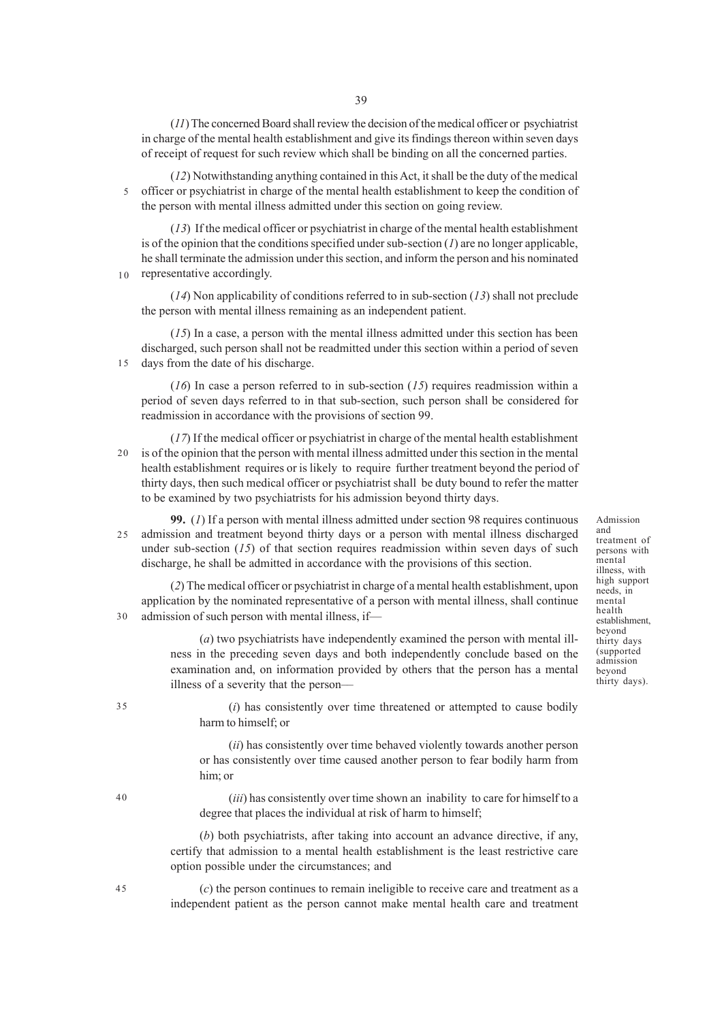(*11*) The concerned Board shall review the decision of the medical officer or psychiatrist in charge of the mental health establishment and give its findings thereon within seven days of receipt of request for such review which shall be binding on all the concerned parties.

(*12*) Notwithstanding anything contained in this Act, it shall be the duty of the medical officer or psychiatrist in charge of the mental health establishment to keep the condition of the person with mental illness admitted under this section on going review. 5

(*13*) If the medical officer or psychiatrist in charge of the mental health establishment is of the opinion that the conditions specified under sub-section  $(1)$  are no longer applicable, he shall terminate the admission under this section, and inform the person and his nominated representative accordingly.

(*14*) Non applicability of conditions referred to in sub-section (*13*) shall not preclude the person with mental illness remaining as an independent patient.

(*15*) In a case, a person with the mental illness admitted under this section has been discharged, such person shall not be readmitted under this section within a period of seven days from the date of his discharge. 15

(*16*) In case a person referred to in sub-section (*15*) requires readmission within a period of seven days referred to in that sub-section, such person shall be considered for readmission in accordance with the provisions of section 99.

(*17*) If the medical officer or psychiatrist in charge of the mental health establishment is of the opinion that the person with mental illness admitted under this section in the mental health establishment requires or is likely to require further treatment beyond the period of thirty days, then such medical officer or psychiatrist shall be duty bound to refer the matter to be examined by two psychiatrists for his admission beyond thirty days.  $20$ 

**99.** (*1*) If a person with mental illness admitted under section 98 requires continuous admission and treatment beyond thirty days or a person with mental illness discharged under sub-section (15) of that section requires readmission within seven days of such discharge, he shall be admitted in accordance with the provisions of this section. 25

(*2*) The medical officer or psychiatrist in charge of a mental health establishment, upon application by the nominated representative of a person with mental illness, shall continue admission of such person with mental illness, if— 30

> (*a*) two psychiatrists have independently examined the person with mental illness in the preceding seven days and both independently conclude based on the examination and, on information provided by others that the person has a mental illness of a severity that the person––

(*i*) has consistently over time threatened or attempted to cause bodily harm to himself; or

(*ii*) has consistently over time behaved violently towards another person or has consistently over time caused another person to fear bodily harm from him; or

(*iii*) has consistently over time shown an inability to care for himself to a degree that places the individual at risk of harm to himself;

(*b*) both psychiatrists, after taking into account an advance directive, if any, certify that admission to a mental health establishment is the least restrictive care option possible under the circumstances; and

(*c*) the person continues to remain ineligible to receive care and treatment as a independent patient as the person cannot make mental health care and treatment

Admission and treatment of persons with mental illness, with high support needs, in mental health establishment, beyond thirty days (supported admission beyond thirty days).

45

35

40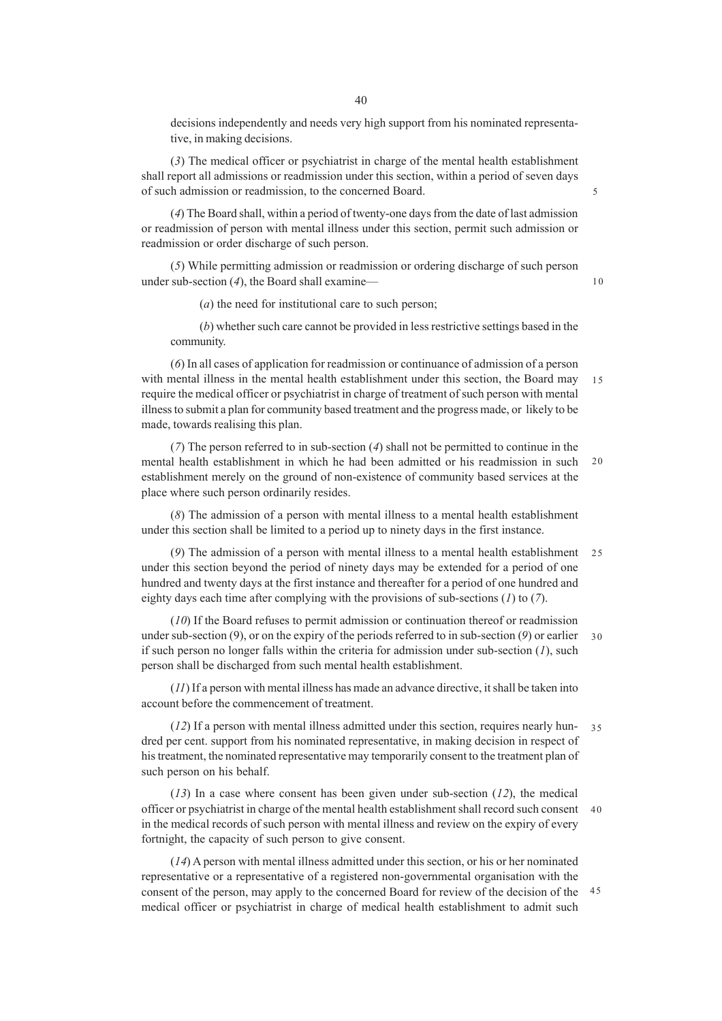decisions independently and needs very high support from his nominated representative, in making decisions.

(*3*) The medical officer or psychiatrist in charge of the mental health establishment shall report all admissions or readmission under this section, within a period of seven days of such admission or readmission, to the concerned Board.

(*4*) The Board shall, within a period of twenty-one days from the date of last admission or readmission of person with mental illness under this section, permit such admission or readmission or order discharge of such person.

(*5*) While permitting admission or readmission or ordering discharge of such person under sub-section (*4*), the Board shall examine––

(*a*) the need for institutional care to such person;

(*b*) whether such care cannot be provided in less restrictive settings based in the community.

(*6*) In all cases of application for readmission or continuance of admission of a person with mental illness in the mental health establishment under this section, the Board may require the medical officer or psychiatrist in charge of treatment of such person with mental illness to submit a plan for community based treatment and the progress made, or likely to be made, towards realising this plan. 15

(*7*) The person referred to in sub-section (*4*) shall not be permitted to continue in the mental health establishment in which he had been admitted or his readmission in such establishment merely on the ground of non-existence of community based services at the place where such person ordinarily resides.  $20$ 

(*8*) The admission of a person with mental illness to a mental health establishment under this section shall be limited to a period up to ninety days in the first instance.

(*9*) The admission of a person with mental illness to a mental health establishment 25 under this section beyond the period of ninety days may be extended for a period of one hundred and twenty days at the first instance and thereafter for a period of one hundred and eighty days each time after complying with the provisions of sub-sections (*1*) to (*7*).

(*10*) If the Board refuses to permit admission or continuation thereof or readmission under sub-section (9), or on the expiry of the periods referred to in sub-section (*9*) or earlier if such person no longer falls within the criteria for admission under sub-section (*1*), such person shall be discharged from such mental health establishment. 30

(*11*) If a person with mental illness has made an advance directive, it shall be taken into account before the commencement of treatment.

(*12*) If a person with mental illness admitted under this section, requires nearly hundred per cent. support from his nominated representative, in making decision in respect of his treatment, the nominated representative may temporarily consent to the treatment plan of such person on his behalf.  $25$ 

(*13*) In a case where consent has been given under sub-section (*12*), the medical officer or psychiatrist in charge of the mental health establishment shall record such consent 40 in the medical records of such person with mental illness and review on the expiry of every fortnight, the capacity of such person to give consent.

(*14*) A person with mental illness admitted under this section, or his or her nominated representative or a representative of a registered non-governmental organisation with the consent of the person, may apply to the concerned Board for review of the decision of the 45medical officer or psychiatrist in charge of medical health establishment to admit such

10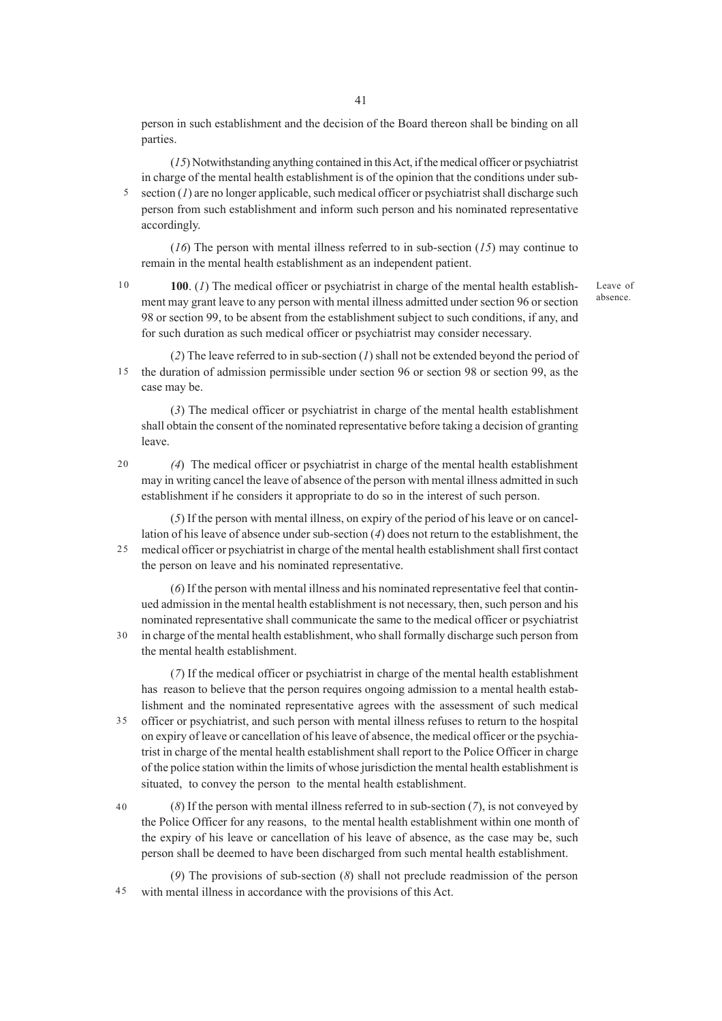41

person in such establishment and the decision of the Board thereon shall be binding on all parties.

(*15*) Notwithstanding anything contained in this Act, if the medical officer or psychiatrist in charge of the mental health establishment is of the opinion that the conditions under subsection  $(1)$  are no longer applicable, such medical officer or psychiatrist shall discharge such person from such establishment and inform such person and his nominated representative accordingly. 5

(*16*) The person with mental illness referred to in sub-section (*15*) may continue to remain in the mental health establishment as an independent patient.

 $10$ 

**100**. (*1*) The medical officer or psychiatrist in charge of the mental health establishment may grant leave to any person with mental illness admitted under section 96 or section 98 or section 99, to be absent from the establishment subject to such conditions, if any, and for such duration as such medical officer or psychiatrist may consider necessary.

Leave of absence.

(*2*) The leave referred to in sub-section (*1*) shall not be extended beyond the period of the duration of admission permissible under section 96 or section 98 or section 99, as the case may be. 15

(*3*) The medical officer or psychiatrist in charge of the mental health establishment shall obtain the consent of the nominated representative before taking a decision of granting leave.

*(4*) The medical officer or psychiatrist in charge of the mental health establishment may in writing cancel the leave of absence of the person with mental illness admitted in such establishment if he considers it appropriate to do so in the interest of such person.

(*5*) If the person with mental illness, on expiry of the period of his leave or on cancellation of his leave of absence under sub-section (*4*) does not return to the establishment, the medical officer or psychiatrist in charge of the mental health establishment shall first contact the person on leave and his nominated representative. 25

(*6*) If the person with mental illness and his nominated representative feel that continued admission in the mental health establishment is not necessary, then, such person and his nominated representative shall communicate the same to the medical officer or psychiatrist in charge of the mental health establishment, who shall formally discharge such person from

the mental health establishment.

(*7*) If the medical officer or psychiatrist in charge of the mental health establishment has reason to believe that the person requires ongoing admission to a mental health establishment and the nominated representative agrees with the assessment of such medical officer or psychiatrist, and such person with mental illness refuses to return to the hospital on expiry of leave or cancellation of his leave of absence, the medical officer or the psychiatrist in charge of the mental health establishment shall report to the Police Officer in charge of the police station within the limits of whose jurisdiction the mental health establishment is situated, to convey the person to the mental health establishment. 35

(*8*) If the person with mental illness referred to in sub-section (*7*), is not conveyed by the Police Officer for any reasons, to the mental health establishment within one month of the expiry of his leave or cancellation of his leave of absence, as the case may be, such person shall be deemed to have been discharged from such mental health establishment. 40

(*9*) The provisions of sub-section (*8*) shall not preclude readmission of the person with mental illness in accordance with the provisions of this Act. 45

20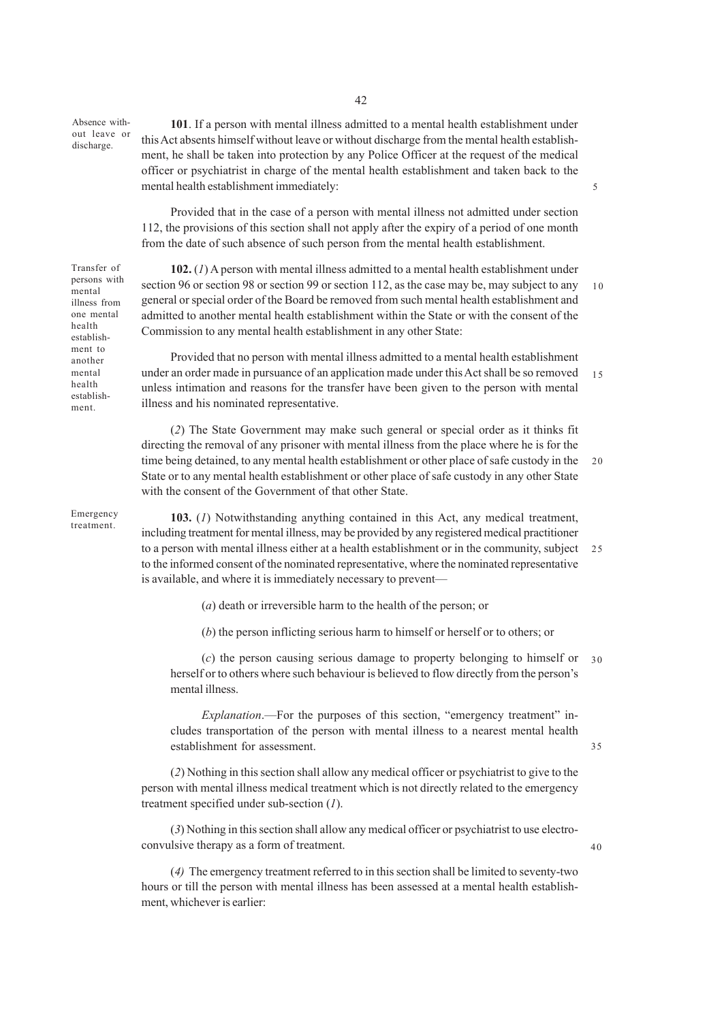Absence without leave or discharge.

**101**. If a person with mental illness admitted to a mental health establishment under this Act absents himself without leave or without discharge from the mental health establishment, he shall be taken into protection by any Police Officer at the request of the medical officer or psychiatrist in charge of the mental health establishment and taken back to the mental health establishment immediately:

5

35

40

Provided that in the case of a person with mental illness not admitted under section 112, the provisions of this section shall not apply after the expiry of a period of one month from the date of such absence of such person from the mental health establishment.

Transfer of persons with mental illness from one mental health establishment to another mental health establishment.

**102.** (*1*) A person with mental illness admitted to a mental health establishment under section 96 or section 98 or section 99 or section 112, as the case may be, may subject to any general or special order of the Board be removed from such mental health establishment and admitted to another mental health establishment within the State or with the consent of the Commission to any mental health establishment in any other State: 10

Provided that no person with mental illness admitted to a mental health establishment under an order made in pursuance of an application made under this Act shall be so removed unless intimation and reasons for the transfer have been given to the person with mental illness and his nominated representative. 15

(*2*) The State Government may make such general or special order as it thinks fit directing the removal of any prisoner with mental illness from the place where he is for the time being detained, to any mental health establishment or other place of safe custody in the State or to any mental health establishment or other place of safe custody in any other State with the consent of the Government of that other State.  $20$ 

Emergency treatment.

**103.** (*1*) Notwithstanding anything contained in this Act, any medical treatment, including treatment for mental illness, may be provided by any registered medical practitioner to a person with mental illness either at a health establishment or in the community, subject 25 to the informed consent of the nominated representative, where the nominated representative is available, and where it is immediately necessary to prevent—

(*a*) death or irreversible harm to the health of the person; or

(*b*) the person inflicting serious harm to himself or herself or to others; or

(*c*) the person causing serious damage to property belonging to himself or 30 herself or to others where such behaviour is believed to flow directly from the person's mental illness.

*Explanation*.—For the purposes of this section, "emergency treatment" includes transportation of the person with mental illness to a nearest mental health establishment for assessment.

(*2*) Nothing in this section shall allow any medical officer or psychiatrist to give to the person with mental illness medical treatment which is not directly related to the emergency treatment specified under sub-section (*1*).

(*3*) Nothing in this section shall allow any medical officer or psychiatrist to use electroconvulsive therapy as a form of treatment.

(*4)* The emergency treatment referred to in this section shall be limited to seventy-two hours or till the person with mental illness has been assessed at a mental health establishment, whichever is earlier: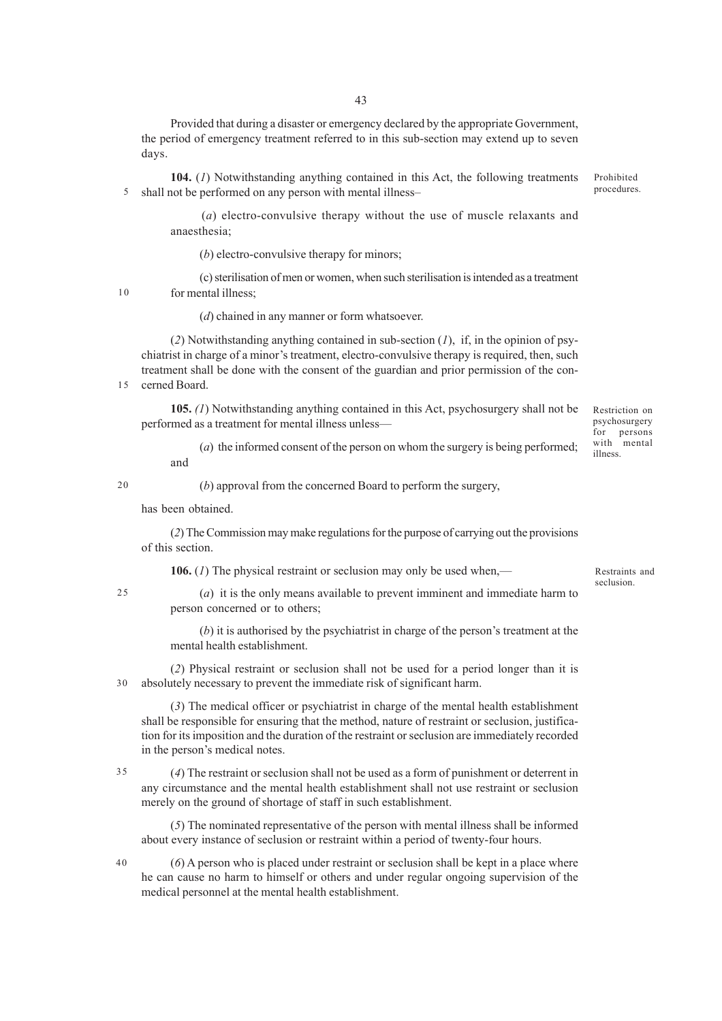Provided that during a disaster or emergency declared by the appropriate Government, the period of emergency treatment referred to in this sub-section may extend up to seven days.

**104.** (*1*) Notwithstanding anything contained in this Act, the following treatments shall not be performed on any person with mental illness– Prohibited procedures. 5

(*a*) electro-convulsive therapy without the use of muscle relaxants and anaesthesia;

(*b*) electro-convulsive therapy for minors;

(c) sterilisation of men or women, when such sterilisation is intended as a treatment for mental illness;

10

(*d*) chained in any manner or form whatsoever.

(2) Notwithstanding anything contained in sub-section  $(I)$ , if, in the opinion of psychiatrist in charge of a minor's treatment, electro-convulsive therapy is required, then, such treatment shall be done with the consent of the guardian and prior permission of the concerned Board.

15

**105.** *(1*) Notwithstanding anything contained in this Act, psychosurgery shall not be performed as a treatment for mental illness unless—

(*a*) the informed consent of the person on whom the surgery is being performed; and

20

(*b*) approval from the concerned Board to perform the surgery,

has been obtained.

(*2*) The Commission may make regulations for the purpose of carrying out the provisions of this section.

**106.** (*1*) The physical restraint or seclusion may only be used when,––

25

(*a*) it is the only means available to prevent imminent and immediate harm to person concerned or to others;

(*b*) it is authorised by the psychiatrist in charge of the person's treatment at the mental health establishment.

(*2*) Physical restraint or seclusion shall not be used for a period longer than it is absolutely necessary to prevent the immediate risk of significant harm. 30

(*3*) The medical officer or psychiatrist in charge of the mental health establishment shall be responsible for ensuring that the method, nature of restraint or seclusion, justification for its imposition and the duration of the restraint or seclusion are immediately recorded in the person's medical notes.

(*4*) The restraint or seclusion shall not be used as a form of punishment or deterrent in any circumstance and the mental health establishment shall not use restraint or seclusion merely on the ground of shortage of staff in such establishment. 35

(*5*) The nominated representative of the person with mental illness shall be informed about every instance of seclusion or restraint within a period of twenty-four hours.

(*6*) A person who is placed under restraint or seclusion shall be kept in a place where he can cause no harm to himself or others and under regular ongoing supervision of the medical personnel at the mental health establishment.

Restraints and seclusion.

Restriction on psychosurgery for persons with mental illness.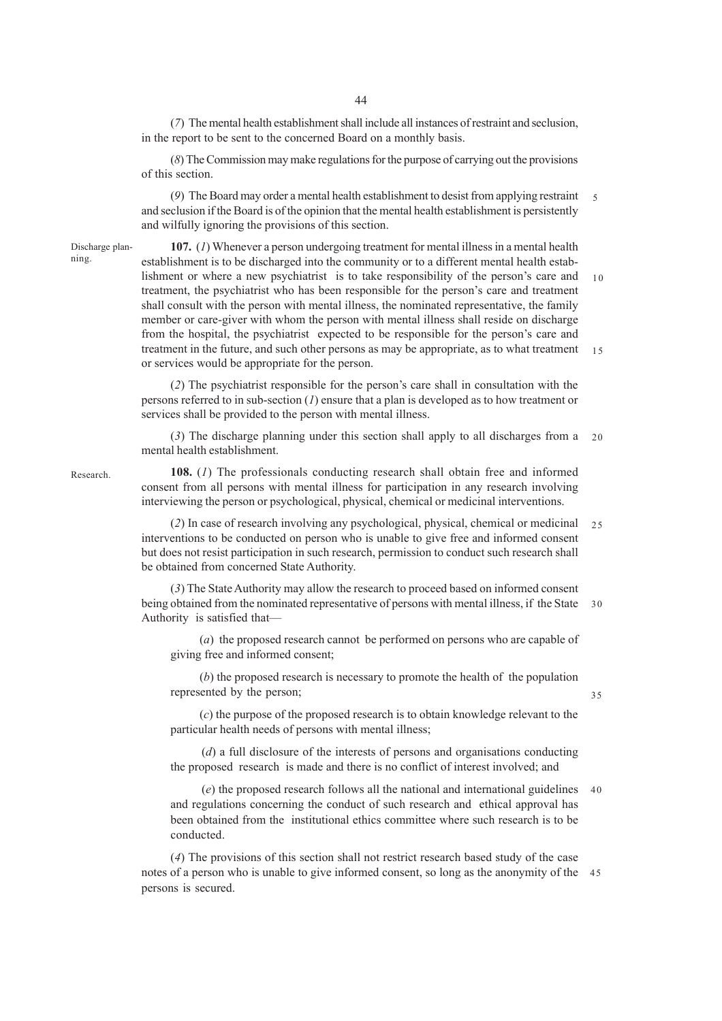(*7*) The mental health establishment shall include all instances of restraint and seclusion, in the report to be sent to the concerned Board on a monthly basis.

(*8*) The Commission may make regulations for the purpose of carrying out the provisions of this section.

(*9*) The Board may order a mental health establishment to desist from applying restraint 5 and seclusion if the Board is of the opinion that the mental health establishment is persistently and wilfully ignoring the provisions of this section.

Discharge planning.

**107.** (*1*) Whenever a person undergoing treatment for mental illness in a mental health establishment is to be discharged into the community or to a different mental health establishment or where a new psychiatrist is to take responsibility of the person's care and treatment, the psychiatrist who has been responsible for the person's care and treatment shall consult with the person with mental illness, the nominated representative, the family member or care-giver with whom the person with mental illness shall reside on discharge from the hospital, the psychiatrist expected to be responsible for the person's care and treatment in the future, and such other persons as may be appropriate, as to what treatment or services would be appropriate for the person.  $1<sub>0</sub>$ 15

(*2*) The psychiatrist responsible for the person's care shall in consultation with the persons referred to in sub-section (*1*) ensure that a plan is developed as to how treatment or services shall be provided to the person with mental illness.

(*3*) The discharge planning under this section shall apply to all discharges from a mental health establishment.  $20$ 

Research.

**108.** (*1*) The professionals conducting research shall obtain free and informed consent from all persons with mental illness for participation in any research involving interviewing the person or psychological, physical, chemical or medicinal interventions.

(*2*) In case of research involving any psychological, physical, chemical or medicinal 25 interventions to be conducted on person who is unable to give free and informed consent but does not resist participation in such research, permission to conduct such research shall be obtained from concerned State Authority.

(*3*) The State Authority may allow the research to proceed based on informed consent being obtained from the nominated representative of persons with mental illness, if the State 30 Authority is satisfied that––

(*a*) the proposed research cannot be performed on persons who are capable of giving free and informed consent;

(*b*) the proposed research is necessary to promote the health of the population represented by the person;

(*c*) the purpose of the proposed research is to obtain knowledge relevant to the particular health needs of persons with mental illness;

(*d*) a full disclosure of the interests of persons and organisations conducting the proposed research is made and there is no conflict of interest involved; and

(*e*) the proposed research follows all the national and international guidelines and regulations concerning the conduct of such research and ethical approval has been obtained from the institutional ethics committee where such research is to be conducted. 40

(*4*) The provisions of this section shall not restrict research based study of the case notes of a person who is unable to give informed consent, so long as the anonymity of the 45persons is secured.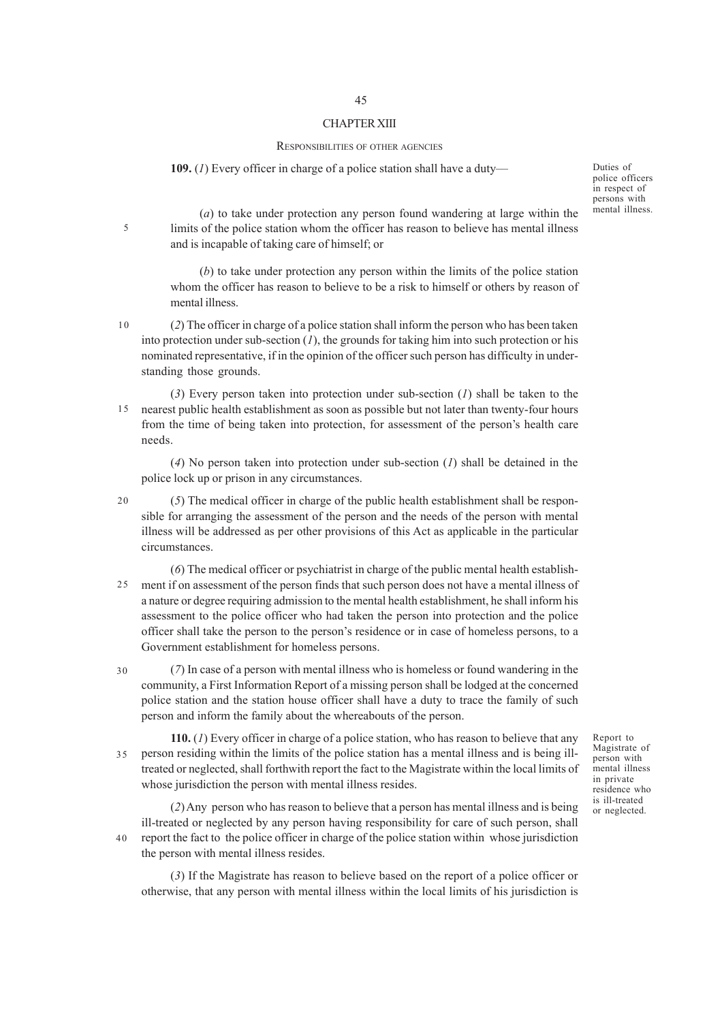### CHAPTER XIII

#### RESPONSIBILITIES OF OTHER AGENCIES

### **109.** (*1*) Every officer in charge of a police station shall have a duty––

Duties of police officers in respect of persons with mental illness.

(*a*) to take under protection any person found wandering at large within the limits of the police station whom the officer has reason to believe has mental illness and is incapable of taking care of himself; or

(*b*) to take under protection any person within the limits of the police station whom the officer has reason to believe to be a risk to himself or others by reason of mental illness.

 $10$ 

5

(*2*) The officer in charge of a police station shall inform the person who has been taken into protection under sub-section  $(1)$ , the grounds for taking him into such protection or his nominated representative, if in the opinion of the officer such person has difficulty in understanding those grounds.

(*3*) Every person taken into protection under sub-section (*1*) shall be taken to the nearest public health establishment as soon as possible but not later than twenty-four hours from the time of being taken into protection, for assessment of the person's health care needs. 15

(*4*) No person taken into protection under sub-section (*1*) shall be detained in the police lock up or prison in any circumstances.

(*5*) The medical officer in charge of the public health establishment shall be responsible for arranging the assessment of the person and the needs of the person with mental illness will be addressed as per other provisions of this Act as applicable in the particular circumstances. 20

(*6*) The medical officer or psychiatrist in charge of the public mental health establishment if on assessment of the person finds that such person does not have a mental illness of a nature or degree requiring admission to the mental health establishment, he shall inform his assessment to the police officer who had taken the person into protection and the police officer shall take the person to the person's residence or in case of homeless persons, to a Government establishment for homeless persons. 25

(*7*) In case of a person with mental illness who is homeless or found wandering in the community, a First Information Report of a missing person shall be lodged at the concerned police station and the station house officer shall have a duty to trace the family of such person and inform the family about the whereabouts of the person. 30

**110.** (*1*) Every officer in charge of a police station, who has reason to believe that any person residing within the limits of the police station has a mental illness and is being illtreated or neglected, shall forthwith report the fact to the Magistrate within the local limits of whose jurisdiction the person with mental illness resides. 35

(*2*) Any person who has reason to believe that a person has mental illness and is being ill-treated or neglected by any person having responsibility for care of such person, shall report the fact to the police officer in charge of the police station within whose jurisdiction the person with mental illness resides. 40

(*3*) If the Magistrate has reason to believe based on the report of a police officer or otherwise, that any person with mental illness within the local limits of his jurisdiction is

Report to Magistrate of person with mental illness in private residence who is ill-treated or neglected.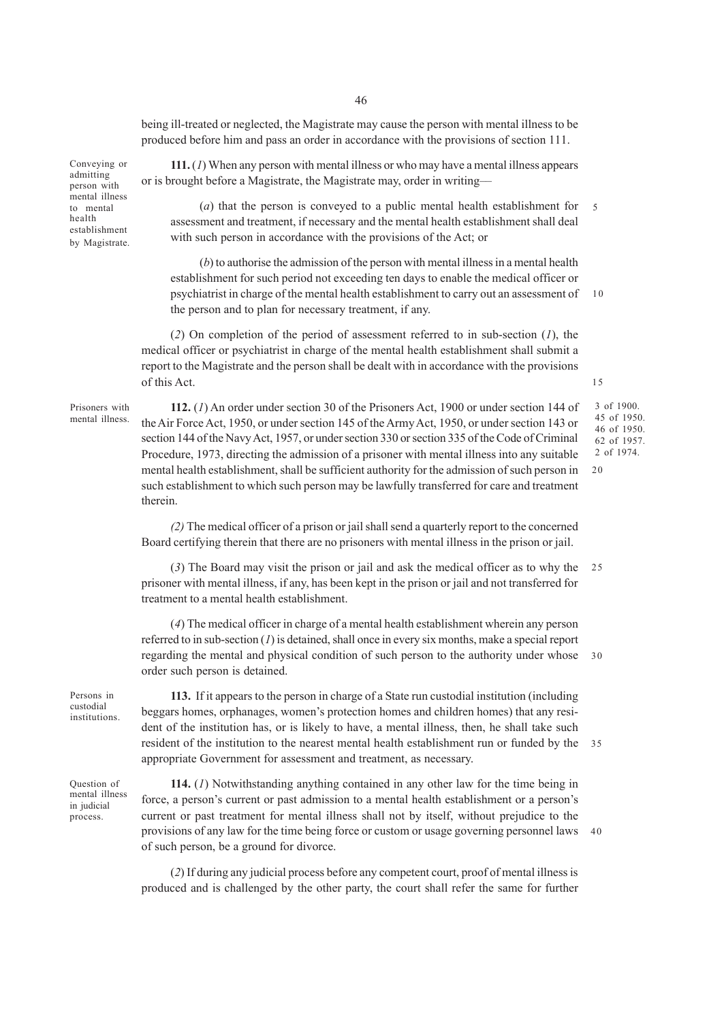being ill-treated or neglected, the Magistrate may cause the person with mental illness to be produced before him and pass an order in accordance with the provisions of section 111.

Conveying or admitting person with mental illness to mental health establishment by Magistrate.

**111.** (*1*) When any person with mental illness or who may have a mental illness appears or is brought before a Magistrate, the Magistrate may, order in writing––

(*a*) that the person is conveyed to a public mental health establishment for assessment and treatment, if necessary and the mental health establishment shall deal with such person in accordance with the provisions of the Act; or 5

(*b*) to authorise the admission of the person with mental illness in a mental health establishment for such period not exceeding ten days to enable the medical officer or psychiatrist in charge of the mental health establishment to carry out an assessment of the person and to plan for necessary treatment, if any. 10

(*2*) On completion of the period of assessment referred to in sub-section (*1*), the medical officer or psychiatrist in charge of the mental health establishment shall submit a report to the Magistrate and the person shall be dealt with in accordance with the provisions of this Act.

Prisoners with mental illness.

**112.** (*1*) An order under section 30 of the Prisoners Act, 1900 or under section 144 of the Air Force Act, 1950, or under section 145 of the Army Act, 1950, or under section 143 or section 144 of the Navy Act, 1957, or under section 330 or section 335 of the Code of Criminal Procedure, 1973, directing the admission of a prisoner with mental illness into any suitable mental health establishment, shall be sufficient authority for the admission of such person in such establishment to which such person may be lawfully transferred for care and treatment therein.

3 of 1900. 45 of 1950. 46 of 1950. 62 of 1957. 2 of 1974.

*(2)* The medical officer of a prison or jail shall send a quarterly report to the concerned Board certifying therein that there are no prisoners with mental illness in the prison or jail.

(*3*) The Board may visit the prison or jail and ask the medical officer as to why the prisoner with mental illness, if any, has been kept in the prison or jail and not transferred for treatment to a mental health establishment.  $25$ 

(*4*) The medical officer in charge of a mental health establishment wherein any person referred to in sub-section (*1*) is detained, shall once in every six months, make a special report regarding the mental and physical condition of such person to the authority under whose order such person is detained. 30

Persons in custodial institutions.

**113.** If it appears to the person in charge of a State run custodial institution (including beggars homes, orphanages, women's protection homes and children homes) that any resident of the institution has, or is likely to have, a mental illness, then, he shall take such resident of the institution to the nearest mental health establishment run or funded by the appropriate Government for assessment and treatment, as necessary. 35

Question of mental illness in judicial process.

**114.** (*1*) Notwithstanding anything contained in any other law for the time being in force, a person's current or past admission to a mental health establishment or a person's current or past treatment for mental illness shall not by itself, without prejudice to the provisions of any law for the time being force or custom or usage governing personnel laws of such person, be a ground for divorce. 40

(*2*) If during any judicial process before any competent court, proof of mental illness is produced and is challenged by the other party, the court shall refer the same for further

15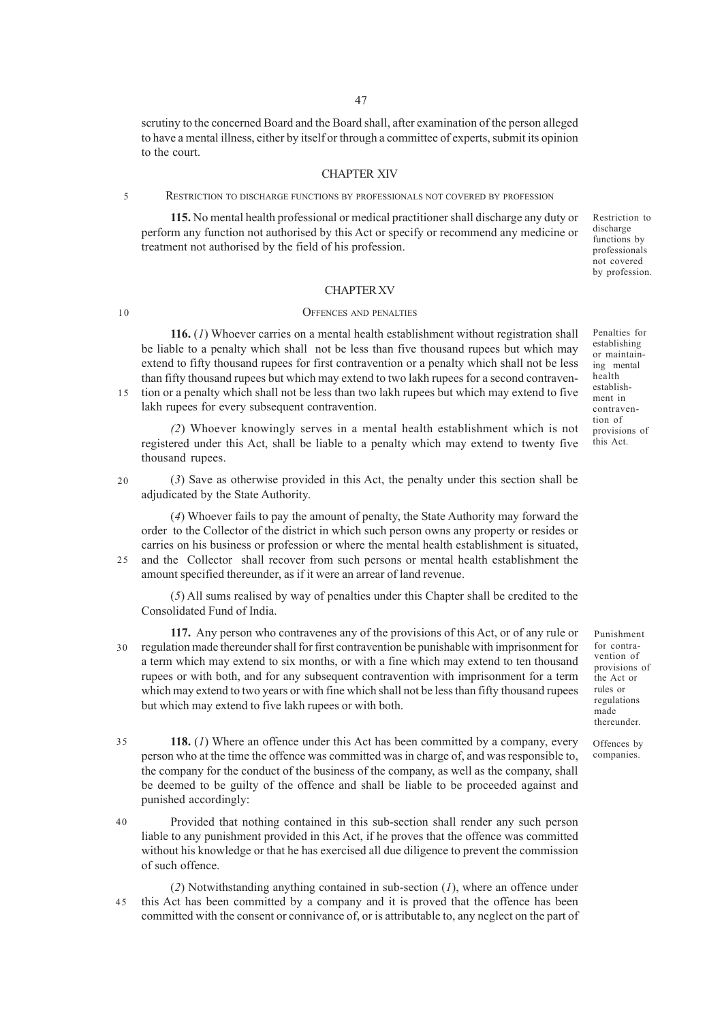scrutiny to the concerned Board and the Board shall, after examination of the person alleged to have a mental illness, either by itself or through a committee of experts, submit its opinion to the court.

#### CHAPTER XIV

RESTRICTION TO DISCHARGE FUNCTIONS BY PROFESSIONALS NOT COVERED BY PROFESSION

**115.** No mental health professional or medical practitioner shall discharge any duty or perform any function not authorised by this Act or specify or recommend any medicine or treatment not authorised by the field of his profession.

Restriction to discharge functions by professionals not covered by profession.

## CHAPTER XV

## OFFENCES AND PENALTIES

**116.** (*1*) Whoever carries on a mental health establishment without registration shall be liable to a penalty which shall not be less than five thousand rupees but which may extend to fifty thousand rupees for first contravention or a penalty which shall not be less than fifty thousand rupees but which may extend to two lakh rupees for a second contravention or a penalty which shall not be less than two lakh rupees but which may extend to five lakh rupees for every subsequent contravention. 15

*(2*) Whoever knowingly serves in a mental health establishment which is not registered under this Act, shall be liable to a penalty which may extend to twenty five thousand rupees.

(*3*) Save as otherwise provided in this Act, the penalty under this section shall be adjudicated by the State Authority. 20

(*4*) Whoever fails to pay the amount of penalty, the State Authority may forward the order to the Collector of the district in which such person owns any property or resides or carries on his business or profession or where the mental health establishment is situated, and the Collector shall recover from such persons or mental health establishment the

amount specified thereunder, as if it were an arrear of land revenue.

(*5*) All sums realised by way of penalties under this Chapter shall be credited to the Consolidated Fund of India.

**117.** Any person who contravenes any of the provisions of this Act, or of any rule or regulation made thereunder shall for first contravention be punishable with imprisonment for a term which may extend to six months, or with a fine which may extend to ten thousand rupees or with both, and for any subsequent contravention with imprisonment for a term which may extend to two years or with fine which shall not be less than fifty thousand rupees but which may extend to five lakh rupees or with both. 30

- **118.** (*1*) Where an offence under this Act has been committed by a company, every person who at the time the offence was committed was in charge of, and was responsible to, the company for the conduct of the business of the company, as well as the company, shall be deemed to be guilty of the offence and shall be liable to be proceeded against and punished accordingly: 35
- Provided that nothing contained in this sub-section shall render any such person liable to any punishment provided in this Act, if he proves that the offence was committed without his knowledge or that he has exercised all due diligence to prevent the commission of such offence.

(*2*) Notwithstanding anything contained in sub-section (*1*), where an offence under this Act has been committed by a company and it is proved that the offence has been committed with the consent or connivance of, or is attributable to, any neglect on the part of 45

Penalties for establishing or maintaining mental health establishment in contravention of provisions of this Act.

Punishment for contravention of provisions of the Act or rules or regulations made thereunder.

Offences by companies.

40

5

10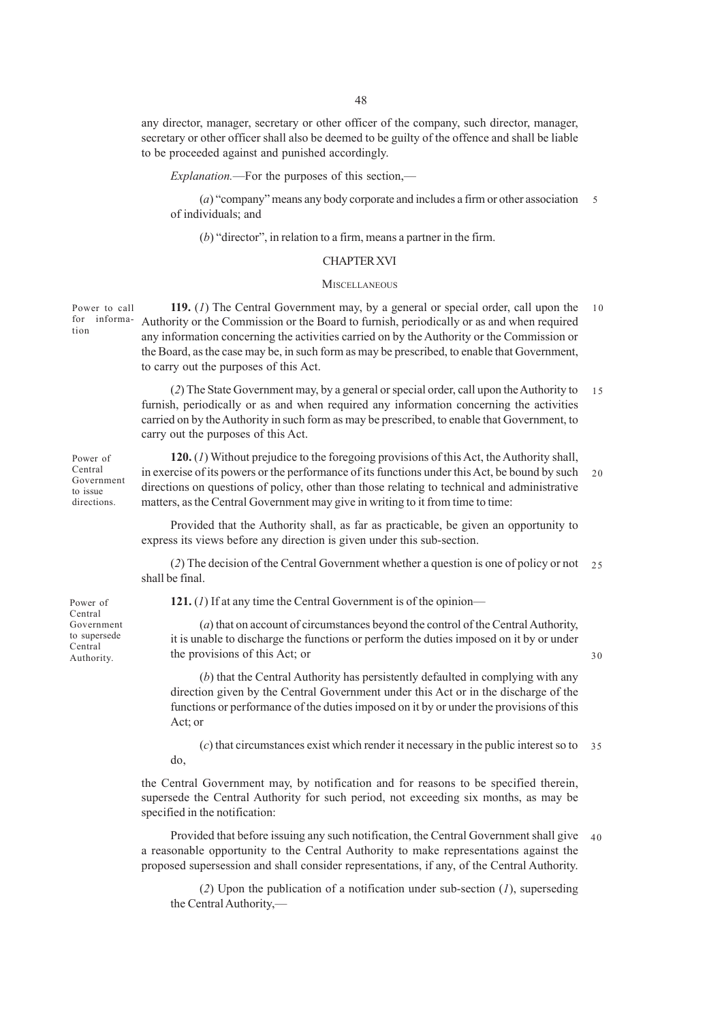any director, manager, secretary or other officer of the company, such director, manager, secretary or other officer shall also be deemed to be guilty of the offence and shall be liable to be proceeded against and punished accordingly.

*Explanation.*—For the purposes of this section,—

(*a*) "company" means any body corporate and includes a firm or other association of individuals; and 5

(*b*) "director", in relation to a firm, means a partner in the firm.

# CHAPTER XVI

## **MISCELLANEOUS**

**119.** (*1*) The Central Government may, by a general or special order, call upon the for informa- Authority or the Commission or the Board to furnish, periodically or as and when required any information concerning the activities carried on by the Authority or the Commission or the Board, as the case may be, in such form as may be prescribed, to enable that Government, to carry out the purposes of this Act. Power to call 10

> (*2*) The State Government may, by a general or special order, call upon the Authority to furnish, periodically or as and when required any information concerning the activities carried on by the Authority in such form as may be prescribed, to enable that Government, to carry out the purposes of this Act. 15

**120.** (*1*) Without prejudice to the foregoing provisions of this Act, the Authority shall, in exercise of its powers or the performance of its functions under this Act, be bound by such directions on questions of policy, other than those relating to technical and administrative matters, as the Central Government may give in writing to it from time to time: 20

Provided that the Authority shall, as far as practicable, be given an opportunity to express its views before any direction is given under this sub-section.

(*2*) The decision of the Central Government whether a question is one of policy or not 25 shall be final.

**121.** (*1*) If at any time the Central Government is of the opinion—

(*a*) that on account of circumstances beyond the control of the Central Authority, it is unable to discharge the functions or perform the duties imposed on it by or under the provisions of this Act; or

30

(*b*) that the Central Authority has persistently defaulted in complying with any direction given by the Central Government under this Act or in the discharge of the functions or performance of the duties imposed on it by or under the provisions of this Act; or

(*c*) that circumstances exist which render it necessary in the public interest so to do, 35

the Central Government may, by notification and for reasons to be specified therein, supersede the Central Authority for such period, not exceeding six months, as may be specified in the notification:

Provided that before issuing any such notification, the Central Government shall give 40a reasonable opportunity to the Central Authority to make representations against the proposed supersession and shall consider representations, if any, of the Central Authority.

(*2*) Upon the publication of a notification under sub-section (*1*), superseding the Central Authority,—

Power of Central Government to issue

directions.

Power of Central Government to supersede Central Authority.

tion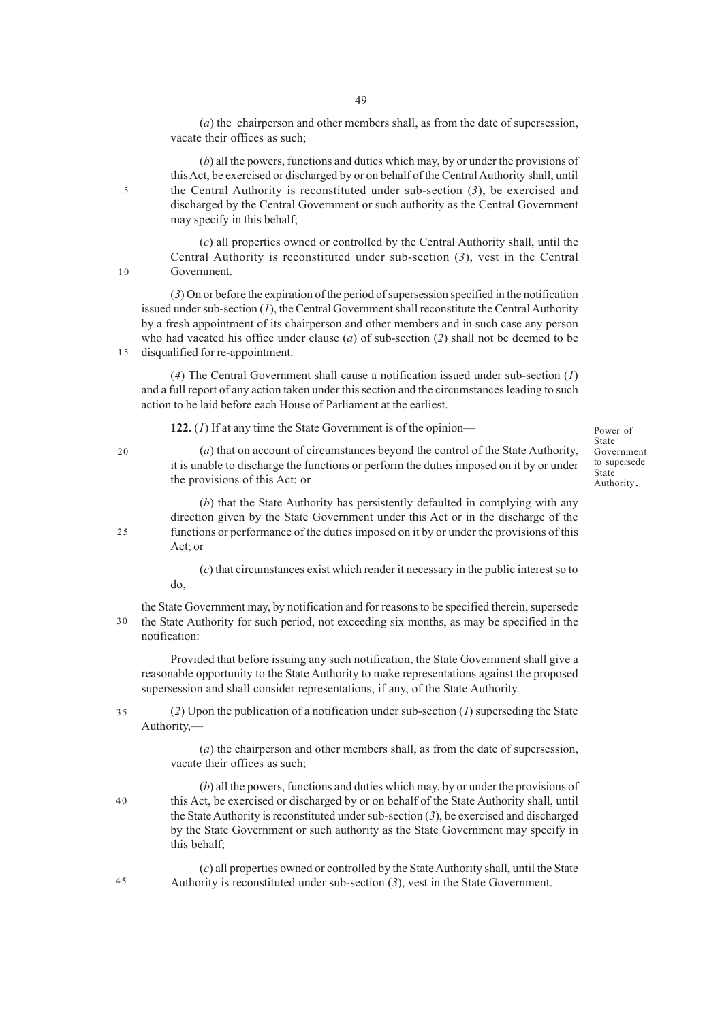(*a*) the chairperson and other members shall, as from the date of supersession, vacate their offices as such;

(*b*) all the powers, functions and duties which may, by or under the provisions of this Act, be exercised or discharged by or on behalf of the Central Authority shall, until the Central Authority is reconstituted under sub-section (*3*), be exercised and discharged by the Central Government or such authority as the Central Government may specify in this behalf;

(*c*) all properties owned or controlled by the Central Authority shall, until the Central Authority is reconstituted under sub-section (*3*), vest in the Central Government.

(*3*) On or before the expiration of the period of supersession specified in the notification issued under sub-section (*1*), the Central Government shall reconstitute the Central Authority by a fresh appointment of its chairperson and other members and in such case any person who had vacated his office under clause (*a*) of sub-section (*2*) shall not be deemed to be disqualified for re-appointment.

(*4*) The Central Government shall cause a notification issued under sub-section (*1*) and a full report of any action taken under this section and the circumstances leading to such action to be laid before each House of Parliament at the earliest.

**122.** (*1*) If at any time the State Government is of the opinion—

20

5

10

15

(*a*) that on account of circumstances beyond the control of the State Authority, it is unable to discharge the functions or perform the duties imposed on it by or under the provisions of this Act; or

Power of State Government to supersede **State** Authority.

(*b*) that the State Authority has persistently defaulted in complying with any direction given by the State Government under this Act or in the discharge of the functions or performance of the duties imposed on it by or under the provisions of this Act; or

(*c*) that circumstances exist which render it necessary in the public interest so to do,

the State Government may, by notification and for reasons to be specified therein, supersede the State Authority for such period, not exceeding six months, as may be specified in the notification: 30

Provided that before issuing any such notification, the State Government shall give a reasonable opportunity to the State Authority to make representations against the proposed supersession and shall consider representations, if any, of the State Authority.

(*2*) Upon the publication of a notification under sub-section (*1*) superseding the State Authority,— 35

> (*a*) the chairperson and other members shall, as from the date of supersession, vacate their offices as such;

(*b*) all the powers, functions and duties which may, by or under the provisions of this Act, be exercised or discharged by or on behalf of the State Authority shall, until the State Authority is reconstituted under sub-section (*3*), be exercised and discharged by the State Government or such authority as the State Government may specify in this behalf;

(*c*) all properties owned or controlled by the State Authority shall, until the State Authority is reconstituted under sub-section (*3*), vest in the State Government.

25

40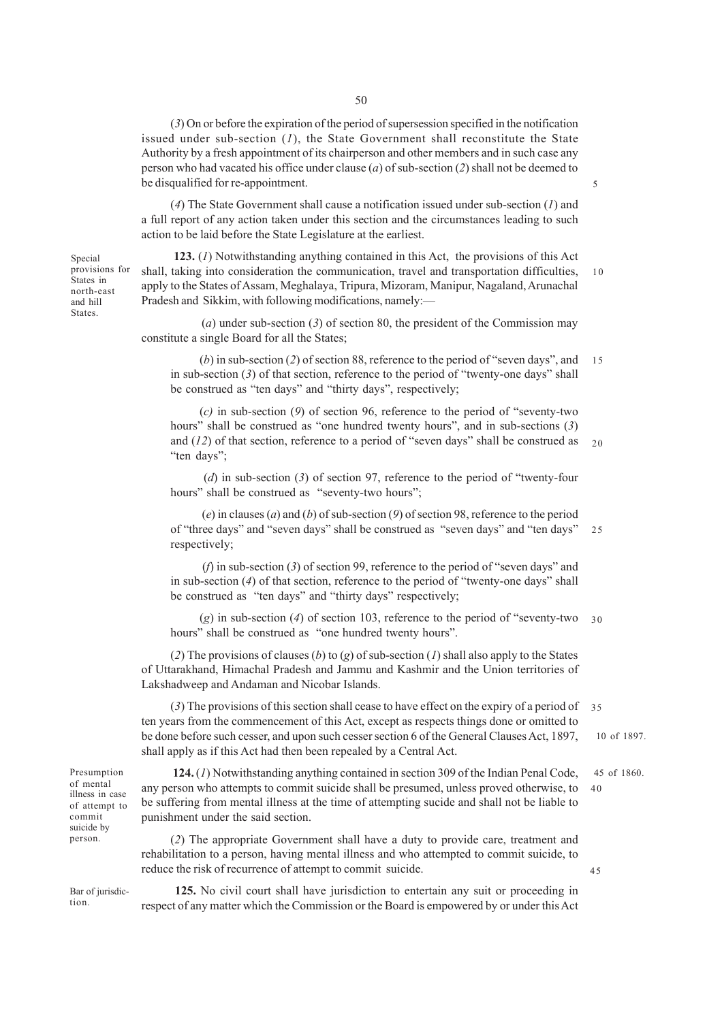(*3*) On or before the expiration of the period of supersession specified in the notification issued under sub-section (*1*), the State Government shall reconstitute the State Authority by a fresh appointment of its chairperson and other members and in such case any person who had vacated his office under clause (*a*) of sub-section (*2*) shall not be deemed to be disqualified for re-appointment.

(*4*) The State Government shall cause a notification issued under sub-section (*1*) and a full report of any action taken under this section and the circumstances leading to such action to be laid before the State Legislature at the earliest.

Special provisions for States in north-east and hill States.

 **123.** (*1*) Notwithstanding anything contained in this Act, the provisions of this Act shall, taking into consideration the communication, travel and transportation difficulties, apply to the States of Assam, Meghalaya, Tripura, Mizoram, Manipur, Nagaland, Arunachal Pradesh and Sikkim, with following modifications, namely:— 10

5

45

(*a*) under sub-section (*3*) of section 80, the president of the Commission may constitute a single Board for all the States;

(*b*) in sub-section (*2*) of section 88, reference to the period of "seven days", and in sub-section (*3*) of that section, reference to the period of "twenty-one days" shall be construed as "ten days" and "thirty days", respectively; 15

(*c)* in sub-section (*9*) of section 96, reference to the period of "seventy-two hours" shall be construed as "one hundred twenty hours", and in sub-sections (*3*) and (*12*) of that section, reference to a period of "seven days" shall be construed as "ten days";  $20$ 

 (*d*) in sub-section (*3*) of section 97, reference to the period of "twenty-four hours" shall be construed as "seventy-two hours";

 (*e*) in clauses (*a*) and (*b*) of sub-section (*9*) of section 98, reference to the period of "three days" and "seven days" shall be construed as "seven days" and "ten days" respectively;  $25$ 

 (*f*) in sub-section (*3*) of section 99, reference to the period of "seven days" and in sub-section (*4*) of that section, reference to the period of "twenty-one days" shall be construed as "ten days" and "thirty days" respectively;

(*g*) in sub-section (*4*) of section 103, reference to the period of "seventy-two 30 hours" shall be construed as "one hundred twenty hours".

(*2*) The provisions of clauses (*b*) to (*g*) of sub-section (*1*) shall also apply to the States of Uttarakhand, Himachal Pradesh and Jammu and Kashmir and the Union territories of Lakshadweep and Andaman and Nicobar Islands.

(*3*) The provisions of this section shall cease to have effect on the expiry of a period of ten years from the commencement of this Act, except as respects things done or omitted to be done before such cesser, and upon such cesser section 6 of the General Clauses Act, 1897, shall apply as if this Act had then been repealed by a Central Act. 10 of 1897. 35

| Presumption     |
|-----------------|
| of mental       |
| illness in case |
| of attempt to   |
| commit          |
| suicide by      |
| person.         |

 **124.** (*1*) Notwithstanding anything contained in section 309 of the Indian Penal Code, any person who attempts to commit suicide shall be presumed, unless proved otherwise, to be suffering from mental illness at the time of attempting sucide and shall not be liable to punishment under the said section. 45 of 1860. 40

(*2*) The appropriate Government shall have a duty to provide care, treatment and rehabilitation to a person, having mental illness and who attempted to commit suicide, to reduce the risk of recurrence of attempt to commit suicide.

Bar of jurisdiction.

 **125.** No civil court shall have jurisdiction to entertain any suit or proceeding in respect of any matter which the Commission or the Board is empowered by or under this Act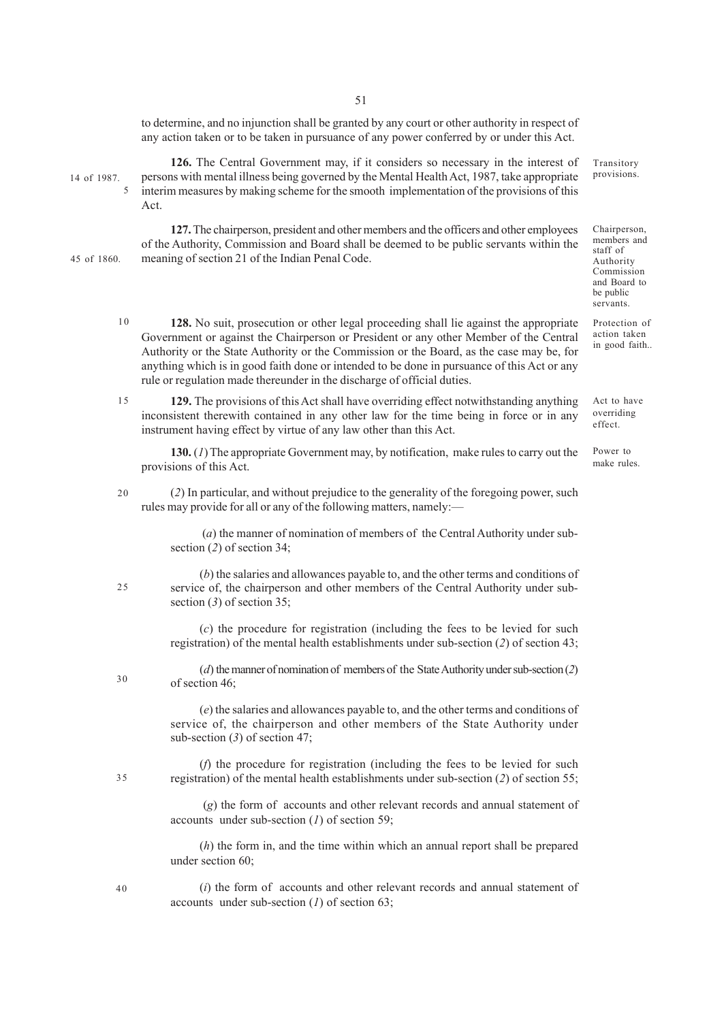to determine, and no injunction shall be granted by any court or other authority in respect of any action taken or to be taken in pursuance of any power conferred by or under this Act.

14 of 1987.

5

45 of 1860.

**126.** The Central Government may, if it considers so necessary in the interest of persons with mental illness being governed by the Mental Health Act, 1987, take appropriate interim measures by making scheme for the smooth implementation of the provisions of this Act.

**127.** The chairperson, president and other members and the officers and other employees of the Authority, Commission and Board shall be deemed to be public servants within the meaning of section 21 of the Indian Penal Code.

- **128.** No suit, prosecution or other legal proceeding shall lie against the appropriate Government or against the Chairperson or President or any other Member of the Central Authority or the State Authority or the Commission or the Board, as the case may be, for anything which is in good faith done or intended to be done in pursuance of this Act or any rule or regulation made thereunder in the discharge of official duties. 10
- **129.** The provisions of this Act shall have overriding effect notwithstanding anything inconsistent therewith contained in any other law for the time being in force or in any instrument having effect by virtue of any law other than this Act. 15

**130.** (*1*) The appropriate Government may, by notification, make rules to carry out the provisions of this Act.

(*2*) In particular, and without prejudice to the generality of the foregoing power, such rules may provide for all or any of the following matters, namely:— 20

> (*a*) the manner of nomination of members of the Central Authority under subsection (*2*) of section 34;

(*b*) the salaries and allowances payable to, and the other terms and conditions of service of, the chairperson and other members of the Central Authority under subsection (*3*) of section 35;

(*c*) the procedure for registration (including the fees to be levied for such registration) of the mental health establishments under sub-section (*2*) of section 43;

(*d*) the manner of nomination of members of the State Authority under sub-section (*2*) of section 46;

(*e*) the salaries and allowances payable to, and the other terms and conditions of service of, the chairperson and other members of the State Authority under sub-section (*3*) of section 47;

(*f*) the procedure for registration (including the fees to be levied for such registration) of the mental health establishments under sub-section (*2*) of section 55;

 (*g*) the form of accounts and other relevant records and annual statement of accounts under sub-section (*1*) of section 59;

(*h*) the form in, and the time within which an annual report shall be prepared under section 60;

(*i*) the form of accounts and other relevant records and annual statement of accounts under sub-section (*1*) of section 63;

Commission and Board to be public servants.

Transitory provisions.

Chairperson, members and staff of Authority

Protection of action taken in good faith..

Act to have overriding effect.

Power to make rules.

35

 $25$ 

30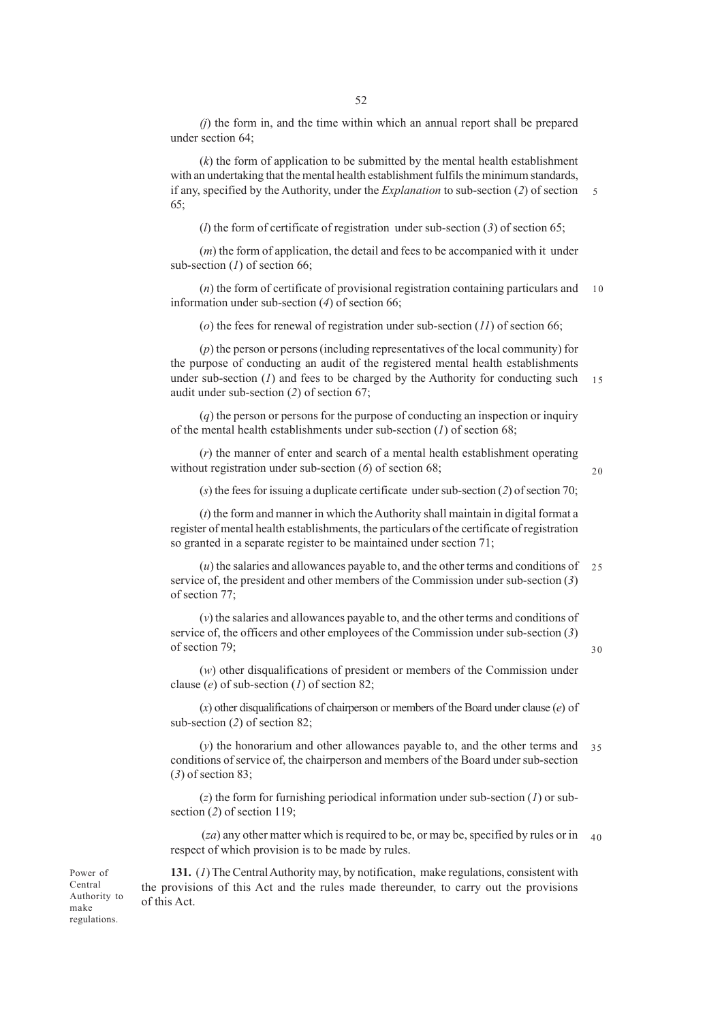*(j*) the form in, and the time within which an annual report shall be prepared under section 64;

(*k*) the form of application to be submitted by the mental health establishment with an undertaking that the mental health establishment fulfils the minimum standards, if any, specified by the Authority, under the *Explanation* to sub-section (*2*) of section 65; 5

(*l*) the form of certificate of registration under sub-section (*3*) of section 65;

(*m*) the form of application, the detail and fees to be accompanied with it under sub-section (*1*) of section 66;

(*n*) the form of certificate of provisional registration containing particulars and information under sub-section (*4*) of section 66; 10

(*o*) the fees for renewal of registration under sub-section (*11*) of section 66;

(*p*) the person or persons (including representatives of the local community) for the purpose of conducting an audit of the registered mental health establishments under sub-section  $(I)$  and fees to be charged by the Authority for conducting such audit under sub-section (*2*) of section 67; 15

(*q*) the person or persons for the purpose of conducting an inspection or inquiry of the mental health establishments under sub-section (*1*) of section 68;

(*r*) the manner of enter and search of a mental health establishment operating without registration under sub-section  $(6)$  of section 68;

 $20$ 

30

(*s*) the fees for issuing a duplicate certificate under sub-section (*2*) of section 70;

(*t*) the form and manner in which the Authority shall maintain in digital format a register of mental health establishments, the particulars of the certificate of registration so granted in a separate register to be maintained under section 71;

(*u*) the salaries and allowances payable to, and the other terms and conditions of 25 service of, the president and other members of the Commission under sub-section (*3*) of section 77;

(*v*) the salaries and allowances payable to, and the other terms and conditions of service of, the officers and other employees of the Commission under sub-section (*3*) of section 79;

(*w*) other disqualifications of president or members of the Commission under clause (*e*) of sub-section (*1*) of section 82;

(*x*) other disqualifications of chairperson or members of the Board under clause (*e*) of sub-section (*2*) of section 82;

(*y*) the honorarium and other allowances payable to, and the other terms and conditions of service of, the chairperson and members of the Board under sub-section (*3*) of section 83; 35

(*z*) the form for furnishing periodical information under sub-section (*1*) or subsection (*2*) of section 119;

(*za*) any other matter which is required to be, or may be, specified by rules or in 40respect of which provision is to be made by rules.

**131.** (*1*) The Central Authority may, by notification, make regulations, consistent with the provisions of this Act and the rules made thereunder, to carry out the provisions of this Act.

Power of Central Authority to make regulations.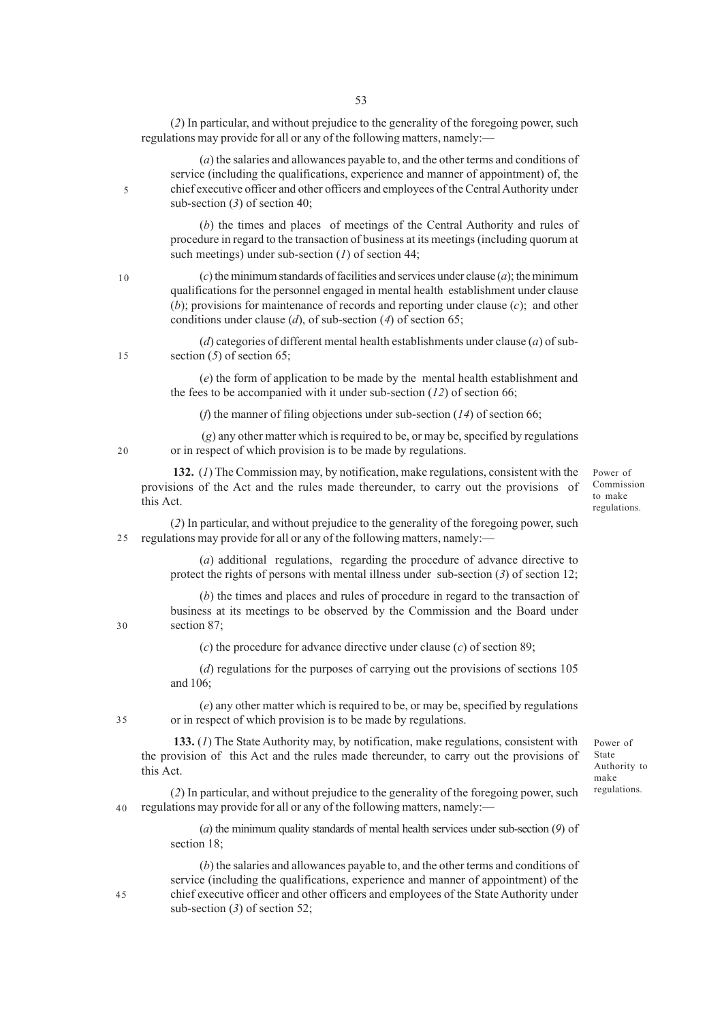(*2*) In particular, and without prejudice to the generality of the foregoing power, such regulations may provide for all or any of the following matters, namely:—

(*a*) the salaries and allowances payable to, and the other terms and conditions of service (including the qualifications, experience and manner of appointment) of, the chief executive officer and other officers and employees of the Central Authority under sub-section (*3*) of section 40;

(*b*) the times and places of meetings of the Central Authority and rules of procedure in regard to the transaction of business at its meetings (including quorum at such meetings) under sub-section (*1*) of section 44;

(*c*) the minimum standards of facilities and services under clause (*a*); the minimum qualifications for the personnel engaged in mental health establishment under clause (*b*); provisions for maintenance of records and reporting under clause (*c*); and other conditions under clause (*d*), of sub-section (*4*) of section 65;

(*d*) categories of different mental health establishments under clause (*a*) of subsection (*5*) of section 65;

(*e*) the form of application to be made by the mental health establishment and the fees to be accompanied with it under sub-section (*12*) of section 66;

(*f*) the manner of filing objections under sub-section (*14*) of section 66;

(*g*) any other matter which is required to be, or may be, specified by regulations or in respect of which provision is to be made by regulations.

 **132.** (*1*) The Commission may, by notification, make regulations, consistent with the provisions of the Act and the rules made thereunder, to carry out the provisions of this Act.

Power of Commission to make regulations.

(*2*) In particular, and without prejudice to the generality of the foregoing power, such regulations may provide for all or any of the following matters, namely:— 25

> (*a*) additional regulations, regarding the procedure of advance directive to protect the rights of persons with mental illness under sub-section (*3*) of section 12;

(*b*) the times and places and rules of procedure in regard to the transaction of business at its meetings to be observed by the Commission and the Board under section 87;

(*c*) the procedure for advance directive under clause (*c*) of section 89;

(*d*) regulations for the purposes of carrying out the provisions of sections 105 and 106;

(*e*) any other matter which is required to be, or may be, specified by regulations or in respect of which provision is to be made by regulations.

 **133.** (*1*) The State Authority may, by notification, make regulations, consistent with the provision of this Act and the rules made thereunder, to carry out the provisions of this Act.

(*2*) In particular, and without prejudice to the generality of the foregoing power, such regulations may provide for all or any of the following matters, namely:— 40

> (*a*) the minimum quality standards of mental health services under sub-section (*9*) of section 18;

> (*b*) the salaries and allowances payable to, and the other terms and conditions of service (including the qualifications, experience and manner of appointment) of the chief executive officer and other officers and employees of the State Authority under sub-section (*3*) of section 52;

20

35

45

30

Authority to make regulations.

Power of State

 $15$ 

5

 $1<sub>0</sub>$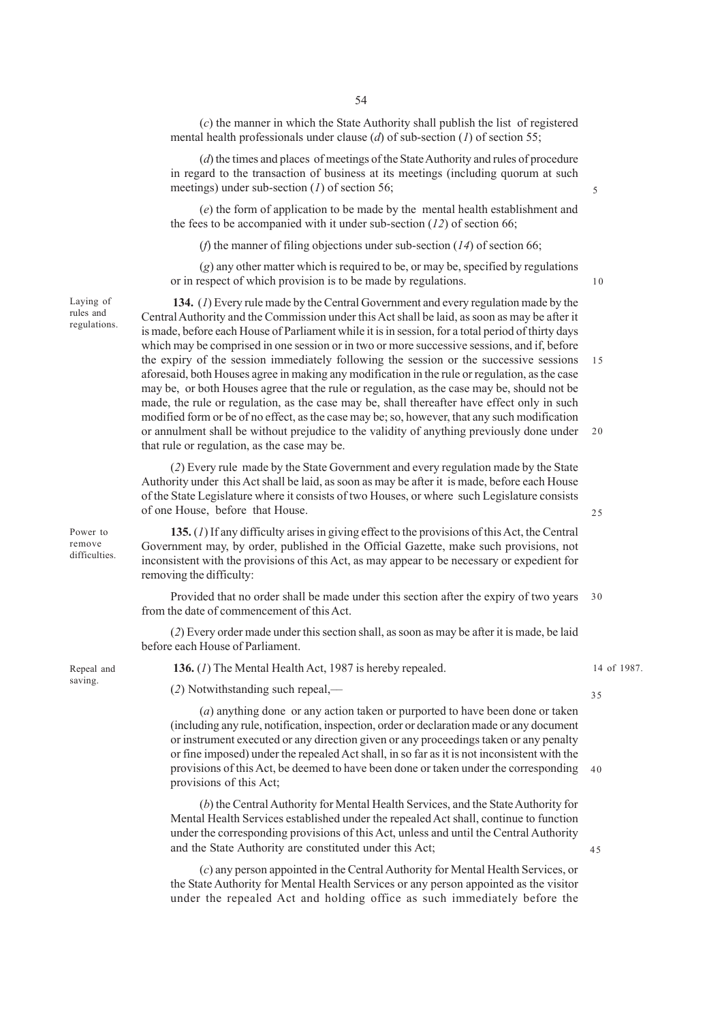(*c*) the manner in which the State Authority shall publish the list of registered mental health professionals under clause (*d*) of sub-section (*1*) of section 55;

(*d*) the times and places of meetings of the State Authority and rules of procedure in regard to the transaction of business at its meetings (including quorum at such meetings) under sub-section (*1*) of section 56;

(*e*) the form of application to be made by the mental health establishment and the fees to be accompanied with it under sub-section (*12*) of section 66;

(*f*) the manner of filing objections under sub-section (*14*) of section 66;

(*g*) any other matter which is required to be, or may be, specified by regulations or in respect of which provision is to be made by regulations.

Laying of rules and regulations.

Repeal and saving.

Power to remove difficulties.

 **134.** (*1*) Every rule made by the Central Government and every regulation made by the Central Authority and the Commission under this Act shall be laid, as soon as may be after it is made, before each House of Parliament while it is in session, for a total period of thirty days which may be comprised in one session or in two or more successive sessions, and if, before the expiry of the session immediately following the session or the successive sessions aforesaid, both Houses agree in making any modification in the rule or regulation, as the case may be, or both Houses agree that the rule or regulation, as the case may be, should not be made, the rule or regulation, as the case may be, shall thereafter have effect only in such modified form or be of no effect, as the case may be; so, however, that any such modification or annulment shall be without prejudice to the validity of anything previously done under that rule or regulation, as the case may be. 15 20

(*2*) Every rule made by the State Government and every regulation made by the State Authority under this Act shall be laid, as soon as may be after it is made, before each House of the State Legislature where it consists of two Houses, or where such Legislature consists of one House, before that House.

**135.** (*1*) If any difficulty arises in giving effect to the provisions of this Act, the Central Government may, by order, published in the Official Gazette, make such provisions, not inconsistent with the provisions of this Act, as may appear to be necessary or expedient for removing the difficulty:

Provided that no order shall be made under this section after the expiry of two years from the date of commencement of this Act. 30

(*2*) Every order made under this section shall, as soon as may be after it is made, be laid before each House of Parliament.

 **136.** (*1*) The Mental Health Act, 1987 is hereby repealed.

(*2*) Notwithstanding such repeal,––

(*a*) anything done or any action taken or purported to have been done or taken (including any rule, notification, inspection, order or declaration made or any document or instrument executed or any direction given or any proceedings taken or any penalty or fine imposed) under the repealed Act shall, in so far as it is not inconsistent with the provisions of this Act, be deemed to have been done or taken under the corresponding 40 provisions of this Act;

(*b*) the Central Authority for Mental Health Services, and the State Authority for Mental Health Services established under the repealed Act shall, continue to function under the corresponding provisions of this Act, unless and until the Central Authority and the State Authority are constituted under this Act;

(*c*) any person appointed in the Central Authority for Mental Health Services, or the State Authority for Mental Health Services or any person appointed as the visitor under the repealed Act and holding office as such immediately before the 14 of 1987.

35

45

25

5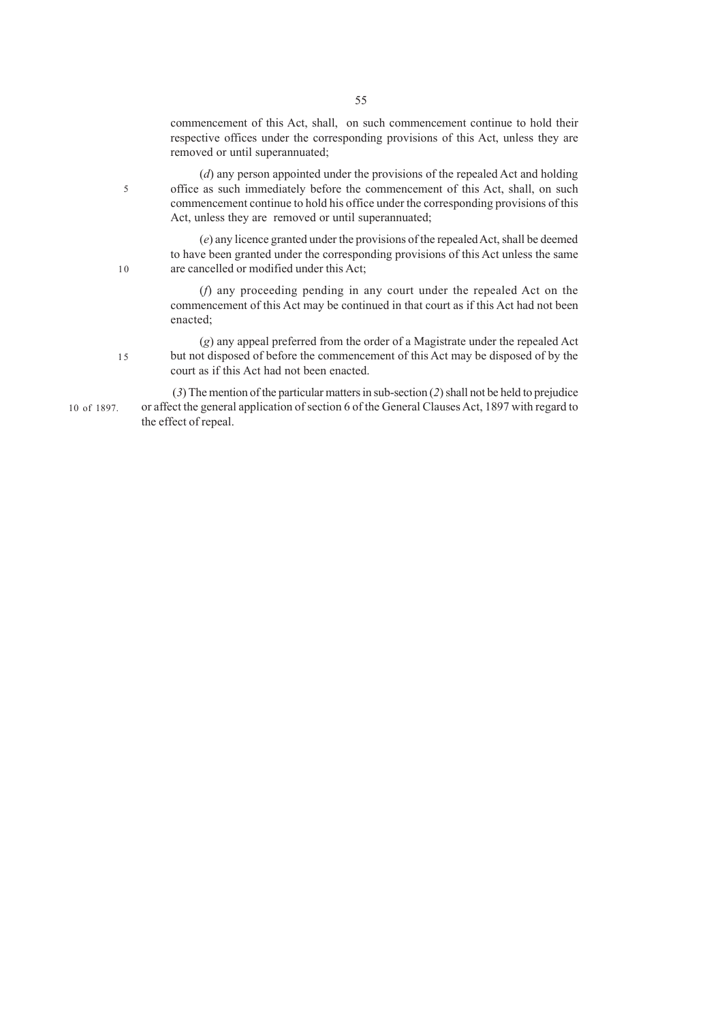commencement of this Act, shall, on such commencement continue to hold their respective offices under the corresponding provisions of this Act, unless they are removed or until superannuated;

(*d*) any person appointed under the provisions of the repealed Act and holding office as such immediately before the commencement of this Act, shall, on such commencement continue to hold his office under the corresponding provisions of this Act, unless they are removed or until superannuated;

5

10

(*e*) any licence granted under the provisions of the repealed Act, shall be deemed to have been granted under the corresponding provisions of this Act unless the same are cancelled or modified under this Act;

(*f*) any proceeding pending in any court under the repealed Act on the commencement of this Act may be continued in that court as if this Act had not been enacted;

(*g*) any appeal preferred from the order of a Magistrate under the repealed Act but not disposed of before the commencement of this Act may be disposed of by the court as if this Act had not been enacted. 15

 (*3*) The mention of the particular matters in sub-section (*2*) shall not be held to prejudice or affect the general application of section 6 of the General Clauses Act, 1897 with regard to the effect of repeal. 10 of 1897.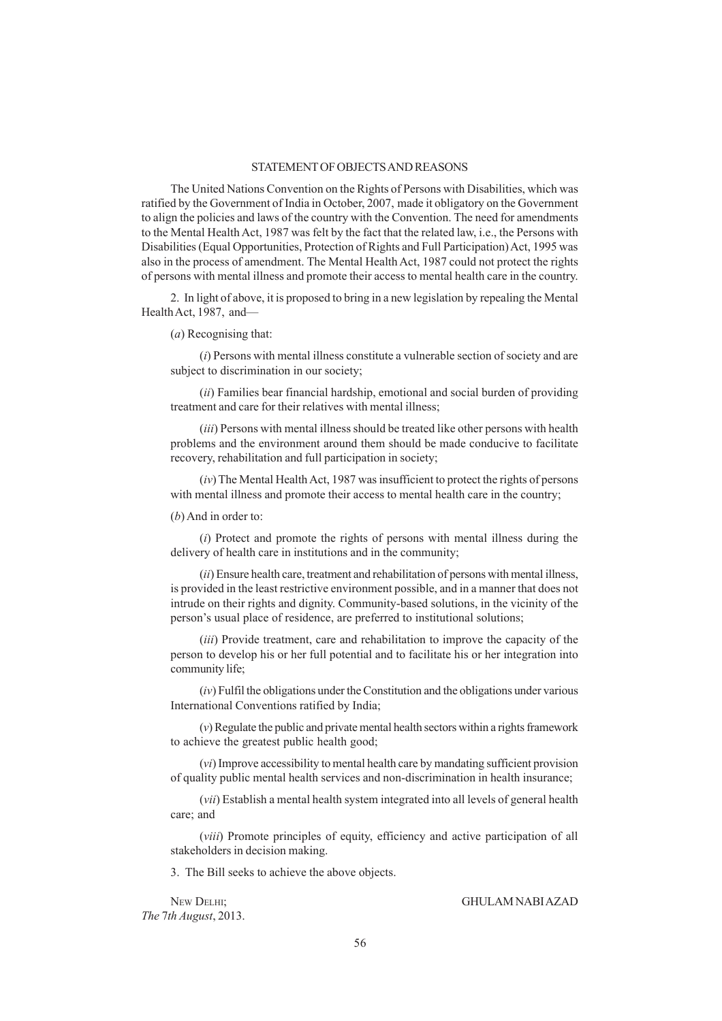## STATEMENT OF OBJECTS AND REASONS

The United Nations Convention on the Rights of Persons with Disabilities, which was ratified by the Government of India in October, 2007, made it obligatory on the Government to align the policies and laws of the country with the Convention. The need for amendments to the Mental Health Act, 1987 was felt by the fact that the related law, i.e., the Persons with Disabilities (Equal Opportunities, Protection of Rights and Full Participation) Act, 1995 was also in the process of amendment. The Mental Health Act, 1987 could not protect the rights of persons with mental illness and promote their access to mental health care in the country.

2. In light of above, it is proposed to bring in a new legislation by repealing the Mental Health Act, 1987, and—

(*a*) Recognising that:

(*i*) Persons with mental illness constitute a vulnerable section of society and are subject to discrimination in our society;

(*ii*) Families bear financial hardship, emotional and social burden of providing treatment and care for their relatives with mental illness;

(*iii*) Persons with mental illness should be treated like other persons with health problems and the environment around them should be made conducive to facilitate recovery, rehabilitation and full participation in society;

(*iv*) The Mental Health Act, 1987 was insufficient to protect the rights of persons with mental illness and promote their access to mental health care in the country;

(*b*) And in order to:

(*i*) Protect and promote the rights of persons with mental illness during the delivery of health care in institutions and in the community;

(*ii*) Ensure health care, treatment and rehabilitation of persons with mental illness, is provided in the least restrictive environment possible, and in a manner that does not intrude on their rights and dignity. Community-based solutions, in the vicinity of the person's usual place of residence, are preferred to institutional solutions;

(*iii*) Provide treatment, care and rehabilitation to improve the capacity of the person to develop his or her full potential and to facilitate his or her integration into community life;

(*iv*) Fulfil the obligations under the Constitution and the obligations under various International Conventions ratified by India;

(*v*) Regulate the public and private mental health sectors within a rights framework to achieve the greatest public health good;

(*vi*) Improve accessibility to mental health care by mandating sufficient provision of quality public mental health services and non-discrimination in health insurance;

(*vii*) Establish a mental health system integrated into all levels of general health care; and

(*viii*) Promote principles of equity, efficiency and active participation of all stakeholders in decision making.

3. The Bill seeks to achieve the above objects.

*The* 7*th August*, 2013.

NEW DELHI; GHULAM NABI AZAD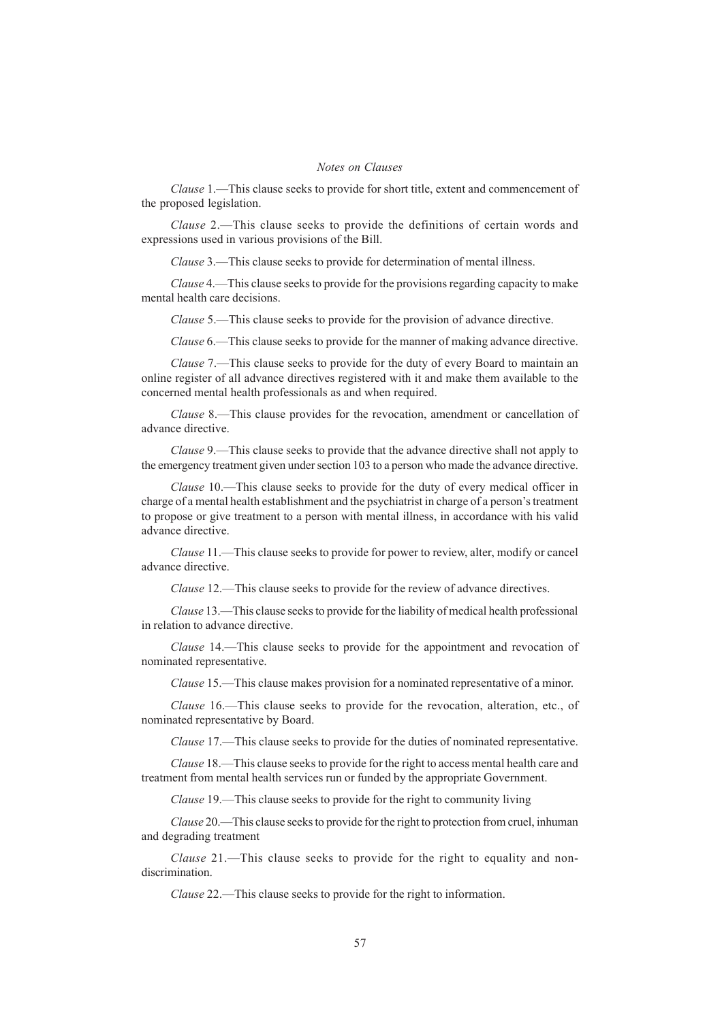# *Notes on Clauses*

*Clause* 1.—This clause seeks to provide for short title, extent and commencement of the proposed legislation.

*Clause* 2.—This clause seeks to provide the definitions of certain words and expressions used in various provisions of the Bill.

*Clause* 3.—This clause seeks to provide for determination of mental illness.

*Clause* 4.—This clause seeks to provide for the provisions regarding capacity to make mental health care decisions.

*Clause* 5.—This clause seeks to provide for the provision of advance directive.

*Clause* 6.—This clause seeks to provide for the manner of making advance directive.

*Clause* 7.—This clause seeks to provide for the duty of every Board to maintain an online register of all advance directives registered with it and make them available to the concerned mental health professionals as and when required.

*Clause* 8.—This clause provides for the revocation, amendment or cancellation of advance directive.

*Clause* 9.—This clause seeks to provide that the advance directive shall not apply to the emergency treatment given under section 103 to a person who made the advance directive.

*Clause* 10.—This clause seeks to provide for the duty of every medical officer in charge of a mental health establishment and the psychiatrist in charge of a person's treatment to propose or give treatment to a person with mental illness, in accordance with his valid advance directive.

*Clause* 11.—This clause seeks to provide for power to review, alter, modify or cancel advance directive.

*Clause* 12.—This clause seeks to provide for the review of advance directives.

*Clause* 13.—This clause seeks to provide for the liability of medical health professional in relation to advance directive.

*Clause* 14.—This clause seeks to provide for the appointment and revocation of nominated representative.

*Clause* 15.—This clause makes provision for a nominated representative of a minor.

*Clause* 16.—This clause seeks to provide for the revocation, alteration, etc., of nominated representative by Board.

*Clause* 17.—This clause seeks to provide for the duties of nominated representative.

*Clause* 18.—This clause seeks to provide for the right to access mental health care and treatment from mental health services run or funded by the appropriate Government.

*Clause* 19.—This clause seeks to provide for the right to community living

*Clause* 20.—This clause seeks to provide for the right to protection from cruel, inhuman and degrading treatment

*Clause* 21.—This clause seeks to provide for the right to equality and nondiscrimination.

*Clause* 22.—This clause seeks to provide for the right to information.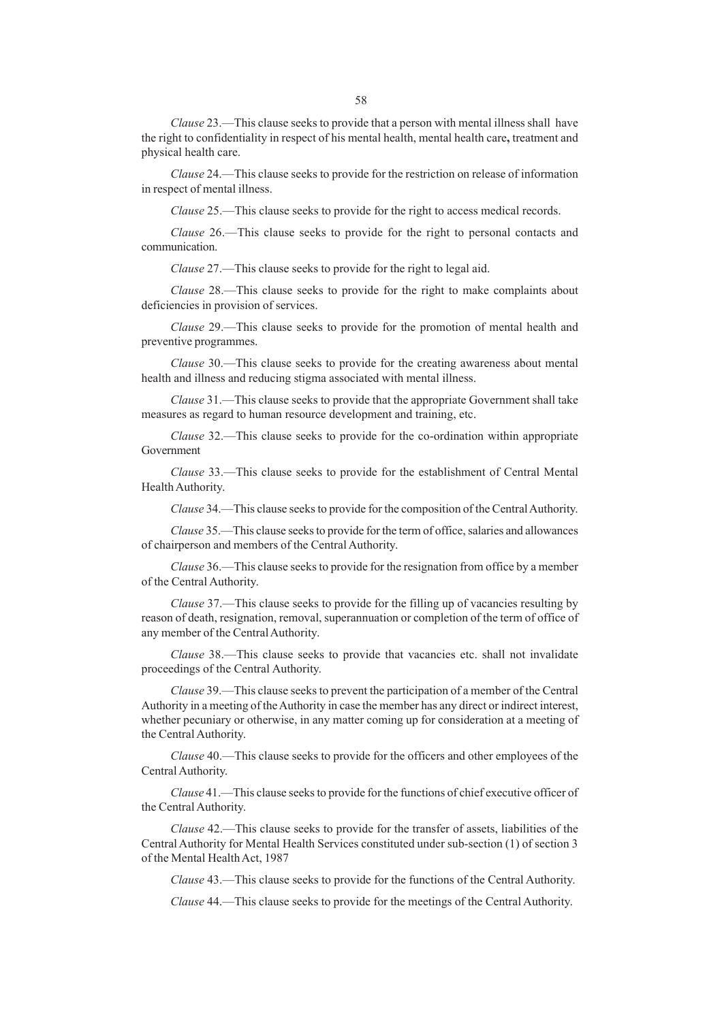*Clause* 23.—This clause seeks to provide that a person with mental illness shall have the right to confidentiality in respect of his mental health, mental health care**,** treatment and physical health care.

*Clause* 24.—This clause seeks to provide for the restriction on release of information in respect of mental illness.

*Clause* 25.—This clause seeks to provide for the right to access medical records.

*Clause* 26.—This clause seeks to provide for the right to personal contacts and communication.

*Clause* 27.—This clause seeks to provide for the right to legal aid.

*Clause* 28.—This clause seeks to provide for the right to make complaints about deficiencies in provision of services.

*Clause* 29.—This clause seeks to provide for the promotion of mental health and preventive programmes.

*Clause* 30.—This clause seeks to provide for the creating awareness about mental health and illness and reducing stigma associated with mental illness.

*Clause* 31.—This clause seeks to provide that the appropriate Government shall take measures as regard to human resource development and training, etc.

*Clause* 32.—This clause seeks to provide for the co-ordination within appropriate Government

*Clause* 33.—This clause seeks to provide for the establishment of Central Mental Health Authority.

*Clause* 34.—This clause seeks to provide for the composition of the Central Authority.

*Clause* 35.—This clause seeks to provide for the term of office, salaries and allowances of chairperson and members of the Central Authority.

*Clause* 36.—This clause seeks to provide for the resignation from office by a member of the Central Authority.

*Clause* 37.—This clause seeks to provide for the filling up of vacancies resulting by reason of death, resignation, removal, superannuation or completion of the term of office of any member of the Central Authority.

*Clause* 38.—This clause seeks to provide that vacancies etc. shall not invalidate proceedings of the Central Authority.

*Clause* 39.—This clause seeks to prevent the participation of a member of the Central Authority in a meeting of the Authority in case the member has any direct or indirect interest, whether pecuniary or otherwise, in any matter coming up for consideration at a meeting of the Central Authority.

*Clause* 40.—This clause seeks to provide for the officers and other employees of the Central Authority.

*Clause* 41.—This clause seeks to provide for the functions of chief executive officer of the Central Authority.

*Clause* 42.—This clause seeks to provide for the transfer of assets, liabilities of the Central Authority for Mental Health Services constituted under sub-section (1) of section 3 of the Mental Health Act, 1987

*Clause* 43.—This clause seeks to provide for the functions of the Central Authority.

*Clause* 44.—This clause seeks to provide for the meetings of the Central Authority.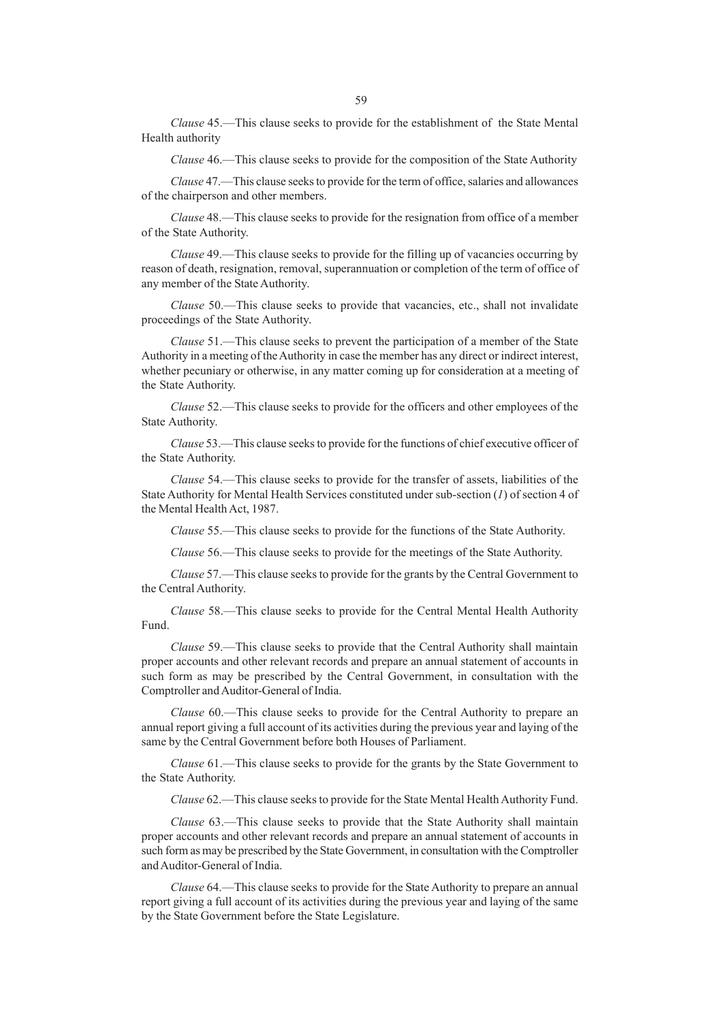*Clause* 45.—This clause seeks to provide for the establishment of the State Mental Health authority

*Clause* 46.—This clause seeks to provide for the composition of the State Authority

*Clause* 47.—This clause seeks to provide for the term of office, salaries and allowances of the chairperson and other members.

*Clause* 48.—This clause seeks to provide for the resignation from office of a member of the State Authority.

*Clause* 49.—This clause seeks to provide for the filling up of vacancies occurring by reason of death, resignation, removal, superannuation or completion of the term of office of any member of the State Authority.

*Clause* 50.—This clause seeks to provide that vacancies, etc., shall not invalidate proceedings of the State Authority.

*Clause* 51.—This clause seeks to prevent the participation of a member of the State Authority in a meeting of the Authority in case the member has any direct or indirect interest, whether pecuniary or otherwise, in any matter coming up for consideration at a meeting of the State Authority.

*Clause* 52.—This clause seeks to provide for the officers and other employees of the State Authority.

*Clause* 53.—This clause seeks to provide for the functions of chief executive officer of the State Authority.

*Clause* 54.—This clause seeks to provide for the transfer of assets, liabilities of the State Authority for Mental Health Services constituted under sub-section (*1*) of section 4 of the Mental Health Act, 1987.

*Clause* 55.—This clause seeks to provide for the functions of the State Authority.

*Clause* 56.—This clause seeks to provide for the meetings of the State Authority.

*Clause* 57.—This clause seeks to provide for the grants by the Central Government to the Central Authority.

*Clause* 58.—This clause seeks to provide for the Central Mental Health Authority Fund.

*Clause* 59.—This clause seeks to provide that the Central Authority shall maintain proper accounts and other relevant records and prepare an annual statement of accounts in such form as may be prescribed by the Central Government, in consultation with the Comptroller and Auditor-General of India.

*Clause* 60.—This clause seeks to provide for the Central Authority to prepare an annual report giving a full account of its activities during the previous year and laying of the same by the Central Government before both Houses of Parliament.

*Clause* 61.—This clause seeks to provide for the grants by the State Government to the State Authority.

*Clause* 62.—This clause seeks to provide for the State Mental Health Authority Fund.

*Clause* 63.—This clause seeks to provide that the State Authority shall maintain proper accounts and other relevant records and prepare an annual statement of accounts in such form as may be prescribed by the State Government, in consultation with the Comptroller and Auditor-General of India.

*Clause* 64.—This clause seeks to provide for the State Authority to prepare an annual report giving a full account of its activities during the previous year and laying of the same by the State Government before the State Legislature.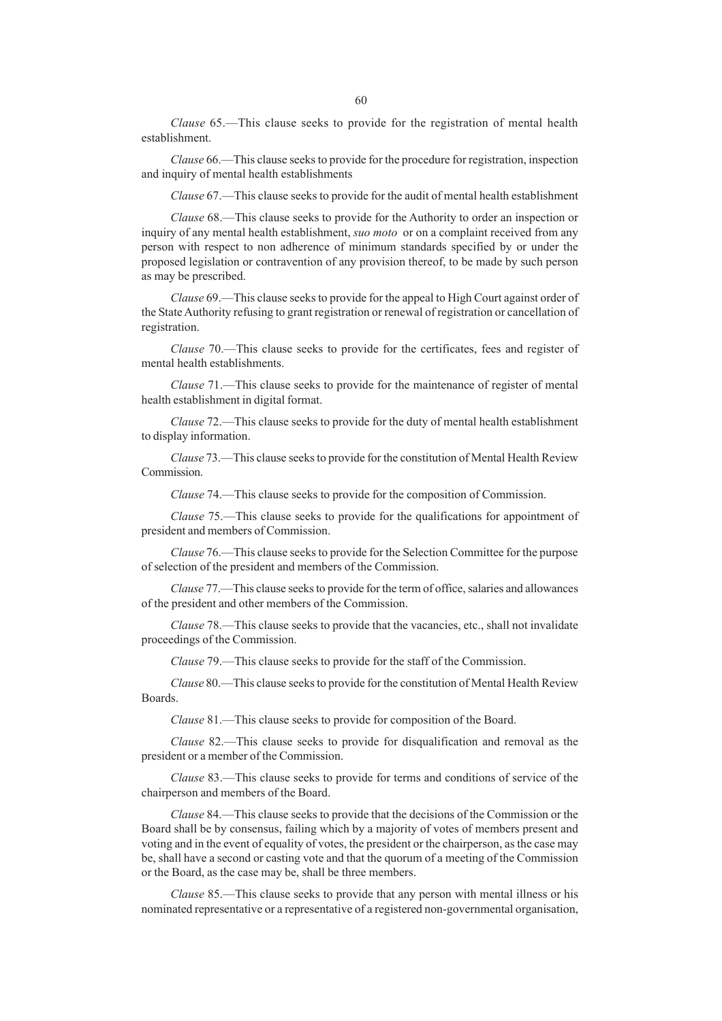*Clause* 65.—This clause seeks to provide for the registration of mental health establishment.

*Clause* 66.—This clause seeks to provide for the procedure for registration, inspection and inquiry of mental health establishments

*Clause* 67.—This clause seeks to provide for the audit of mental health establishment

*Clause* 68.—This clause seeks to provide for the Authority to order an inspection or inquiry of any mental health establishment, *suo moto* or on a complaint received from any person with respect to non adherence of minimum standards specified by or under the proposed legislation or contravention of any provision thereof, to be made by such person as may be prescribed.

*Clause* 69.—This clause seeks to provide for the appeal to High Court against order of the State Authority refusing to grant registration or renewal of registration or cancellation of registration.

*Clause* 70.—This clause seeks to provide for the certificates, fees and register of mental health establishments.

*Clause* 71.—This clause seeks to provide for the maintenance of register of mental health establishment in digital format.

*Clause* 72.—This clause seeks to provide for the duty of mental health establishment to display information.

*Clause* 73.—This clause seeks to provide for the constitution of Mental Health Review Commission.

*Clause* 74.—This clause seeks to provide for the composition of Commission.

*Clause* 75.—This clause seeks to provide for the qualifications for appointment of president and members of Commission.

*Clause* 76.—This clause seeks to provide for the Selection Committee for the purpose of selection of the president and members of the Commission.

*Clause* 77.—This clause seeks to provide for the term of office, salaries and allowances of the president and other members of the Commission.

*Clause* 78.—This clause seeks to provide that the vacancies, etc., shall not invalidate proceedings of the Commission.

*Clause* 79.—This clause seeks to provide for the staff of the Commission.

*Clause* 80.—This clause seeks to provide for the constitution of Mental Health Review Boards.

*Clause* 81.—This clause seeks to provide for composition of the Board.

*Clause* 82.—This clause seeks to provide for disqualification and removal as the president or a member of the Commission.

*Clause* 83.—This clause seeks to provide for terms and conditions of service of the chairperson and members of the Board.

*Clause* 84.—This clause seeks to provide that the decisions of the Commission or the Board shall be by consensus, failing which by a majority of votes of members present and voting and in the event of equality of votes, the president or the chairperson, as the case may be, shall have a second or casting vote and that the quorum of a meeting of the Commission or the Board, as the case may be, shall be three members.

*Clause* 85.—This clause seeks to provide that any person with mental illness or his nominated representative or a representative of a registered non-governmental organisation,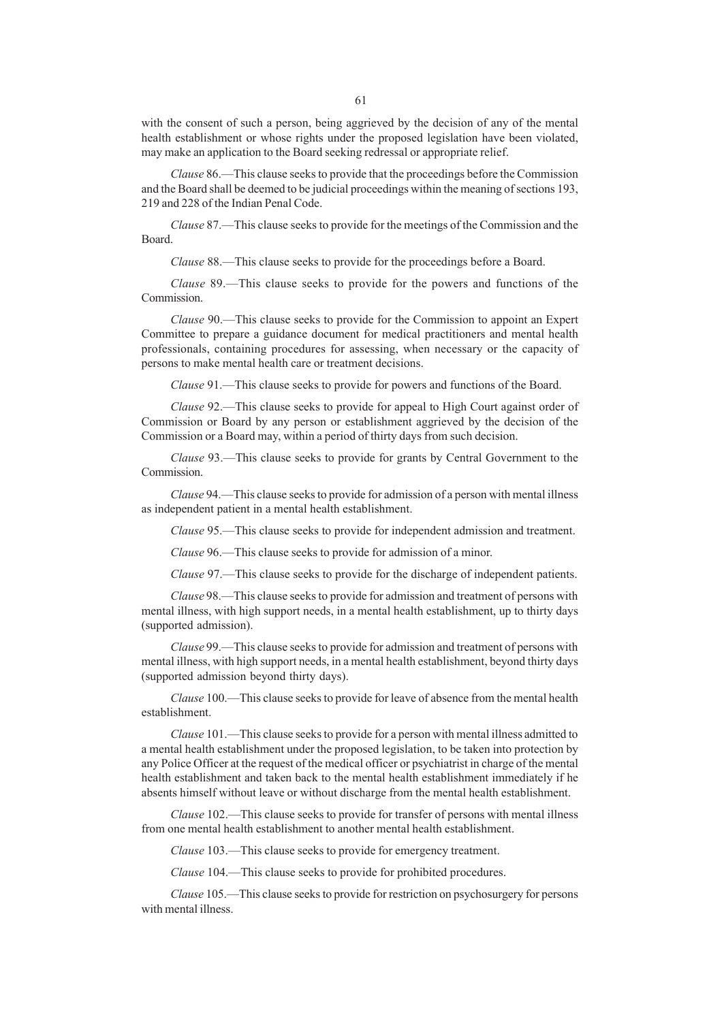with the consent of such a person, being aggrieved by the decision of any of the mental health establishment or whose rights under the proposed legislation have been violated, may make an application to the Board seeking redressal or appropriate relief.

*Clause* 86.—This clause seeks to provide that the proceedings before the Commission and the Board shall be deemed to be judicial proceedings within the meaning of sections 193, 219 and 228 of the Indian Penal Code.

*Clause* 87.—This clause seeks to provide for the meetings of the Commission and the Board.

*Clause* 88.—This clause seeks to provide for the proceedings before a Board.

*Clause* 89.—This clause seeks to provide for the powers and functions of the Commission.

*Clause* 90.—This clause seeks to provide for the Commission to appoint an Expert Committee to prepare a guidance document for medical practitioners and mental health professionals, containing procedures for assessing, when necessary or the capacity of persons to make mental health care or treatment decisions.

*Clause* 91.—This clause seeks to provide for powers and functions of the Board.

*Clause* 92.—This clause seeks to provide for appeal to High Court against order of Commission or Board by any person or establishment aggrieved by the decision of the Commission or a Board may, within a period of thirty days from such decision.

*Clause* 93.—This clause seeks to provide for grants by Central Government to the Commission.

*Clause* 94.—This clause seeks to provide for admission of a person with mental illness as independent patient in a mental health establishment.

*Clause* 95.—This clause seeks to provide for independent admission and treatment.

*Clause* 96.—This clause seeks to provide for admission of a minor.

*Clause* 97.—This clause seeks to provide for the discharge of independent patients.

*Clause* 98.—This clause seeks to provide for admission and treatment of persons with mental illness, with high support needs, in a mental health establishment, up to thirty days (supported admission).

*Clause* 99.—This clause seeks to provide for admission and treatment of persons with mental illness, with high support needs, in a mental health establishment, beyond thirty days (supported admission beyond thirty days).

*Clause* 100.—This clause seeks to provide for leave of absence from the mental health establishment.

*Clause* 101.—This clause seeks to provide for a person with mental illness admitted to a mental health establishment under the proposed legislation, to be taken into protection by any Police Officer at the request of the medical officer or psychiatrist in charge of the mental health establishment and taken back to the mental health establishment immediately if he absents himself without leave or without discharge from the mental health establishment.

*Clause* 102.—This clause seeks to provide for transfer of persons with mental illness from one mental health establishment to another mental health establishment.

*Clause* 103.—This clause seeks to provide for emergency treatment.

*Clause* 104.—This clause seeks to provide for prohibited procedures.

*Clause* 105.—This clause seeks to provide for restriction on psychosurgery for persons with mental illness.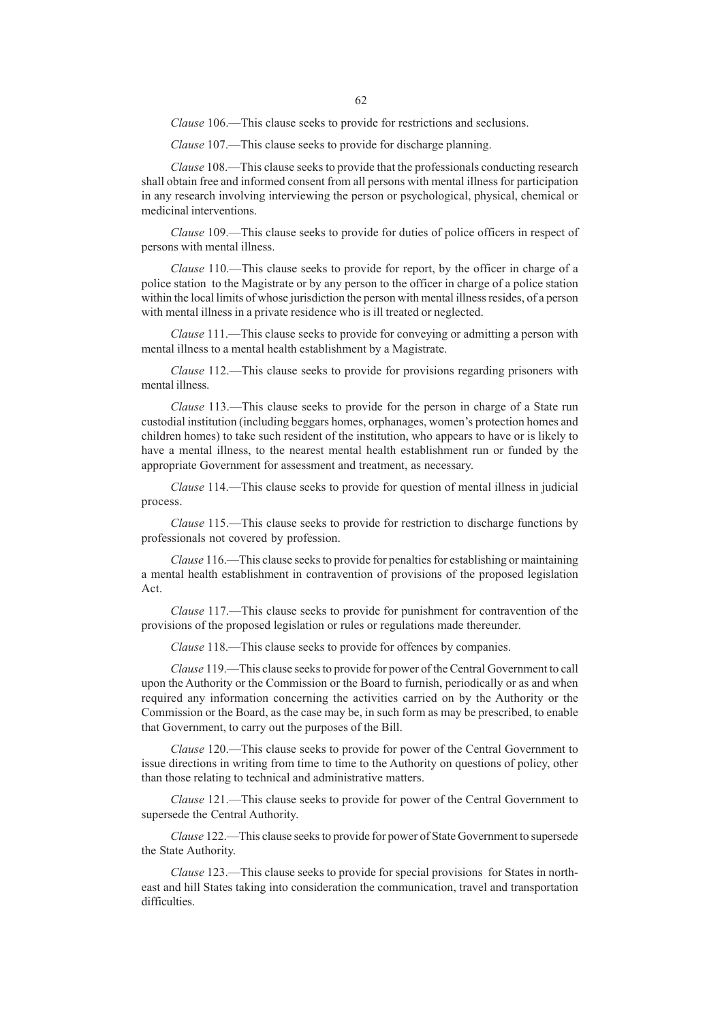*Clause* 106.—This clause seeks to provide for restrictions and seclusions.

*Clause* 107.—This clause seeks to provide for discharge planning.

*Clause* 108.—This clause seeks to provide that the professionals conducting research shall obtain free and informed consent from all persons with mental illness for participation in any research involving interviewing the person or psychological, physical, chemical or medicinal interventions.

*Clause* 109.—This clause seeks to provide for duties of police officers in respect of persons with mental illness.

*Clause* 110.—This clause seeks to provide for report, by the officer in charge of a police station to the Magistrate or by any person to the officer in charge of a police station within the local limits of whose jurisdiction the person with mental illness resides, of a person with mental illness in a private residence who is ill treated or neglected.

*Clause* 111.—This clause seeks to provide for conveying or admitting a person with mental illness to a mental health establishment by a Magistrate.

*Clause* 112.—This clause seeks to provide for provisions regarding prisoners with mental illness.

*Clause* 113.—This clause seeks to provide for the person in charge of a State run custodial institution (including beggars homes, orphanages, women's protection homes and children homes) to take such resident of the institution, who appears to have or is likely to have a mental illness, to the nearest mental health establishment run or funded by the appropriate Government for assessment and treatment, as necessary.

*Clause* 114.—This clause seeks to provide for question of mental illness in judicial process.

*Clause* 115.—This clause seeks to provide for restriction to discharge functions by professionals not covered by profession.

*Clause* 116.—This clause seeks to provide for penalties for establishing or maintaining a mental health establishment in contravention of provisions of the proposed legislation Act.

*Clause* 117.—This clause seeks to provide for punishment for contravention of the provisions of the proposed legislation or rules or regulations made thereunder.

*Clause* 118.—This clause seeks to provide for offences by companies.

*Clause* 119.—This clause seeks to provide for power of the Central Government to call upon the Authority or the Commission or the Board to furnish, periodically or as and when required any information concerning the activities carried on by the Authority or the Commission or the Board, as the case may be, in such form as may be prescribed, to enable that Government, to carry out the purposes of the Bill.

*Clause* 120.—This clause seeks to provide for power of the Central Government to issue directions in writing from time to time to the Authority on questions of policy, other than those relating to technical and administrative matters.

*Clause* 121.—This clause seeks to provide for power of the Central Government to supersede the Central Authority.

*Clause* 122.—This clause seeks to provide for power of State Government to supersede the State Authority.

*Clause* 123.—This clause seeks to provide for special provisions for States in northeast and hill States taking into consideration the communication, travel and transportation difficulties.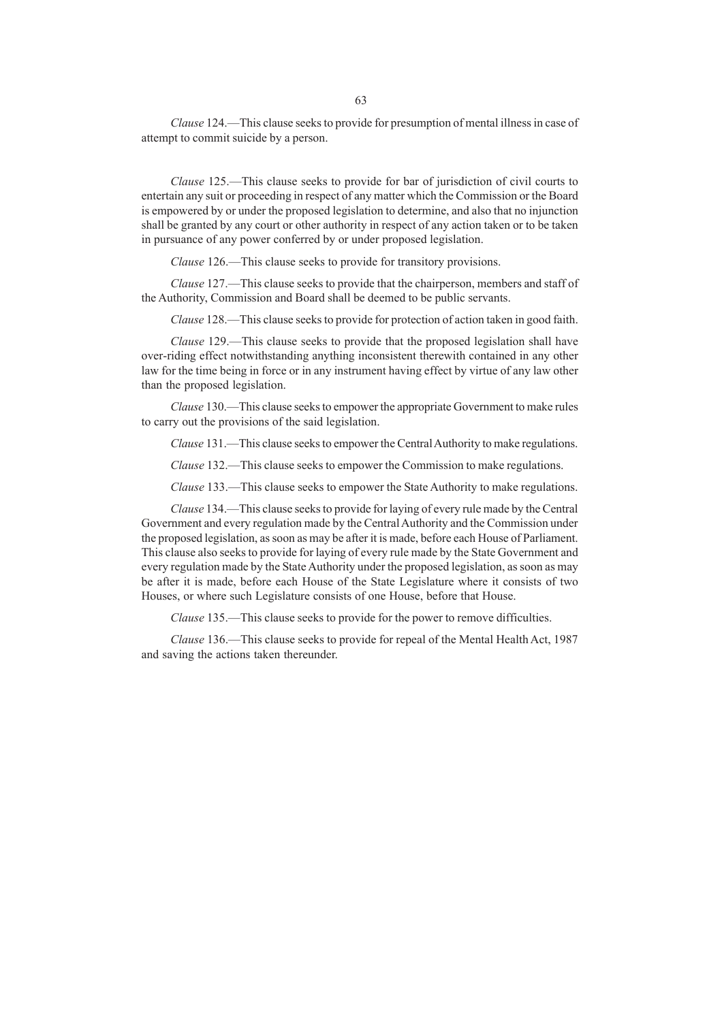*Clause* 124.—This clause seeks to provide for presumption of mental illness in case of attempt to commit suicide by a person.

*Clause* 125.—This clause seeks to provide for bar of jurisdiction of civil courts to entertain any suit or proceeding in respect of any matter which the Commission or the Board is empowered by or under the proposed legislation to determine, and also that no injunction shall be granted by any court or other authority in respect of any action taken or to be taken in pursuance of any power conferred by or under proposed legislation.

*Clause* 126.—This clause seeks to provide for transitory provisions.

*Clause* 127.—This clause seeks to provide that the chairperson, members and staff of the Authority, Commission and Board shall be deemed to be public servants.

*Clause* 128.—This clause seeks to provide for protection of action taken in good faith.

*Clause* 129.—This clause seeks to provide that the proposed legislation shall have over-riding effect notwithstanding anything inconsistent therewith contained in any other law for the time being in force or in any instrument having effect by virtue of any law other than the proposed legislation.

*Clause* 130.—This clause seeks to empower the appropriate Government to make rules to carry out the provisions of the said legislation.

*Clause* 131.—This clause seeks to empower the Central Authority to make regulations.

*Clause* 132.—This clause seeks to empower the Commission to make regulations.

*Clause* 133.—This clause seeks to empower the State Authority to make regulations.

*Clause* 134.—This clause seeks to provide for laying of every rule made by the Central Government and every regulation made by the Central Authority and the Commission under the proposed legislation, as soon as may be after it is made, before each House of Parliament. This clause also seeks to provide for laying of every rule made by the State Government and every regulation made by the State Authority under the proposed legislation, as soon as may be after it is made, before each House of the State Legislature where it consists of two Houses, or where such Legislature consists of one House, before that House.

*Clause* 135.—This clause seeks to provide for the power to remove difficulties.

*Clause* 136.—This clause seeks to provide for repeal of the Mental Health Act, 1987 and saving the actions taken thereunder.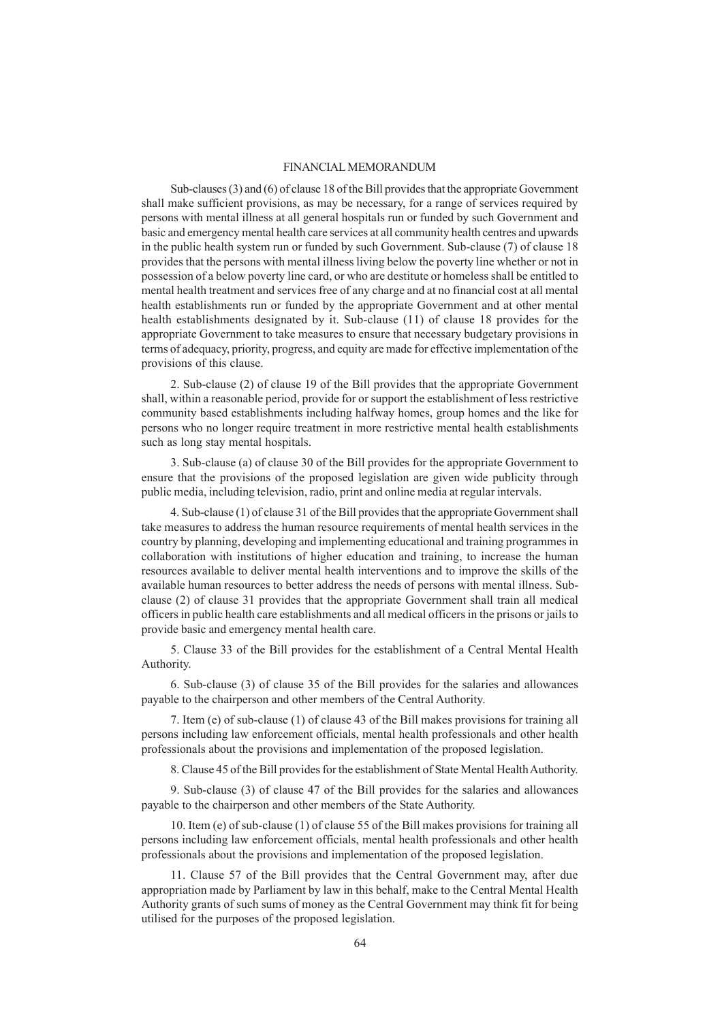# FINANCIAL MEMORANDUM

Sub-clauses (3) and (6) of clause 18 of the Bill provides that the appropriate Government shall make sufficient provisions, as may be necessary, for a range of services required by persons with mental illness at all general hospitals run or funded by such Government and basic and emergency mental health care services at all community health centres and upwards in the public health system run or funded by such Government. Sub-clause (7) of clause 18 provides that the persons with mental illness living below the poverty line whether or not in possession of a below poverty line card, or who are destitute or homeless shall be entitled to mental health treatment and services free of any charge and at no financial cost at all mental health establishments run or funded by the appropriate Government and at other mental health establishments designated by it. Sub-clause (11) of clause 18 provides for the appropriate Government to take measures to ensure that necessary budgetary provisions in terms of adequacy, priority, progress, and equity are made for effective implementation of the provisions of this clause.

2. Sub-clause (2) of clause 19 of the Bill provides that the appropriate Government shall, within a reasonable period, provide for or support the establishment of less restrictive community based establishments including halfway homes, group homes and the like for persons who no longer require treatment in more restrictive mental health establishments such as long stay mental hospitals.

3. Sub-clause (a) of clause 30 of the Bill provides for the appropriate Government to ensure that the provisions of the proposed legislation are given wide publicity through public media, including television, radio, print and online media at regular intervals.

4. Sub-clause (1) of clause 31 of the Bill provides that the appropriate Government shall take measures to address the human resource requirements of mental health services in the country by planning, developing and implementing educational and training programmes in collaboration with institutions of higher education and training, to increase the human resources available to deliver mental health interventions and to improve the skills of the available human resources to better address the needs of persons with mental illness. Subclause (2) of clause 31 provides that the appropriate Government shall train all medical officers in public health care establishments and all medical officers in the prisons or jails to provide basic and emergency mental health care.

5. Clause 33 of the Bill provides for the establishment of a Central Mental Health Authority.

6. Sub-clause (3) of clause 35 of the Bill provides for the salaries and allowances payable to the chairperson and other members of the Central Authority.

7. Item (e) of sub-clause (1) of clause 43 of the Bill makes provisions for training all persons including law enforcement officials, mental health professionals and other health professionals about the provisions and implementation of the proposed legislation.

8. Clause 45 of the Bill provides for the establishment of State Mental Health Authority.

9. Sub-clause (3) of clause 47 of the Bill provides for the salaries and allowances payable to the chairperson and other members of the State Authority.

10. Item (e) of sub-clause (1) of clause 55 of the Bill makes provisions for training all persons including law enforcement officials, mental health professionals and other health professionals about the provisions and implementation of the proposed legislation.

11. Clause 57 of the Bill provides that the Central Government may, after due appropriation made by Parliament by law in this behalf, make to the Central Mental Health Authority grants of such sums of money as the Central Government may think fit for being utilised for the purposes of the proposed legislation.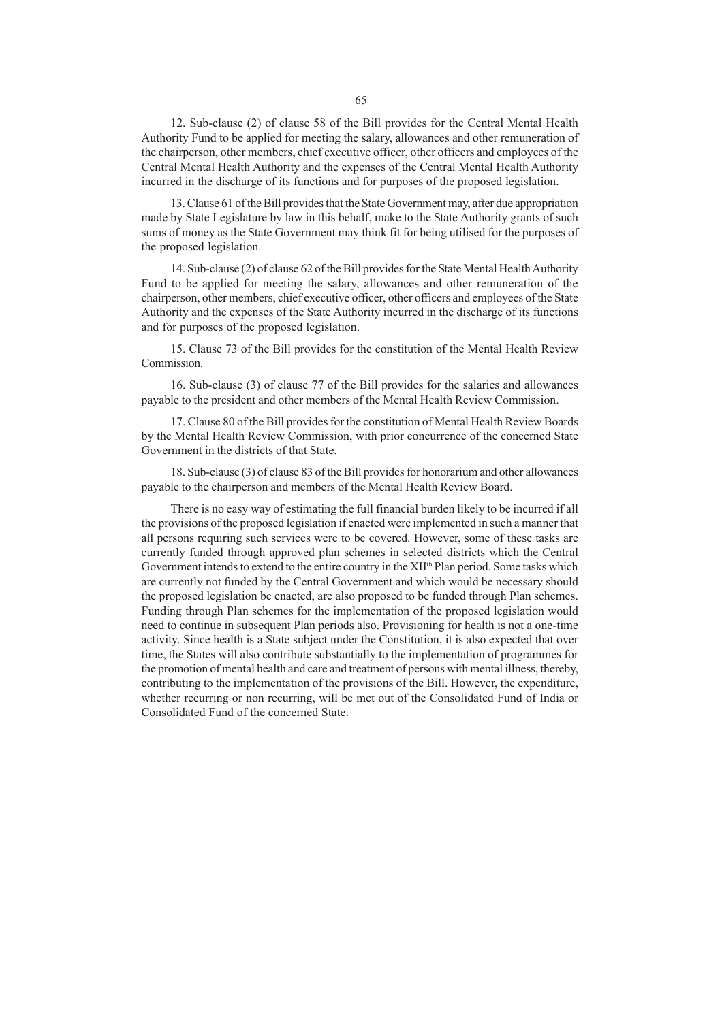12. Sub-clause (2) of clause 58 of the Bill provides for the Central Mental Health Authority Fund to be applied for meeting the salary, allowances and other remuneration of the chairperson, other members, chief executive officer, other officers and employees of the Central Mental Health Authority and the expenses of the Central Mental Health Authority incurred in the discharge of its functions and for purposes of the proposed legislation.

13. Clause 61 of the Bill provides that the State Government may, after due appropriation made by State Legislature by law in this behalf, make to the State Authority grants of such sums of money as the State Government may think fit for being utilised for the purposes of the proposed legislation.

14. Sub-clause (2) of clause 62 of the Bill provides for the State Mental Health Authority Fund to be applied for meeting the salary, allowances and other remuneration of the chairperson, other members, chief executive officer, other officers and employees of the State Authority and the expenses of the State Authority incurred in the discharge of its functions and for purposes of the proposed legislation.

15. Clause 73 of the Bill provides for the constitution of the Mental Health Review Commission.

16. Sub-clause (3) of clause 77 of the Bill provides for the salaries and allowances payable to the president and other members of the Mental Health Review Commission.

17. Clause 80 of the Bill provides for the constitution of Mental Health Review Boards by the Mental Health Review Commission, with prior concurrence of the concerned State Government in the districts of that State.

18. Sub-clause (3) of clause 83 of the Bill provides for honorarium and other allowances payable to the chairperson and members of the Mental Health Review Board.

There is no easy way of estimating the full financial burden likely to be incurred if all the provisions of the proposed legislation if enacted were implemented in such a manner that all persons requiring such services were to be covered. However, some of these tasks are currently funded through approved plan schemes in selected districts which the Central Government intends to extend to the entire country in the XII<sup>th</sup> Plan period. Some tasks which are currently not funded by the Central Government and which would be necessary should the proposed legislation be enacted, are also proposed to be funded through Plan schemes. Funding through Plan schemes for the implementation of the proposed legislation would need to continue in subsequent Plan periods also. Provisioning for health is not a one-time activity. Since health is a State subject under the Constitution, it is also expected that over time, the States will also contribute substantially to the implementation of programmes for the promotion of mental health and care and treatment of persons with mental illness, thereby, contributing to the implementation of the provisions of the Bill. However, the expenditure, whether recurring or non recurring, will be met out of the Consolidated Fund of India or Consolidated Fund of the concerned State.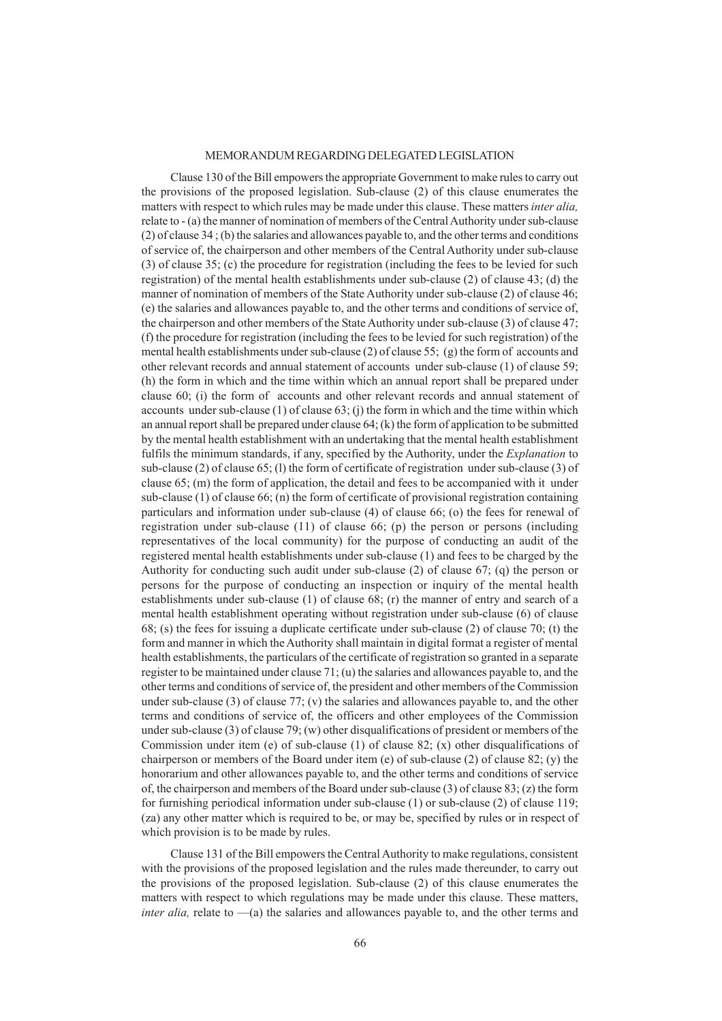## MEMORANDUM REGARDING DELEGATED LEGISLATION

Clause 130 of the Bill empowers the appropriate Government to make rules to carry out the provisions of the proposed legislation. Sub-clause (2) of this clause enumerates the matters with respect to which rules may be made under this clause. These matters *inter alia,* relate to - (a) the manner of nomination of members of the Central Authority under sub-clause (2) of clause 34 ; (b) the salaries and allowances payable to, and the other terms and conditions of service of, the chairperson and other members of the Central Authority under sub-clause (3) of clause 35; (c) the procedure for registration (including the fees to be levied for such registration) of the mental health establishments under sub-clause (2) of clause 43; (d) the manner of nomination of members of the State Authority under sub-clause (2) of clause 46; (e) the salaries and allowances payable to, and the other terms and conditions of service of, the chairperson and other members of the State Authority under sub-clause (3) of clause 47; (f) the procedure for registration (including the fees to be levied for such registration) of the mental health establishments under sub-clause (2) of clause 55; (g) the form of accounts and other relevant records and annual statement of accounts under sub-clause (1) of clause 59; (h) the form in which and the time within which an annual report shall be prepared under clause 60; (i) the form of accounts and other relevant records and annual statement of accounts under sub-clause  $(1)$  of clause  $(3)$ ; (j) the form in which and the time within which an annual report shall be prepared under clause  $64$ ; (k) the form of application to be submitted by the mental health establishment with an undertaking that the mental health establishment fulfils the minimum standards, if any, specified by the Authority, under the *Explanation* to sub-clause (2) of clause 65; (l) the form of certificate of registration under sub-clause (3) of clause 65; (m) the form of application, the detail and fees to be accompanied with it under sub-clause (1) of clause 66; (n) the form of certificate of provisional registration containing particulars and information under sub-clause (4) of clause 66; (o) the fees for renewal of registration under sub-clause (11) of clause 66; (p) the person or persons (including representatives of the local community) for the purpose of conducting an audit of the registered mental health establishments under sub-clause (1) and fees to be charged by the Authority for conducting such audit under sub-clause (2) of clause 67; (q) the person or persons for the purpose of conducting an inspection or inquiry of the mental health establishments under sub-clause (1) of clause 68; (r) the manner of entry and search of a mental health establishment operating without registration under sub-clause (6) of clause 68; (s) the fees for issuing a duplicate certificate under sub-clause (2) of clause 70; (t) the form and manner in which the Authority shall maintain in digital format a register of mental health establishments, the particulars of the certificate of registration so granted in a separate register to be maintained under clause 71; (u) the salaries and allowances payable to, and the other terms and conditions of service of, the president and other members of the Commission under sub-clause  $(3)$  of clause  $77$ ;  $(v)$  the salaries and allowances payable to, and the other terms and conditions of service of, the officers and other employees of the Commission under sub-clause (3) of clause 79; (w) other disqualifications of president or members of the Commission under item (e) of sub-clause (1) of clause 82; (x) other disqualifications of chairperson or members of the Board under item (e) of sub-clause  $(2)$  of clause  $(82)$ ; (y) the honorarium and other allowances payable to, and the other terms and conditions of service of, the chairperson and members of the Board under sub-clause (3) of clause 83; (z) the form for furnishing periodical information under sub-clause (1) or sub-clause (2) of clause 119; (za) any other matter which is required to be, or may be, specified by rules or in respect of which provision is to be made by rules.

Clause 131 of the Bill empowers the Central Authority to make regulations, consistent with the provisions of the proposed legislation and the rules made thereunder, to carry out the provisions of the proposed legislation. Sub-clause (2) of this clause enumerates the matters with respect to which regulations may be made under this clause. These matters, *inter alia*, relate to  $-\alpha$ ) the salaries and allowances payable to, and the other terms and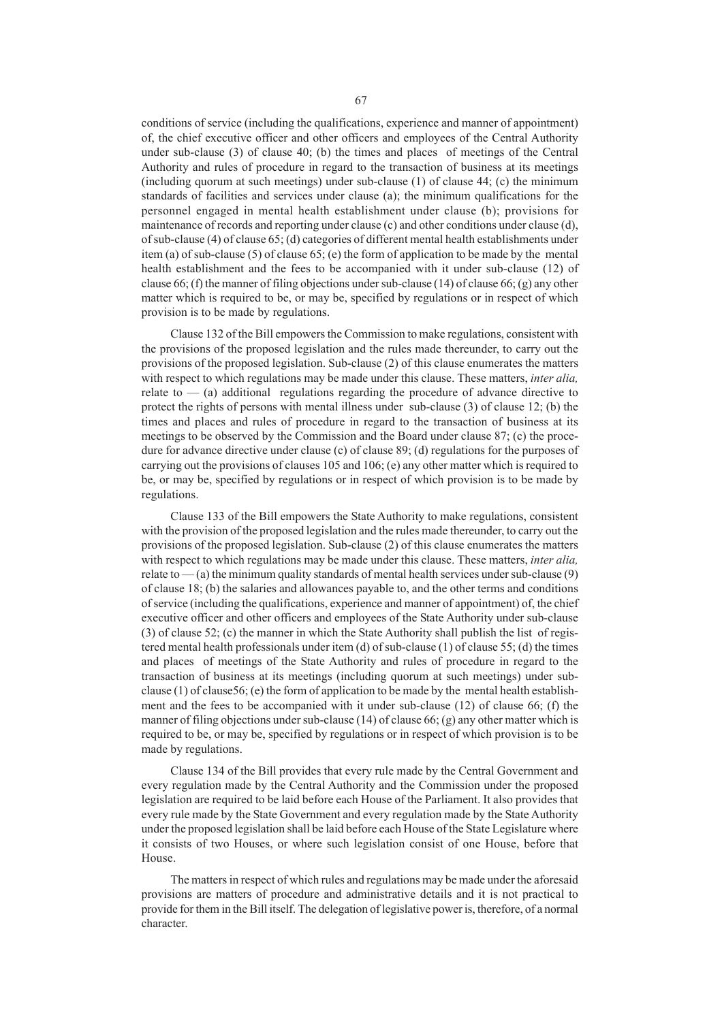conditions of service (including the qualifications, experience and manner of appointment) of, the chief executive officer and other officers and employees of the Central Authority under sub-clause (3) of clause 40; (b) the times and places of meetings of the Central Authority and rules of procedure in regard to the transaction of business at its meetings (including quorum at such meetings) under sub-clause (1) of clause 44; (c) the minimum standards of facilities and services under clause (a); the minimum qualifications for the personnel engaged in mental health establishment under clause (b); provisions for maintenance of records and reporting under clause (c) and other conditions under clause (d), of sub-clause (4) of clause 65; (d) categories of different mental health establishments under item (a) of sub-clause (5) of clause 65; (e) the form of application to be made by the mental health establishment and the fees to be accompanied with it under sub-clause (12) of clause 66; (f) the manner of filing objections under sub-clause (14) of clause 66; (g) any other matter which is required to be, or may be, specified by regulations or in respect of which provision is to be made by regulations.

Clause 132 of the Bill empowers the Commission to make regulations, consistent with the provisions of the proposed legislation and the rules made thereunder, to carry out the provisions of the proposed legislation. Sub-clause (2) of this clause enumerates the matters with respect to which regulations may be made under this clause. These matters, *inter alia,* relate to  $-$  (a) additional regulations regarding the procedure of advance directive to protect the rights of persons with mental illness under sub-clause (3) of clause 12; (b) the times and places and rules of procedure in regard to the transaction of business at its meetings to be observed by the Commission and the Board under clause 87; (c) the procedure for advance directive under clause (c) of clause 89; (d) regulations for the purposes of carrying out the provisions of clauses 105 and 106; (e) any other matter which is required to be, or may be, specified by regulations or in respect of which provision is to be made by regulations.

Clause 133 of the Bill empowers the State Authority to make regulations, consistent with the provision of the proposed legislation and the rules made thereunder, to carry out the provisions of the proposed legislation. Sub-clause (2) of this clause enumerates the matters with respect to which regulations may be made under this clause. These matters, *inter alia,* relate to  $-$  (a) the minimum quality standards of mental health services under sub-clause (9) of clause 18; (b) the salaries and allowances payable to, and the other terms and conditions of service (including the qualifications, experience and manner of appointment) of, the chief executive officer and other officers and employees of the State Authority under sub-clause (3) of clause 52; (c) the manner in which the State Authority shall publish the list of registered mental health professionals under item (d) of sub-clause (1) of clause 55; (d) the times and places of meetings of the State Authority and rules of procedure in regard to the transaction of business at its meetings (including quorum at such meetings) under subclause (1) of clause 56; (e) the form of application to be made by the mental health establishment and the fees to be accompanied with it under sub-clause (12) of clause 66; (f) the manner of filing objections under sub-clause (14) of clause 66; (g) any other matter which is required to be, or may be, specified by regulations or in respect of which provision is to be made by regulations.

Clause 134 of the Bill provides that every rule made by the Central Government and every regulation made by the Central Authority and the Commission under the proposed legislation are required to be laid before each House of the Parliament. It also provides that every rule made by the State Government and every regulation made by the State Authority under the proposed legislation shall be laid before each House of the State Legislature where it consists of two Houses, or where such legislation consist of one House, before that House.

The matters in respect of which rules and regulations may be made under the aforesaid provisions are matters of procedure and administrative details and it is not practical to provide for them in the Bill itself. The delegation of legislative power is, therefore, of a normal character.